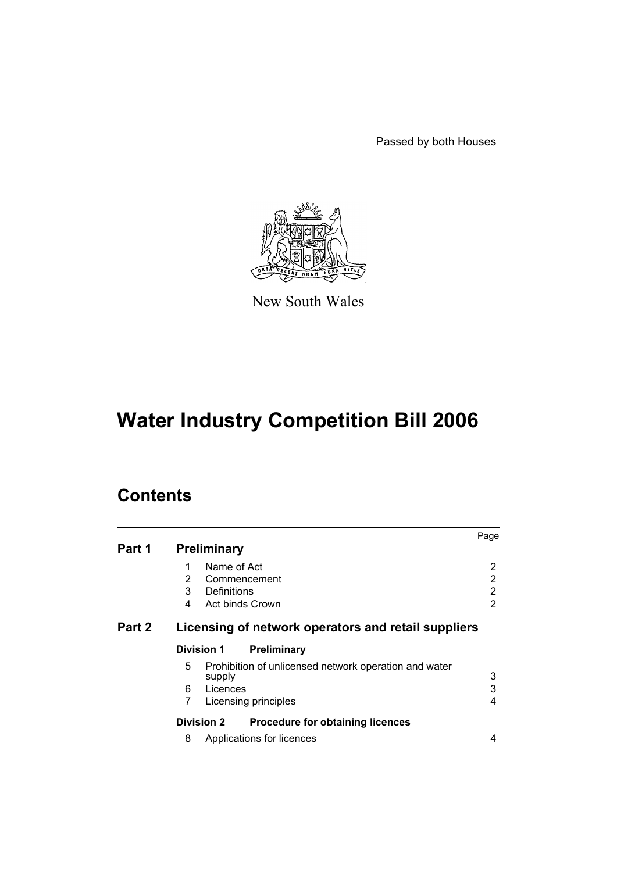Passed by both Houses



New South Wales

# **Water Industry Competition Bill 2006**

# **Contents**

|        |                      |                                                                 | Page |
|--------|----------------------|-----------------------------------------------------------------|------|
| Part 1 |                      | <b>Preliminary</b>                                              |      |
|        | 1                    | Name of Act                                                     | 2    |
|        | $\mathbf{2}^{\circ}$ | Commencement                                                    | 2    |
|        | 3                    | Definitions                                                     | 2    |
|        | 4                    | Act binds Crown                                                 | 2    |
| Part 2 |                      | Licensing of network operators and retail suppliers             |      |
|        |                      | <b>Division 1</b><br><b>Preliminary</b>                         |      |
|        | 5                    | Prohibition of unlicensed network operation and water<br>supply | 3    |
|        | 6                    | Licences                                                        | 3    |
|        | 7                    | Licensing principles                                            | 4    |
|        |                      | <b>Division 2</b><br><b>Procedure for obtaining licences</b>    |      |
|        | 8                    | Applications for licences                                       | 4    |
|        |                      |                                                                 |      |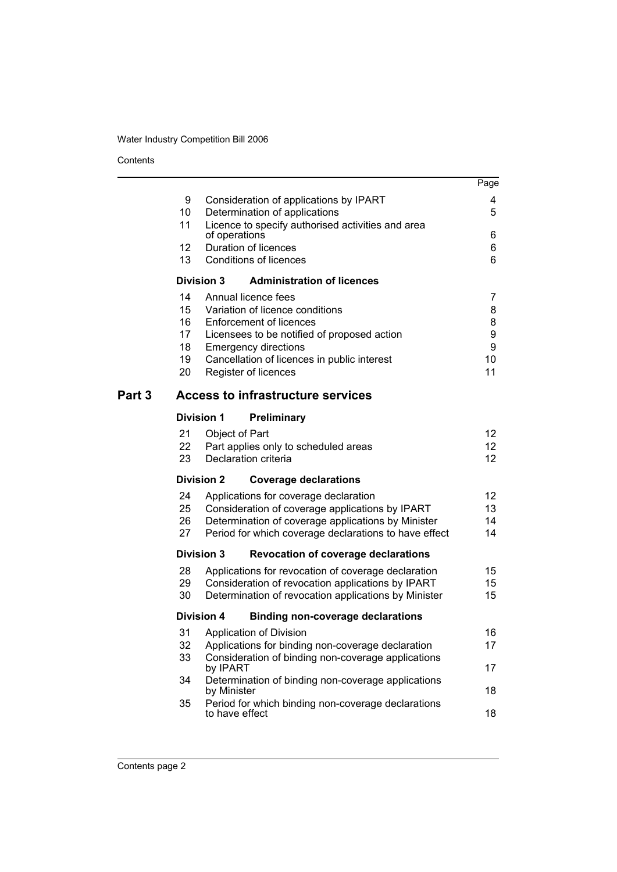Contents

|        |                                                      |                                                                                                                                                                                                                                        | Page                              |
|--------|------------------------------------------------------|----------------------------------------------------------------------------------------------------------------------------------------------------------------------------------------------------------------------------------------|-----------------------------------|
|        | 9<br>10<br>11                                        | Consideration of applications by IPART<br>Determination of applications<br>Licence to specify authorised activities and area                                                                                                           | 4<br>5                            |
|        | 12<br>13                                             | of operations<br>Duration of licences<br><b>Conditions of licences</b>                                                                                                                                                                 | 6<br>6<br>6                       |
|        |                                                      | <b>Division 3</b><br><b>Administration of licences</b>                                                                                                                                                                                 |                                   |
|        | 14<br>15<br>16<br>17 <sup>17</sup><br>18<br>19<br>20 | Annual licence fees<br>Variation of licence conditions<br>Enforcement of licences<br>Licensees to be notified of proposed action<br><b>Emergency directions</b><br>Cancellation of licences in public interest<br>Register of licences | 7<br>8<br>8<br>9<br>9<br>10<br>11 |
| Part 3 |                                                      | <b>Access to infrastructure services</b>                                                                                                                                                                                               |                                   |
|        |                                                      | <b>Division 1</b><br>Preliminary                                                                                                                                                                                                       |                                   |
|        | 21<br>22<br>23                                       | Object of Part<br>Part applies only to scheduled areas<br>Declaration criteria                                                                                                                                                         | 12<br>12 <sup>°</sup><br>12       |
|        |                                                      | <b>Division 2</b><br><b>Coverage declarations</b>                                                                                                                                                                                      |                                   |
|        | 24<br>25<br>26<br>27                                 | Applications for coverage declaration<br>Consideration of coverage applications by IPART<br>Determination of coverage applications by Minister<br>Period for which coverage declarations to have effect                                | 12 <sup>2</sup><br>13<br>14<br>14 |
|        |                                                      | <b>Division 3</b><br><b>Revocation of coverage declarations</b>                                                                                                                                                                        |                                   |
|        | 28<br>29<br>30                                       | Applications for revocation of coverage declaration<br>Consideration of revocation applications by IPART<br>Determination of revocation applications by Minister                                                                       | 15<br>15<br>15                    |
|        |                                                      | <b>Division 4</b><br><b>Binding non-coverage declarations</b>                                                                                                                                                                          |                                   |
|        | 31<br>33                                             | Application of Division<br>32 Applications for binding non-coverage declaration<br>Consideration of binding non-coverage applications                                                                                                  | 16<br>17                          |
|        | 34                                                   | by IPART<br>Determination of binding non-coverage applications<br>by Minister                                                                                                                                                          | 17<br>18                          |
|        | 35                                                   | Period for which binding non-coverage declarations<br>to have effect                                                                                                                                                                   | 18                                |
|        |                                                      |                                                                                                                                                                                                                                        |                                   |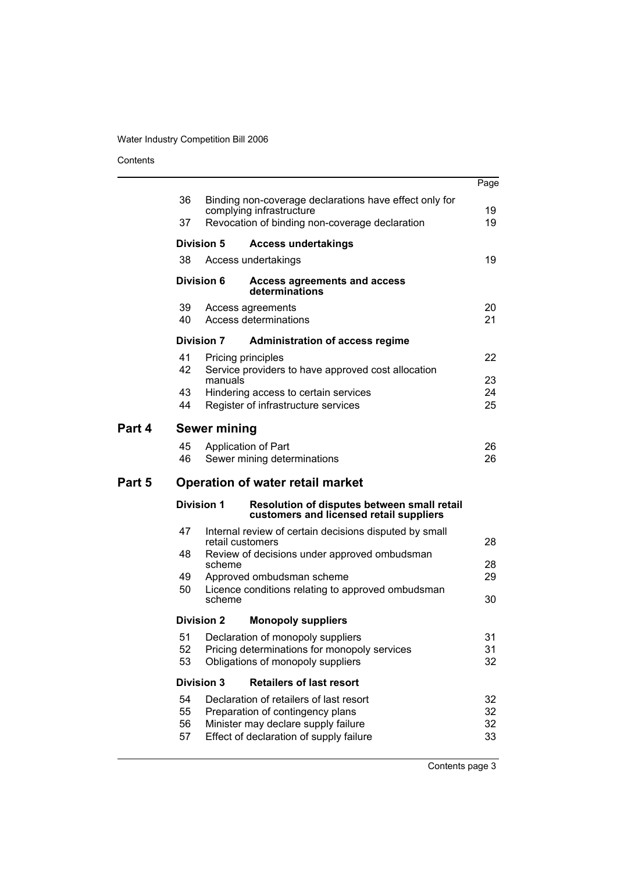|        |                      |                                                |                                                                                                                                                               | Page                 |  |  |
|--------|----------------------|------------------------------------------------|---------------------------------------------------------------------------------------------------------------------------------------------------------------|----------------------|--|--|
|        | 36                   |                                                | Binding non-coverage declarations have effect only for<br>complying infrastructure                                                                            | 19                   |  |  |
|        | 37                   | Revocation of binding non-coverage declaration |                                                                                                                                                               |                      |  |  |
|        |                      | <b>Division 5</b>                              | <b>Access undertakings</b>                                                                                                                                    |                      |  |  |
|        | 38                   |                                                | Access undertakings                                                                                                                                           | 19                   |  |  |
|        |                      | <b>Division 6</b>                              | <b>Access agreements and access</b><br>determinations                                                                                                         |                      |  |  |
|        | 39<br>40             |                                                | Access agreements<br>Access determinations                                                                                                                    | 20<br>21             |  |  |
|        |                      | <b>Division 7</b>                              | <b>Administration of access regime</b>                                                                                                                        |                      |  |  |
|        | 41<br>42             |                                                | Pricing principles<br>Service providers to have approved cost allocation                                                                                      | 22                   |  |  |
|        |                      | manuals                                        |                                                                                                                                                               | 23                   |  |  |
|        | 43<br>44             |                                                | Hindering access to certain services<br>Register of infrastructure services                                                                                   | 24<br>25             |  |  |
| Part 4 |                      | <b>Sewer mining</b>                            |                                                                                                                                                               |                      |  |  |
|        | 45<br>46             |                                                | <b>Application of Part</b><br>Sewer mining determinations                                                                                                     | 26<br>26             |  |  |
| Part 5 |                      |                                                | <b>Operation of water retail market</b>                                                                                                                       |                      |  |  |
|        |                      | <b>Division 1</b>                              | Resolution of disputes between small retail<br>customers and licensed retail suppliers                                                                        |                      |  |  |
|        | 47                   |                                                | Internal review of certain decisions disputed by small<br>retail customers                                                                                    | 28                   |  |  |
|        | 48                   | scheme                                         | Review of decisions under approved ombudsman                                                                                                                  | 28                   |  |  |
|        | 49                   |                                                | Approved ombudsman scheme                                                                                                                                     | 29                   |  |  |
|        | 50                   | scheme                                         | Licence conditions relating to approved ombudsman                                                                                                             | 30                   |  |  |
|        |                      | <b>Division 2</b>                              | <b>Monopoly suppliers</b>                                                                                                                                     |                      |  |  |
|        | 51<br>52<br>53       |                                                | Declaration of monopoly suppliers<br>Pricing determinations for monopoly services<br>Obligations of monopoly suppliers                                        | 31<br>31<br>32       |  |  |
|        |                      | <b>Division 3</b>                              | <b>Retailers of last resort</b>                                                                                                                               |                      |  |  |
|        | 54<br>55<br>56<br>57 |                                                | Declaration of retailers of last resort<br>Preparation of contingency plans<br>Minister may declare supply failure<br>Effect of declaration of supply failure | 32<br>32<br>32<br>33 |  |  |

Contents page 3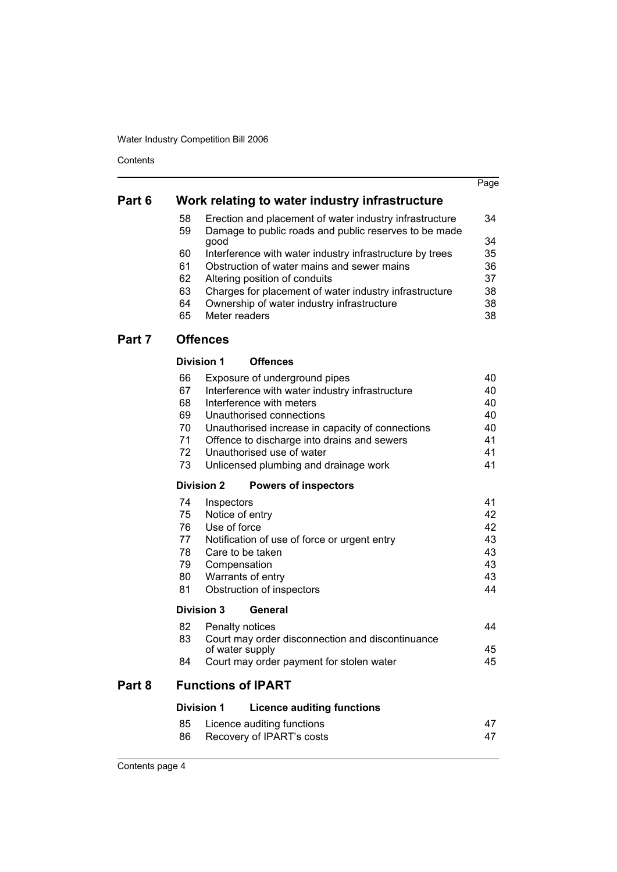Contents

|        |          |                                                                              | Page     |  |  |  |  |  |
|--------|----------|------------------------------------------------------------------------------|----------|--|--|--|--|--|
| Part 6 |          | Work relating to water industry infrastructure                               |          |  |  |  |  |  |
|        | 58       | Erection and placement of water industry infrastructure                      | 34       |  |  |  |  |  |
|        | 59       | Damage to public roads and public reserves to be made<br>good                | 34       |  |  |  |  |  |
|        | 60       | Interference with water industry infrastructure by trees                     | 35       |  |  |  |  |  |
|        | 61       | Obstruction of water mains and sewer mains                                   | 36       |  |  |  |  |  |
|        | 62       | Altering position of conduits                                                | 37       |  |  |  |  |  |
|        | 63       | Charges for placement of water industry infrastructure                       | 38       |  |  |  |  |  |
|        | 64<br>65 | Ownership of water industry infrastructure<br>Meter readers                  | 38<br>38 |  |  |  |  |  |
|        |          |                                                                              |          |  |  |  |  |  |
| Part 7 |          | <b>Offences</b>                                                              |          |  |  |  |  |  |
|        |          | <b>Division 1</b><br><b>Offences</b>                                         |          |  |  |  |  |  |
|        | 66       | Exposure of underground pipes                                                | 40       |  |  |  |  |  |
|        | 67       | Interference with water industry infrastructure                              | 40       |  |  |  |  |  |
|        | 68       | Interference with meters                                                     | 40       |  |  |  |  |  |
|        | 69<br>70 | Unauthorised connections<br>Unauthorised increase in capacity of connections | 40<br>40 |  |  |  |  |  |
|        | 71       | Offence to discharge into drains and sewers                                  | 41       |  |  |  |  |  |
|        | 72       | Unauthorised use of water                                                    | 41       |  |  |  |  |  |
|        | 73       | Unlicensed plumbing and drainage work                                        | 41       |  |  |  |  |  |
|        |          | <b>Division 2</b><br><b>Powers of inspectors</b>                             |          |  |  |  |  |  |
|        | 74       | Inspectors                                                                   | 41       |  |  |  |  |  |
|        | 75       | Notice of entry                                                              | 42       |  |  |  |  |  |
|        | 76       | Use of force                                                                 | 42       |  |  |  |  |  |
|        | 77       | Notification of use of force or urgent entry                                 | 43       |  |  |  |  |  |
|        | 78       | Care to be taken                                                             | 43       |  |  |  |  |  |
|        | 79<br>80 | Compensation<br>Warrants of entry                                            | 43<br>43 |  |  |  |  |  |
|        | 81       | Obstruction of inspectors                                                    | 44       |  |  |  |  |  |
|        |          | <b>Division 3</b><br>General                                                 |          |  |  |  |  |  |
|        | 82       | Penalty notices                                                              | 44       |  |  |  |  |  |
|        | 83       | Court may order disconnection and discontinuance                             |          |  |  |  |  |  |
|        |          | of water supply                                                              | 45       |  |  |  |  |  |
|        | 84       | Court may order payment for stolen water                                     | 45       |  |  |  |  |  |
| Part 8 |          | <b>Functions of IPART</b>                                                    |          |  |  |  |  |  |
|        |          | <b>Division 1</b><br><b>Licence auditing functions</b>                       |          |  |  |  |  |  |
|        | 85       | Licence auditing functions                                                   | 47       |  |  |  |  |  |
|        | 86       | Recovery of IPART's costs                                                    | 47       |  |  |  |  |  |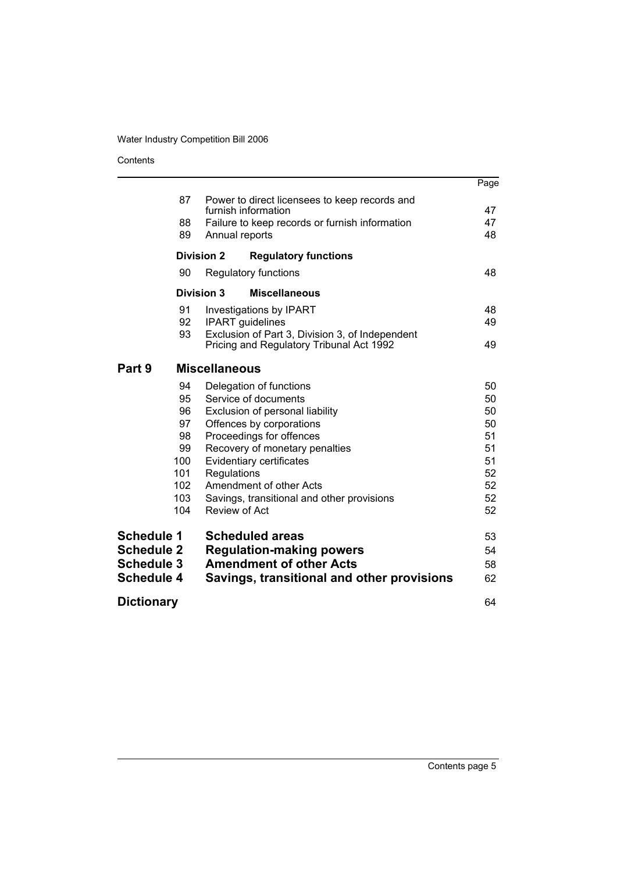Contents

|                   |     |                      |                                                                                             | Page |
|-------------------|-----|----------------------|---------------------------------------------------------------------------------------------|------|
|                   | 87  |                      | Power to direct licensees to keep records and                                               |      |
|                   |     |                      | furnish information                                                                         | 47   |
|                   | 88  |                      | Failure to keep records or furnish information                                              | 47   |
|                   | 89  |                      | Annual reports                                                                              | 48   |
|                   |     | <b>Division 2</b>    | <b>Regulatory functions</b>                                                                 |      |
|                   | 90  |                      | <b>Regulatory functions</b>                                                                 | 48   |
|                   |     | <b>Division 3</b>    | <b>Miscellaneous</b>                                                                        |      |
|                   | 91  |                      | Investigations by IPART                                                                     | 48   |
|                   | 92  |                      | <b>IPART</b> guidelines                                                                     | 49   |
|                   | 93  |                      | Exclusion of Part 3, Division 3, of Independent<br>Pricing and Regulatory Tribunal Act 1992 | 49   |
| Part 9            |     | <b>Miscellaneous</b> |                                                                                             |      |
|                   | 94  |                      | Delegation of functions                                                                     | 50   |
|                   | 95  |                      | Service of documents                                                                        | 50   |
|                   | 96  |                      | Exclusion of personal liability                                                             | 50   |
|                   | 97  |                      | Offences by corporations                                                                    | 50   |
|                   | 98  |                      | Proceedings for offences                                                                    | 51   |
|                   | 99  |                      | Recovery of monetary penalties                                                              | 51   |
|                   | 100 |                      | Evidentiary certificates                                                                    | 51   |
|                   | 101 | Regulations          |                                                                                             | 52   |
|                   | 102 |                      | Amendment of other Acts                                                                     | 52   |
|                   | 103 |                      | Savings, transitional and other provisions                                                  | 52   |
|                   | 104 |                      | Review of Act                                                                               | 52   |
| <b>Schedule 1</b> |     |                      | <b>Scheduled areas</b>                                                                      | 53   |
| <b>Schedule 2</b> |     |                      | <b>Regulation-making powers</b>                                                             | 54   |
| <b>Schedule 3</b> |     |                      | <b>Amendment of other Acts</b>                                                              | 58   |
| <b>Schedule 4</b> |     |                      | Savings, transitional and other provisions                                                  | 62   |
| <b>Dictionary</b> |     |                      |                                                                                             | 64   |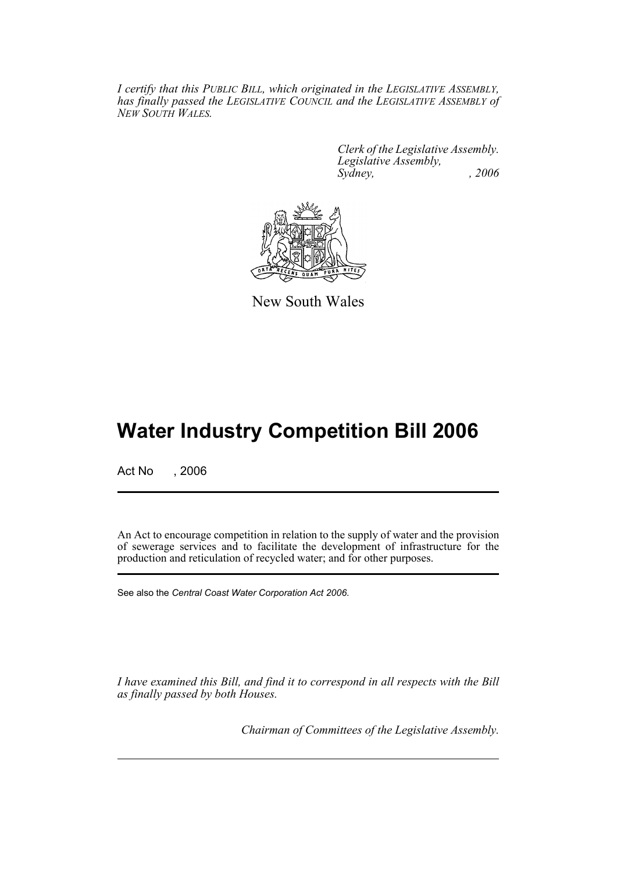*I certify that this PUBLIC BILL, which originated in the LEGISLATIVE ASSEMBLY, has finally passed the LEGISLATIVE COUNCIL and the LEGISLATIVE ASSEMBLY of NEW SOUTH WALES.*

> *Clerk of the Legislative Assembly. Legislative Assembly, Sydney, , 2006*



New South Wales

# **Water Industry Competition Bill 2006**

Act No , 2006

An Act to encourage competition in relation to the supply of water and the provision of sewerage services and to facilitate the development of infrastructure for the production and reticulation of recycled water; and for other purposes.

See also the *Central Coast Water Corporation Act 2006*.

*I have examined this Bill, and find it to correspond in all respects with the Bill as finally passed by both Houses.*

*Chairman of Committees of the Legislative Assembly.*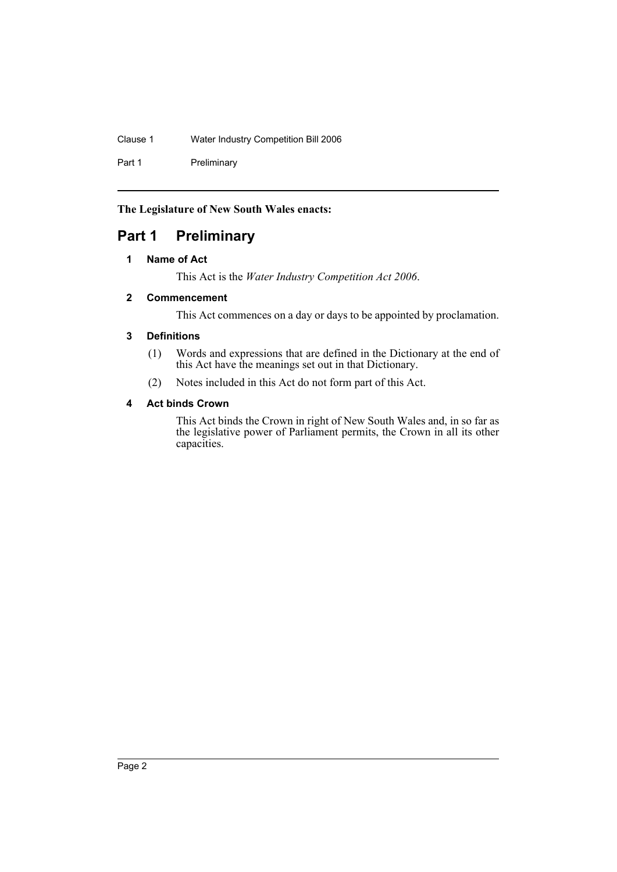# Clause 1 Water Industry Competition Bill 2006

Part 1 Preliminary

**The Legislature of New South Wales enacts:**

# <span id="page-6-1"></span><span id="page-6-0"></span>**Part 1 Preliminary**

# **1 Name of Act**

This Act is the *Water Industry Competition Act 2006*.

# <span id="page-6-2"></span>**2 Commencement**

This Act commences on a day or days to be appointed by proclamation.

# <span id="page-6-3"></span>**3 Definitions**

- (1) Words and expressions that are defined in the Dictionary at the end of this Act have the meanings set out in that Dictionary.
- (2) Notes included in this Act do not form part of this Act.

# <span id="page-6-4"></span>**4 Act binds Crown**

This Act binds the Crown in right of New South Wales and, in so far as the legislative power of Parliament permits, the Crown in all its other capacities.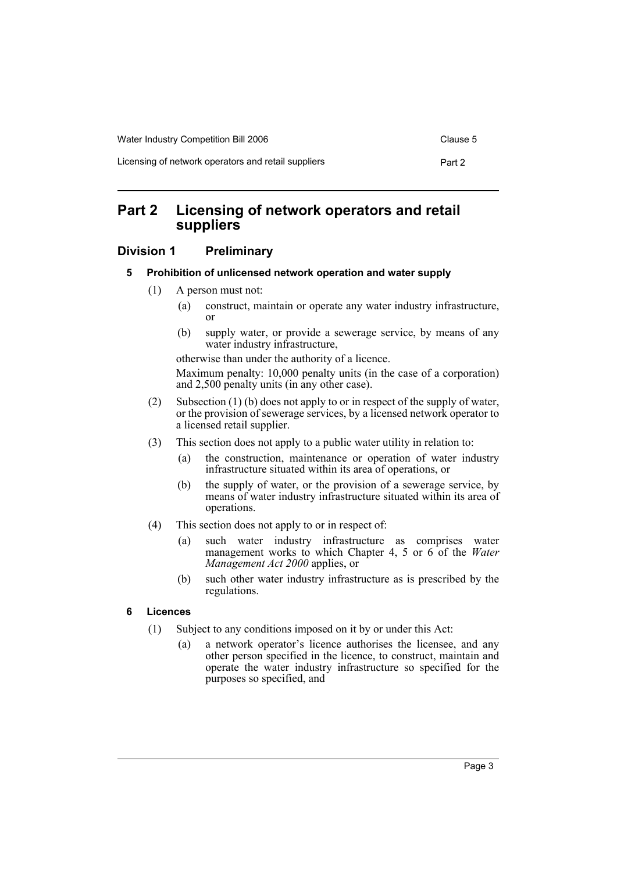| Water Industry Competition Bill 2006                | Clause 5 |
|-----------------------------------------------------|----------|
| Licensing of network operators and retail suppliers | Part 2   |

# <span id="page-7-0"></span>**Part 2 Licensing of network operators and retail suppliers**

# <span id="page-7-2"></span><span id="page-7-1"></span>**Division 1 Preliminary**

# **5 Prohibition of unlicensed network operation and water supply**

- (1) A person must not:
	- (a) construct, maintain or operate any water industry infrastructure, or
	- (b) supply water, or provide a sewerage service, by means of any water industry infrastructure,

otherwise than under the authority of a licence.

Maximum penalty: 10,000 penalty units (in the case of a corporation) and 2,500 penalty units (in any other case).

- (2) Subsection (1) (b) does not apply to or in respect of the supply of water, or the provision of sewerage services, by a licensed network operator to a licensed retail supplier.
- (3) This section does not apply to a public water utility in relation to:
	- (a) the construction, maintenance or operation of water industry infrastructure situated within its area of operations, or
	- (b) the supply of water, or the provision of a sewerage service, by means of water industry infrastructure situated within its area of operations.
- (4) This section does not apply to or in respect of:
	- (a) such water industry infrastructure as comprises water management works to which Chapter 4, 5 or 6 of the *Water Management Act 2000* applies, or
	- (b) such other water industry infrastructure as is prescribed by the regulations.

# <span id="page-7-3"></span>**6 Licences**

- (1) Subject to any conditions imposed on it by or under this Act:
	- (a) a network operator's licence authorises the licensee, and any other person specified in the licence, to construct, maintain and operate the water industry infrastructure so specified for the purposes so specified, and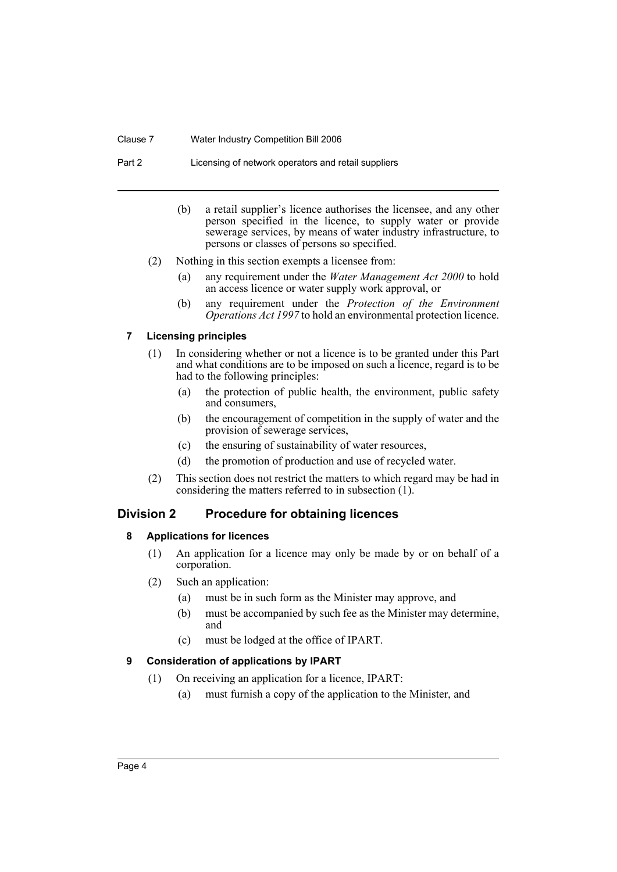#### Clause 7 Water Industry Competition Bill 2006

Part 2 Licensing of network operators and retail suppliers

- (b) a retail supplier's licence authorises the licensee, and any other person specified in the licence, to supply water or provide sewerage services, by means of water industry infrastructure, to persons or classes of persons so specified.
- (2) Nothing in this section exempts a licensee from:
	- (a) any requirement under the *Water Management Act 2000* to hold an access licence or water supply work approval, or
	- (b) any requirement under the *Protection of the Environment Operations Act 1997* to hold an environmental protection licence.

## <span id="page-8-0"></span>**7 Licensing principles**

- (1) In considering whether or not a licence is to be granted under this Part and what conditions are to be imposed on such a licence, regard is to be had to the following principles:
	- (a) the protection of public health, the environment, public safety and consumers,
	- (b) the encouragement of competition in the supply of water and the provision of sewerage services,
	- (c) the ensuring of sustainability of water resources,
	- (d) the promotion of production and use of recycled water.
- (2) This section does not restrict the matters to which regard may be had in considering the matters referred to in subsection (1).

## <span id="page-8-2"></span><span id="page-8-1"></span>**Division 2 Procedure for obtaining licences**

## **8 Applications for licences**

- (1) An application for a licence may only be made by or on behalf of a corporation.
- (2) Such an application:
	- (a) must be in such form as the Minister may approve, and
	- (b) must be accompanied by such fee as the Minister may determine, and
	- (c) must be lodged at the office of IPART.

## <span id="page-8-3"></span>**9 Consideration of applications by IPART**

- (1) On receiving an application for a licence, IPART:
	- (a) must furnish a copy of the application to the Minister, and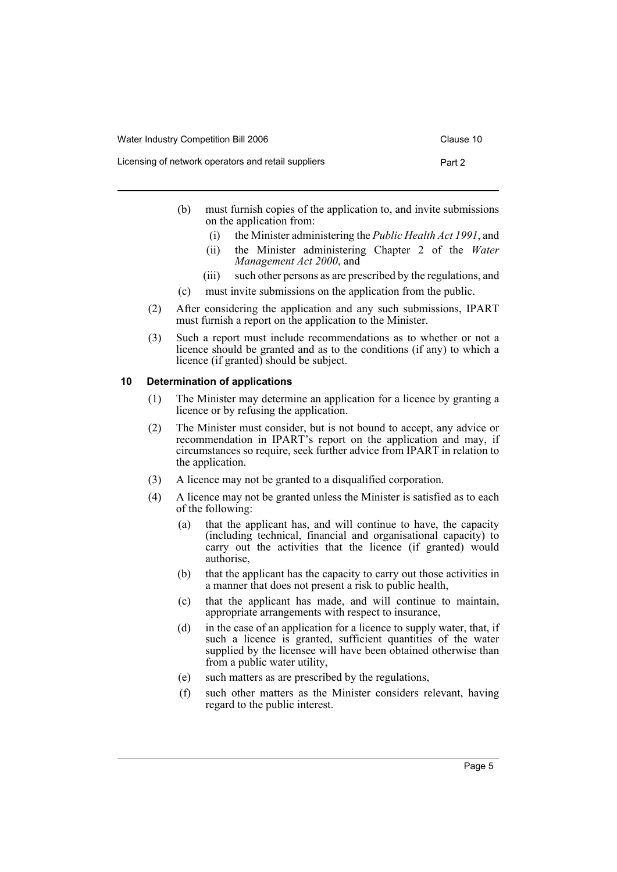| Water Industry Competition Bill 2006                |        |  |
|-----------------------------------------------------|--------|--|
| Licensing of network operators and retail suppliers | Part 2 |  |

- (b) must furnish copies of the application to, and invite submissions on the application from:
	- (i) the Minister administering the *Public Health Act 1991*, and
	- (ii) the Minister administering Chapter 2 of the *Water Management Act 2000*, and
	- (iii) such other persons as are prescribed by the regulations, and
- (c) must invite submissions on the application from the public.
- (2) After considering the application and any such submissions, IPART must furnish a report on the application to the Minister.
- (3) Such a report must include recommendations as to whether or not a licence should be granted and as to the conditions (if any) to which a licence (if granted) should be subject.

#### <span id="page-9-0"></span>**10 Determination of applications**

- (1) The Minister may determine an application for a licence by granting a licence or by refusing the application.
- (2) The Minister must consider, but is not bound to accept, any advice or recommendation in IPART's report on the application and may, if circumstances so require, seek further advice from IPART in relation to the application.
- (3) A licence may not be granted to a disqualified corporation.
- (4) A licence may not be granted unless the Minister is satisfied as to each of the following:
	- (a) that the applicant has, and will continue to have, the capacity (including technical, financial and organisational capacity) to carry out the activities that the licence (if granted) would authorise,
	- (b) that the applicant has the capacity to carry out those activities in a manner that does not present a risk to public health,
	- (c) that the applicant has made, and will continue to maintain, appropriate arrangements with respect to insurance,
	- (d) in the case of an application for a licence to supply water, that, if such a licence is granted, sufficient quantities of the water supplied by the licensee will have been obtained otherwise than from a public water utility,
	- (e) such matters as are prescribed by the regulations,
	- (f) such other matters as the Minister considers relevant, having regard to the public interest.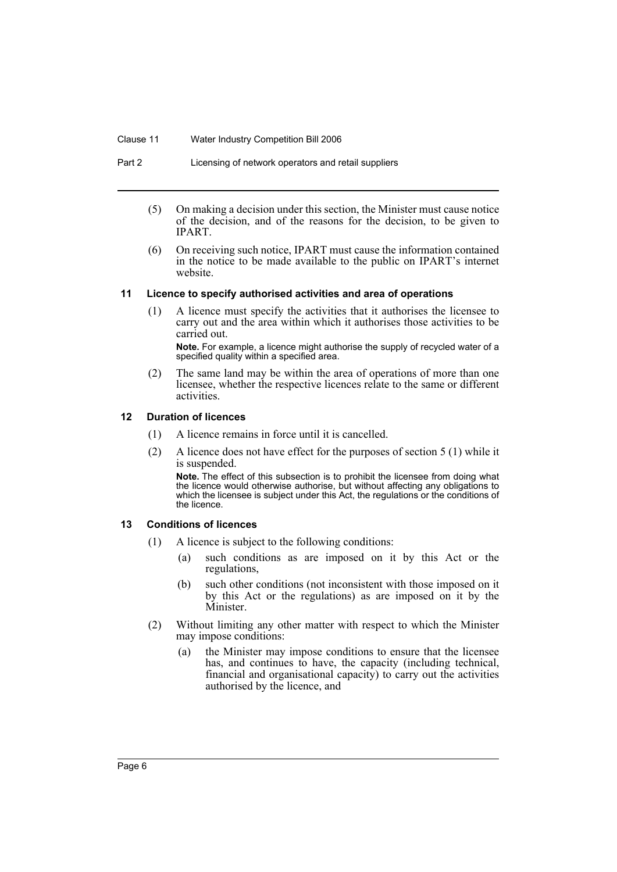#### Clause 11 Water Industry Competition Bill 2006

Part 2 Licensing of network operators and retail suppliers

- (5) On making a decision under this section, the Minister must cause notice of the decision, and of the reasons for the decision, to be given to IPART.
- (6) On receiving such notice, IPART must cause the information contained in the notice to be made available to the public on IPART's internet website.

#### <span id="page-10-0"></span>**11 Licence to specify authorised activities and area of operations**

(1) A licence must specify the activities that it authorises the licensee to carry out and the area within which it authorises those activities to be carried out.

**Note.** For example, a licence might authorise the supply of recycled water of a specified quality within a specified area.

(2) The same land may be within the area of operations of more than one licensee, whether the respective licences relate to the same or different activities.

## <span id="page-10-1"></span>**12 Duration of licences**

- (1) A licence remains in force until it is cancelled.
- (2) A licence does not have effect for the purposes of section 5 (1) while it is suspended.

**Note.** The effect of this subsection is to prohibit the licensee from doing what the licence would otherwise authorise, but without affecting any obligations to which the licensee is subject under this Act, the regulations or the conditions of the licence.

#### <span id="page-10-2"></span>**13 Conditions of licences**

- (1) A licence is subject to the following conditions:
	- (a) such conditions as are imposed on it by this Act or the regulations,
	- (b) such other conditions (not inconsistent with those imposed on it by this Act or the regulations) as are imposed on it by the Minister.
- (2) Without limiting any other matter with respect to which the Minister may impose conditions:
	- (a) the Minister may impose conditions to ensure that the licensee has, and continues to have, the capacity (including technical, financial and organisational capacity) to carry out the activities authorised by the licence, and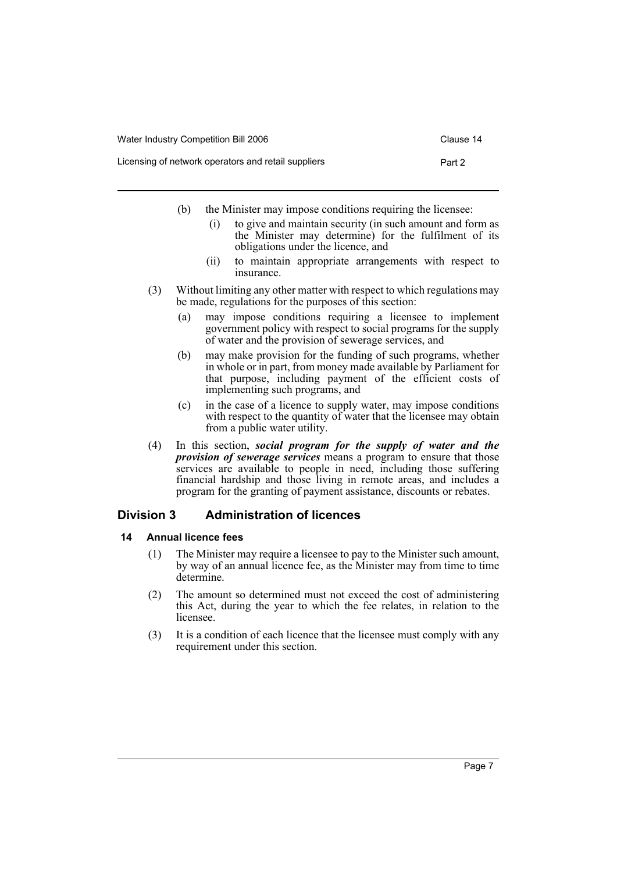| Water Industry Competition Bill 2006                |        |  |
|-----------------------------------------------------|--------|--|
| Licensing of network operators and retail suppliers | Part 2 |  |

- (b) the Minister may impose conditions requiring the licensee:
	- (i) to give and maintain security (in such amount and form as the Minister may determine) for the fulfilment of its obligations under the licence, and
	- (ii) to maintain appropriate arrangements with respect to insurance.
- (3) Without limiting any other matter with respect to which regulations may be made, regulations for the purposes of this section:
	- (a) may impose conditions requiring a licensee to implement government policy with respect to social programs for the supply of water and the provision of sewerage services, and
	- (b) may make provision for the funding of such programs, whether in whole or in part, from money made available by Parliament for that purpose, including payment of the efficient costs of implementing such programs, and
	- (c) in the case of a licence to supply water, may impose conditions with respect to the quantity of water that the licensee may obtain from a public water utility.
- (4) In this section, *social program for the supply of water and the provision of sewerage services* means a program to ensure that those services are available to people in need, including those suffering financial hardship and those living in remote areas, and includes a program for the granting of payment assistance, discounts or rebates.

# <span id="page-11-0"></span>**Division 3 Administration of licences**

## <span id="page-11-1"></span>**14 Annual licence fees**

- (1) The Minister may require a licensee to pay to the Minister such amount, by way of an annual licence fee, as the Minister may from time to time determine.
- (2) The amount so determined must not exceed the cost of administering this Act, during the year to which the fee relates, in relation to the licensee.
- (3) It is a condition of each licence that the licensee must comply with any requirement under this section.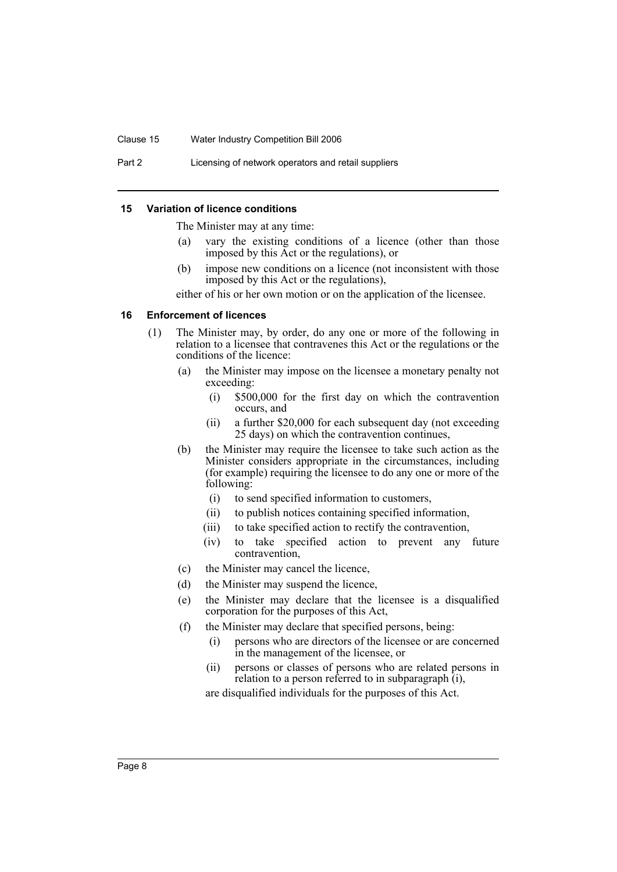#### Clause 15 Water Industry Competition Bill 2006

Part 2 Licensing of network operators and retail suppliers

#### <span id="page-12-0"></span>**15 Variation of licence conditions**

The Minister may at any time:

- (a) vary the existing conditions of a licence (other than those imposed by this Act or the regulations), or
- (b) impose new conditions on a licence (not inconsistent with those imposed by this Act or the regulations),

either of his or her own motion or on the application of the licensee.

#### <span id="page-12-1"></span>**16 Enforcement of licences**

- (1) The Minister may, by order, do any one or more of the following in relation to a licensee that contravenes this Act or the regulations or the conditions of the licence:
	- (a) the Minister may impose on the licensee a monetary penalty not exceeding:
		- (i) \$500,000 for the first day on which the contravention occurs, and
		- (ii) a further \$20,000 for each subsequent day (not exceeding 25 days) on which the contravention continues,
	- (b) the Minister may require the licensee to take such action as the Minister considers appropriate in the circumstances, including (for example) requiring the licensee to do any one or more of the following:
		- (i) to send specified information to customers,
		- (ii) to publish notices containing specified information,
		- (iii) to take specified action to rectify the contravention,
		- (iv) to take specified action to prevent any future contravention,
	- (c) the Minister may cancel the licence,
	- (d) the Minister may suspend the licence,
	- (e) the Minister may declare that the licensee is a disqualified corporation for the purposes of this Act,
	- (f) the Minister may declare that specified persons, being:
		- (i) persons who are directors of the licensee or are concerned in the management of the licensee, or
		- (ii) persons or classes of persons who are related persons in relation to a person referred to in subparagraph (i),

are disqualified individuals for the purposes of this Act.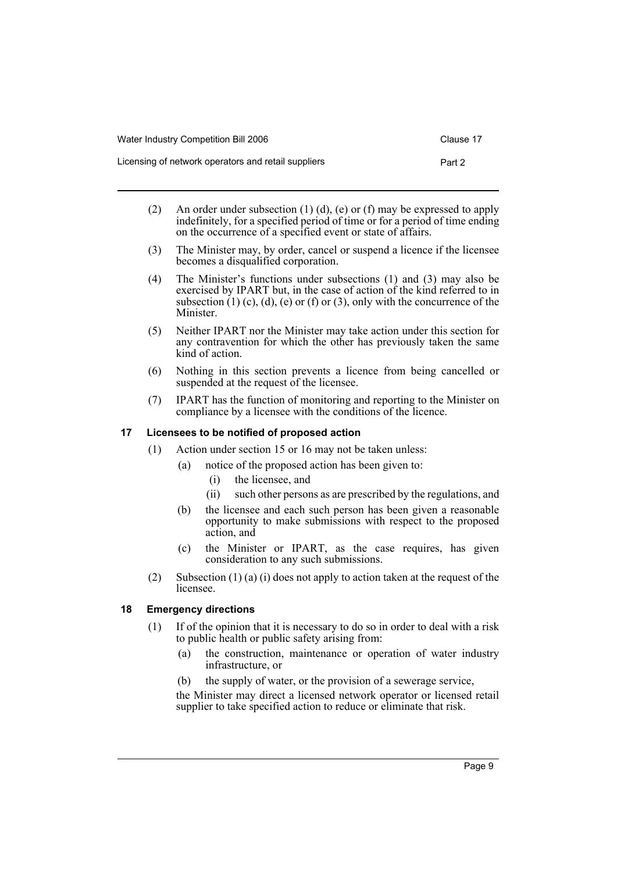| Water Industry Competition Bill 2006                | Clause 17 |
|-----------------------------------------------------|-----------|
| Licensing of network operators and retail suppliers | Part 2    |

- (2) An order under subsection (1) (d), (e) or (f) may be expressed to apply indefinitely, for a specified period of time or for a period of time ending on the occurrence of a specified event or state of affairs.
- (3) The Minister may, by order, cancel or suspend a licence if the licensee becomes a disqualified corporation.
- (4) The Minister's functions under subsections (1) and (3) may also be exercised by IPART but, in the case of action of the kind referred to in subsection  $(1)$  (c), (d), (e) or (f) or (3), only with the concurrence of the Minister.
- (5) Neither IPART nor the Minister may take action under this section for any contravention for which the other has previously taken the same kind of action.
- (6) Nothing in this section prevents a licence from being cancelled or suspended at the request of the licensee.
- (7) IPART has the function of monitoring and reporting to the Minister on compliance by a licensee with the conditions of the licence.

# <span id="page-13-0"></span>**17 Licensees to be notified of proposed action**

- (1) Action under section 15 or 16 may not be taken unless:
	- (a) notice of the proposed action has been given to:
		- (i) the licensee, and
		- (ii) such other persons as are prescribed by the regulations, and
	- (b) the licensee and each such person has been given a reasonable opportunity to make submissions with respect to the proposed action, and
	- (c) the Minister or IPART, as the case requires, has given consideration to any such submissions.
- (2) Subsection (1) (a) (i) does not apply to action taken at the request of the licensee.

## <span id="page-13-1"></span>**18 Emergency directions**

- (1) If of the opinion that it is necessary to do so in order to deal with a risk to public health or public safety arising from:
	- (a) the construction, maintenance or operation of water industry infrastructure, or
	- (b) the supply of water, or the provision of a sewerage service,

the Minister may direct a licensed network operator or licensed retail supplier to take specified action to reduce or eliminate that risk.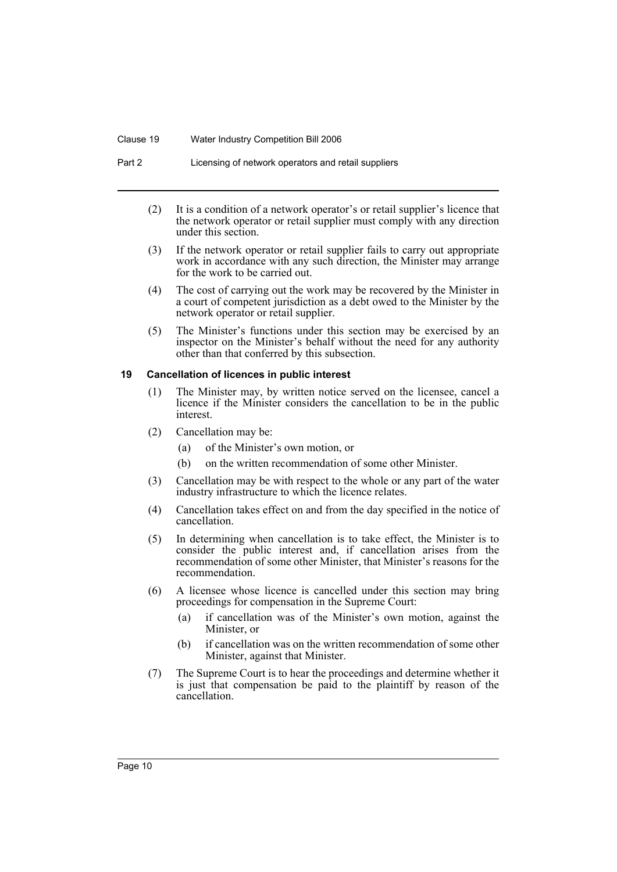#### Clause 19 Water Industry Competition Bill 2006

Part 2 Licensing of network operators and retail suppliers

- (2) It is a condition of a network operator's or retail supplier's licence that the network operator or retail supplier must comply with any direction under this section.
- (3) If the network operator or retail supplier fails to carry out appropriate work in accordance with any such direction, the Minister may arrange for the work to be carried out.
- (4) The cost of carrying out the work may be recovered by the Minister in a court of competent jurisdiction as a debt owed to the Minister by the network operator or retail supplier.
- (5) The Minister's functions under this section may be exercised by an inspector on the Minister's behalf without the need for any authority other than that conferred by this subsection.

#### <span id="page-14-0"></span>**19 Cancellation of licences in public interest**

- (1) The Minister may, by written notice served on the licensee, cancel a licence if the Minister considers the cancellation to be in the public interest.
- (2) Cancellation may be:
	- (a) of the Minister's own motion, or
	- (b) on the written recommendation of some other Minister.
- (3) Cancellation may be with respect to the whole or any part of the water industry infrastructure to which the licence relates.
- (4) Cancellation takes effect on and from the day specified in the notice of cancellation.
- (5) In determining when cancellation is to take effect, the Minister is to consider the public interest and, if cancellation arises from the recommendation of some other Minister, that Minister's reasons for the recommendation.
- (6) A licensee whose licence is cancelled under this section may bring proceedings for compensation in the Supreme Court:
	- (a) if cancellation was of the Minister's own motion, against the Minister, or
	- (b) if cancellation was on the written recommendation of some other Minister, against that Minister.
- (7) The Supreme Court is to hear the proceedings and determine whether it is just that compensation be paid to the plaintiff by reason of the cancellation.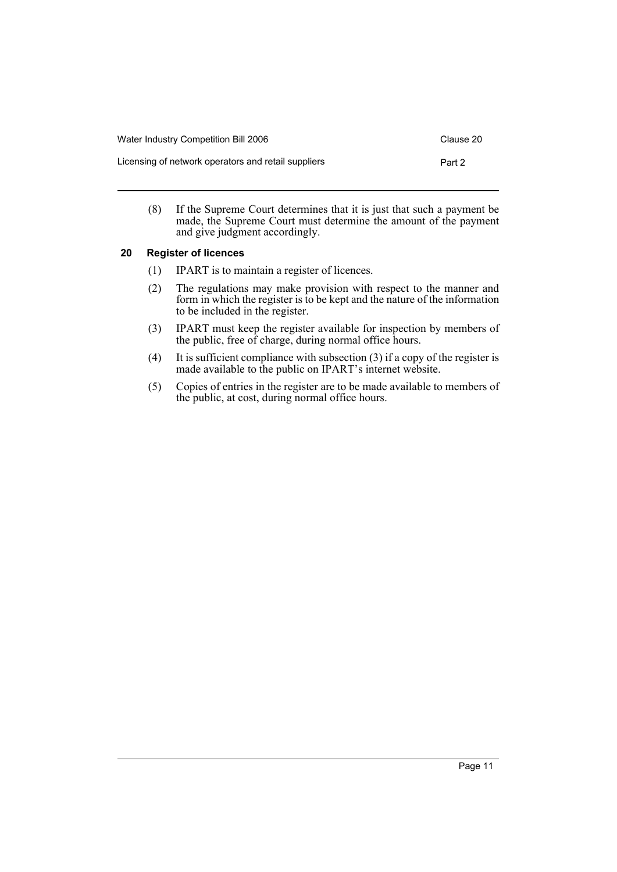| Water Industry Competition Bill 2006                | Clause 20 |
|-----------------------------------------------------|-----------|
| Licensing of network operators and retail suppliers | Part 2    |

(8) If the Supreme Court determines that it is just that such a payment be made, the Supreme Court must determine the amount of the payment and give judgment accordingly.

## <span id="page-15-0"></span>**20 Register of licences**

- (1) IPART is to maintain a register of licences.
- (2) The regulations may make provision with respect to the manner and form in which the register is to be kept and the nature of the information to be included in the register.
- (3) IPART must keep the register available for inspection by members of the public, free of charge, during normal office hours.
- (4) It is sufficient compliance with subsection (3) if a copy of the register is made available to the public on IPART's internet website.
- (5) Copies of entries in the register are to be made available to members of the public, at cost, during normal office hours.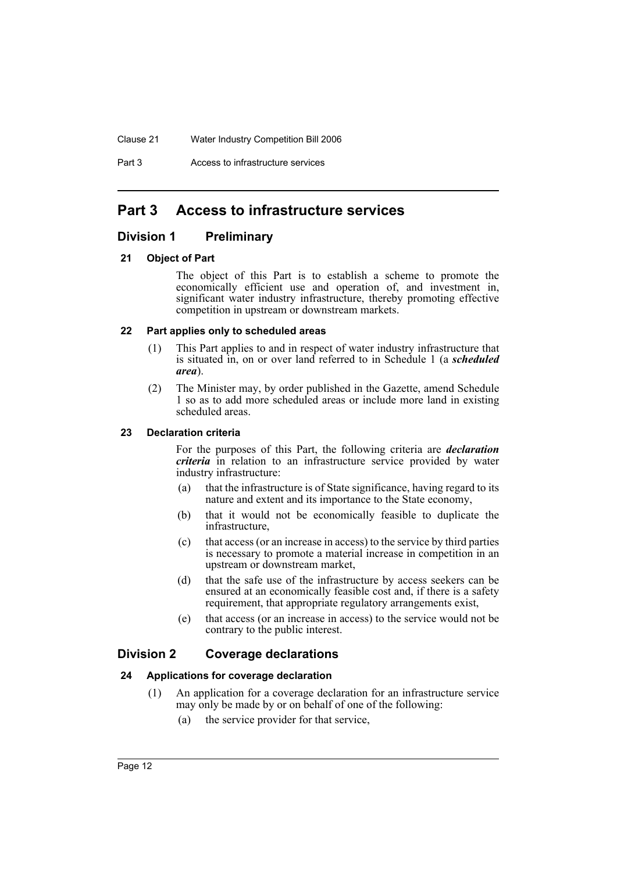Part 3 **Access to infrastructure services** 

# <span id="page-16-0"></span>**Part 3 Access to infrastructure services**

# <span id="page-16-1"></span>**Division 1 Preliminary**

#### <span id="page-16-2"></span>**21 Object of Part**

The object of this Part is to establish a scheme to promote the economically efficient use and operation of, and investment in, significant water industry infrastructure, thereby promoting effective competition in upstream or downstream markets.

#### <span id="page-16-3"></span>**22 Part applies only to scheduled areas**

- (1) This Part applies to and in respect of water industry infrastructure that is situated in, on or over land referred to in Schedule 1 (a *scheduled area*).
- (2) The Minister may, by order published in the Gazette, amend Schedule 1 so as to add more scheduled areas or include more land in existing scheduled areas.

#### <span id="page-16-4"></span>**23 Declaration criteria**

For the purposes of this Part, the following criteria are *declaration criteria* in relation to an infrastructure service provided by water industry infrastructure:

- (a) that the infrastructure is of State significance, having regard to its nature and extent and its importance to the State economy,
- (b) that it would not be economically feasible to duplicate the infrastructure,
- (c) that access (or an increase in access) to the service by third parties is necessary to promote a material increase in competition in an upstream or downstream market,
- (d) that the safe use of the infrastructure by access seekers can be ensured at an economically feasible cost and, if there is a safety requirement, that appropriate regulatory arrangements exist,
- (e) that access (or an increase in access) to the service would not be contrary to the public interest.

# <span id="page-16-5"></span>**Division 2 Coverage declarations**

## <span id="page-16-6"></span>**24 Applications for coverage declaration**

- (1) An application for a coverage declaration for an infrastructure service may only be made by or on behalf of one of the following:
	- (a) the service provider for that service,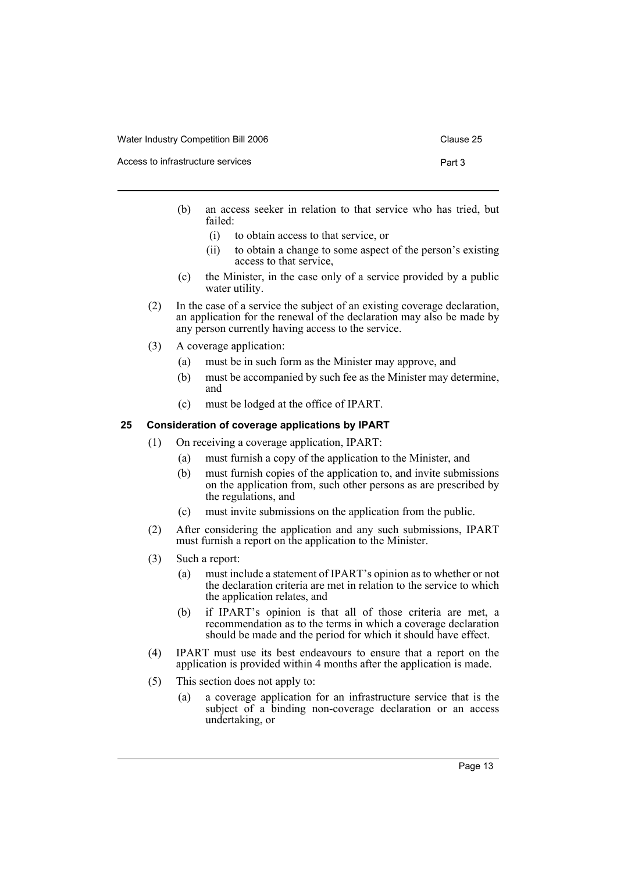| Water Industry Competition Bill 2006 | Clause 25 |
|--------------------------------------|-----------|
| Access to infrastructure services    | Part 3    |

- (b) an access seeker in relation to that service who has tried, but failed:
	- (i) to obtain access to that service, or
	- (ii) to obtain a change to some aspect of the person's existing access to that service,
- (c) the Minister, in the case only of a service provided by a public water utility.

(2) In the case of a service the subject of an existing coverage declaration, an application for the renewal of the declaration may also be made by any person currently having access to the service.

- (3) A coverage application:
	- (a) must be in such form as the Minister may approve, and
	- (b) must be accompanied by such fee as the Minister may determine, and
	- (c) must be lodged at the office of IPART.

## <span id="page-17-0"></span>**25 Consideration of coverage applications by IPART**

- (1) On receiving a coverage application, IPART:
	- (a) must furnish a copy of the application to the Minister, and
	- (b) must furnish copies of the application to, and invite submissions on the application from, such other persons as are prescribed by the regulations, and
	- (c) must invite submissions on the application from the public.
- (2) After considering the application and any such submissions, IPART must furnish a report on the application to the Minister.
- (3) Such a report:
	- (a) must include a statement of IPART's opinion as to whether or not the declaration criteria are met in relation to the service to which the application relates, and
	- (b) if IPART's opinion is that all of those criteria are met, a recommendation as to the terms in which a coverage declaration should be made and the period for which it should have effect.
- (4) IPART must use its best endeavours to ensure that a report on the application is provided within 4 months after the application is made.
- (5) This section does not apply to:
	- (a) a coverage application for an infrastructure service that is the subject of a binding non-coverage declaration or an access undertaking, or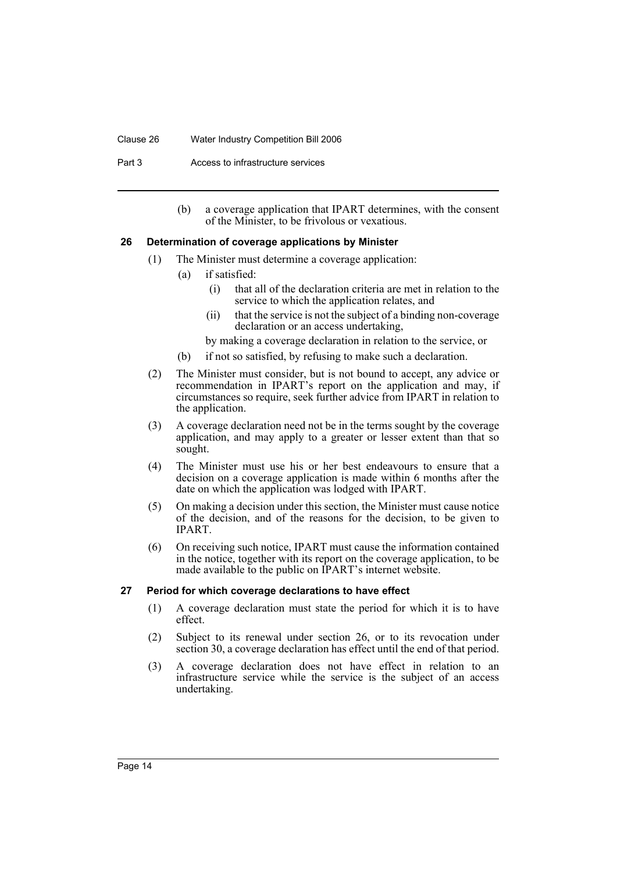#### Clause 26 Water Industry Competition Bill 2006

Part 3 **Access to infrastructure services** 

(b) a coverage application that IPART determines, with the consent of the Minister, to be frivolous or vexatious.

#### <span id="page-18-0"></span>**26 Determination of coverage applications by Minister**

- (1) The Minister must determine a coverage application:
	- (a) if satisfied:
		- (i) that all of the declaration criteria are met in relation to the service to which the application relates, and
		- (ii) that the service is not the subject of a binding non-coverage declaration or an access undertaking,
		- by making a coverage declaration in relation to the service, or
	- (b) if not so satisfied, by refusing to make such a declaration.
- (2) The Minister must consider, but is not bound to accept, any advice or recommendation in IPART's report on the application and may, if circumstances so require, seek further advice from IPART in relation to the application.
- (3) A coverage declaration need not be in the terms sought by the coverage application, and may apply to a greater or lesser extent than that so sought.
- (4) The Minister must use his or her best endeavours to ensure that a decision on a coverage application is made within 6 months after the date on which the application was lodged with IPART.
- (5) On making a decision under this section, the Minister must cause notice of the decision, and of the reasons for the decision, to be given to IPART.
- (6) On receiving such notice, IPART must cause the information contained in the notice, together with its report on the coverage application, to be made available to the public on IPART's internet website.

#### <span id="page-18-1"></span>**27 Period for which coverage declarations to have effect**

- (1) A coverage declaration must state the period for which it is to have effect.
- (2) Subject to its renewal under section 26, or to its revocation under section 30, a coverage declaration has effect until the end of that period.
- (3) A coverage declaration does not have effect in relation to an infrastructure service while the service is the subject of an access undertaking.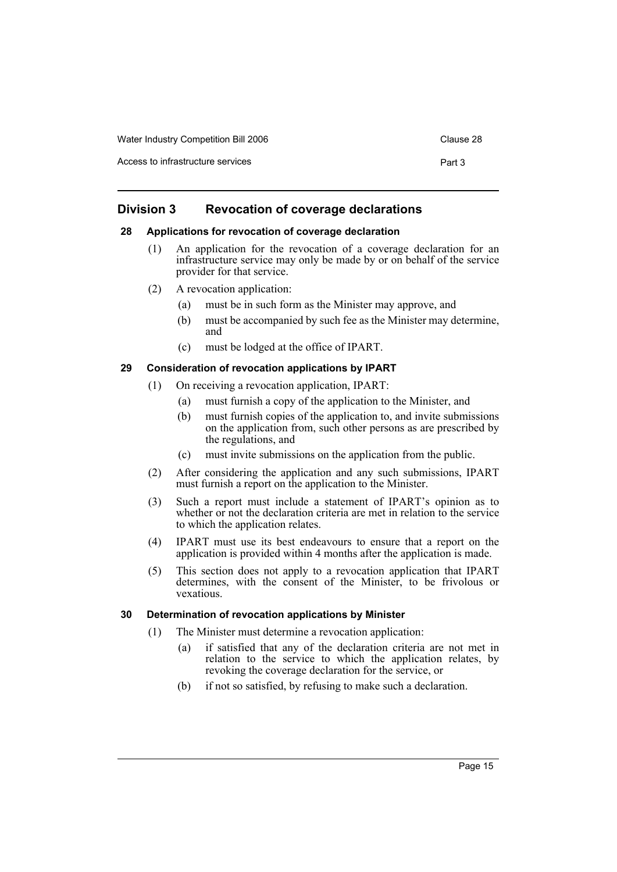| Water Industry Competition Bill 2006 | Clause 28 |
|--------------------------------------|-----------|
| Access to infrastructure services    | Part 3    |

# <span id="page-19-0"></span>**Division 3 Revocation of coverage declarations**

## <span id="page-19-1"></span>**28 Applications for revocation of coverage declaration**

- (1) An application for the revocation of a coverage declaration for an infrastructure service may only be made by or on behalf of the service provider for that service.
- (2) A revocation application:
	- (a) must be in such form as the Minister may approve, and
	- (b) must be accompanied by such fee as the Minister may determine, and
	- (c) must be lodged at the office of IPART.

## <span id="page-19-2"></span>**29 Consideration of revocation applications by IPART**

- (1) On receiving a revocation application, IPART:
	- (a) must furnish a copy of the application to the Minister, and
	- (b) must furnish copies of the application to, and invite submissions on the application from, such other persons as are prescribed by the regulations, and
	- (c) must invite submissions on the application from the public.
- (2) After considering the application and any such submissions, IPART must furnish a report on the application to the Minister.
- (3) Such a report must include a statement of IPART's opinion as to whether or not the declaration criteria are met in relation to the service to which the application relates.
- (4) IPART must use its best endeavours to ensure that a report on the application is provided within 4 months after the application is made.
- (5) This section does not apply to a revocation application that IPART determines, with the consent of the Minister, to be frivolous or vexatious.

## <span id="page-19-3"></span>**30 Determination of revocation applications by Minister**

- (1) The Minister must determine a revocation application:
	- (a) if satisfied that any of the declaration criteria are not met in relation to the service to which the application relates, by revoking the coverage declaration for the service, or
	- (b) if not so satisfied, by refusing to make such a declaration.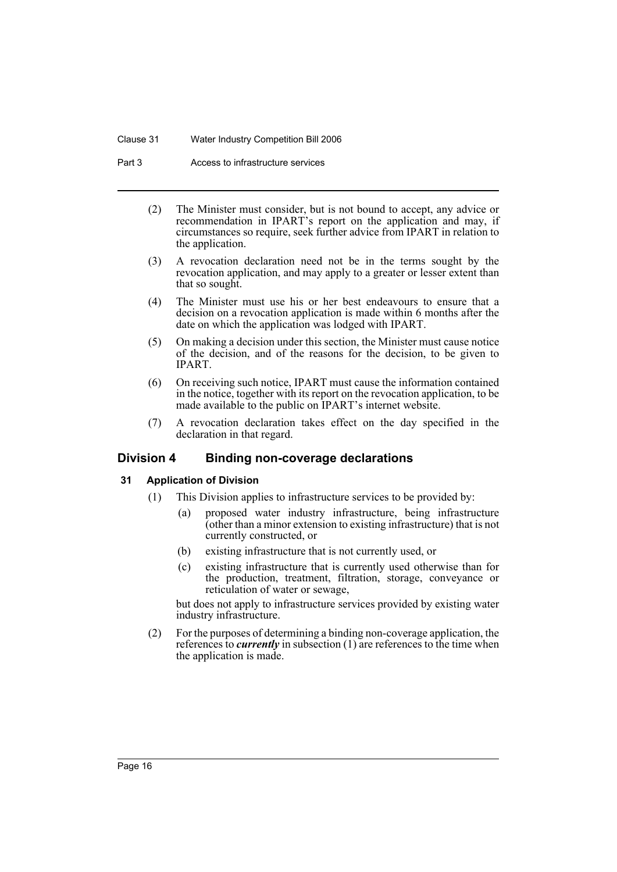#### Clause 31 Water Industry Competition Bill 2006

Part 3 **Access to infrastructure services** 

- (2) The Minister must consider, but is not bound to accept, any advice or recommendation in IPART's report on the application and may, if circumstances so require, seek further advice from IPART in relation to the application.
- (3) A revocation declaration need not be in the terms sought by the revocation application, and may apply to a greater or lesser extent than that so sought.
- (4) The Minister must use his or her best endeavours to ensure that a decision on a revocation application is made within 6 months after the date on which the application was lodged with IPART.
- (5) On making a decision under this section, the Minister must cause notice of the decision, and of the reasons for the decision, to be given to IPART.
- (6) On receiving such notice, IPART must cause the information contained in the notice, together with its report on the revocation application, to be made available to the public on IPART's internet website.
- (7) A revocation declaration takes effect on the day specified in the declaration in that regard.

## <span id="page-20-0"></span>**Division 4 Binding non-coverage declarations**

## <span id="page-20-1"></span>**31 Application of Division**

- (1) This Division applies to infrastructure services to be provided by:
	- (a) proposed water industry infrastructure, being infrastructure (other than a minor extension to existing infrastructure) that is not currently constructed, or
	- (b) existing infrastructure that is not currently used, or
	- (c) existing infrastructure that is currently used otherwise than for the production, treatment, filtration, storage, conveyance or reticulation of water or sewage,

but does not apply to infrastructure services provided by existing water industry infrastructure.

(2) For the purposes of determining a binding non-coverage application, the references to *currently* in subsection (1) are references to the time when the application is made.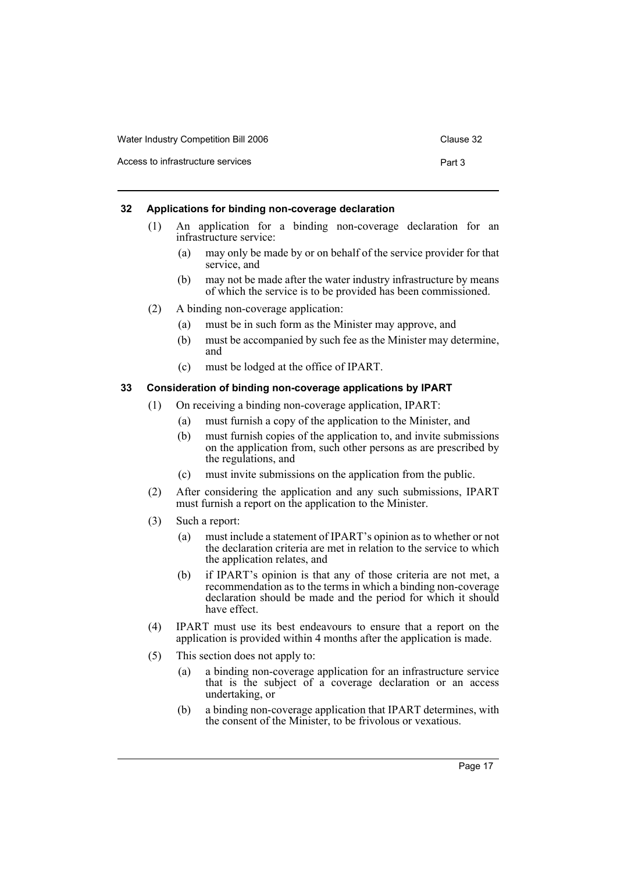| Water Industry Competition Bill 2006 | Clause 32 |
|--------------------------------------|-----------|
| Access to infrastructure services    | Part 3    |

## <span id="page-21-0"></span>**32 Applications for binding non-coverage declaration**

- (1) An application for a binding non-coverage declaration for an infrastructure service:
	- (a) may only be made by or on behalf of the service provider for that service, and
	- (b) may not be made after the water industry infrastructure by means of which the service is to be provided has been commissioned.
- (2) A binding non-coverage application:
	- (a) must be in such form as the Minister may approve, and
	- (b) must be accompanied by such fee as the Minister may determine, and
	- (c) must be lodged at the office of IPART.

# <span id="page-21-1"></span>**33 Consideration of binding non-coverage applications by IPART**

- (1) On receiving a binding non-coverage application, IPART:
	- (a) must furnish a copy of the application to the Minister, and
	- (b) must furnish copies of the application to, and invite submissions on the application from, such other persons as are prescribed by the regulations, and
	- (c) must invite submissions on the application from the public.
- (2) After considering the application and any such submissions, IPART must furnish a report on the application to the Minister.
- (3) Such a report:
	- (a) must include a statement of IPART's opinion as to whether or not the declaration criteria are met in relation to the service to which the application relates, and
	- (b) if IPART's opinion is that any of those criteria are not met, a recommendation as to the terms in which a binding non-coverage declaration should be made and the period for which it should have effect.
- (4) IPART must use its best endeavours to ensure that a report on the application is provided within 4 months after the application is made.
- (5) This section does not apply to:
	- (a) a binding non-coverage application for an infrastructure service that is the subject of a coverage declaration or an access undertaking, or
	- (b) a binding non-coverage application that IPART determines, with the consent of the Minister, to be frivolous or vexatious.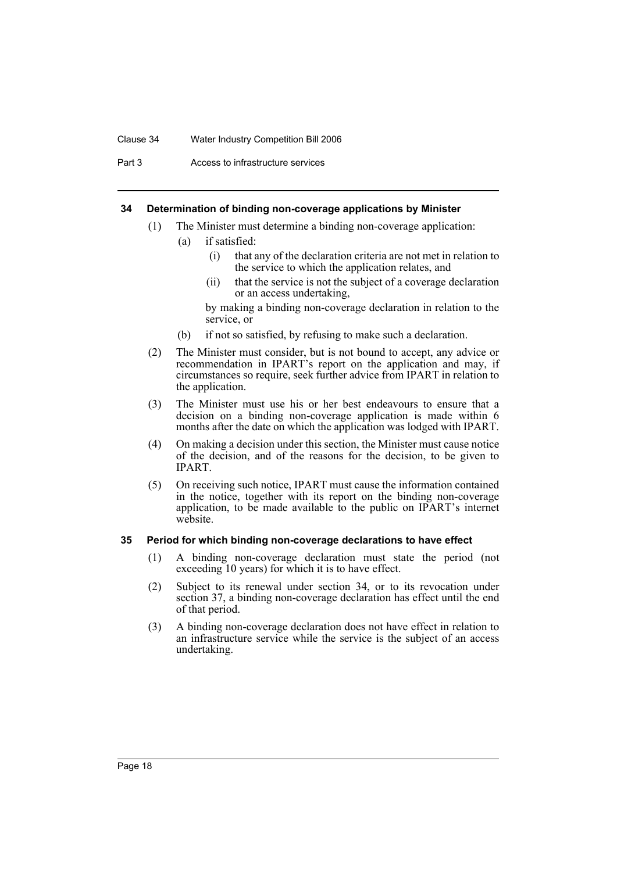#### Clause 34 Water Industry Competition Bill 2006

Part 3 **Access to infrastructure services** 

#### <span id="page-22-0"></span>**34 Determination of binding non-coverage applications by Minister**

- (1) The Minister must determine a binding non-coverage application:
	- (a) if satisfied:
		- (i) that any of the declaration criteria are not met in relation to the service to which the application relates, and
		- (ii) that the service is not the subject of a coverage declaration or an access undertaking,

by making a binding non-coverage declaration in relation to the service, or

- (b) if not so satisfied, by refusing to make such a declaration.
- (2) The Minister must consider, but is not bound to accept, any advice or recommendation in IPART's report on the application and may, if circumstances so require, seek further advice from IPART in relation to the application.
- (3) The Minister must use his or her best endeavours to ensure that a decision on a binding non-coverage application is made within 6 months after the date on which the application was lodged with IPART.
- (4) On making a decision under this section, the Minister must cause notice of the decision, and of the reasons for the decision, to be given to IPART.
- (5) On receiving such notice, IPART must cause the information contained in the notice, together with its report on the binding non-coverage application, to be made available to the public on IPART's internet website.

#### <span id="page-22-1"></span>**35 Period for which binding non-coverage declarations to have effect**

- (1) A binding non-coverage declaration must state the period (not exceeding 10 years) for which it is to have effect.
- (2) Subject to its renewal under section 34, or to its revocation under section 37, a binding non-coverage declaration has effect until the end of that period.
- (3) A binding non-coverage declaration does not have effect in relation to an infrastructure service while the service is the subject of an access undertaking.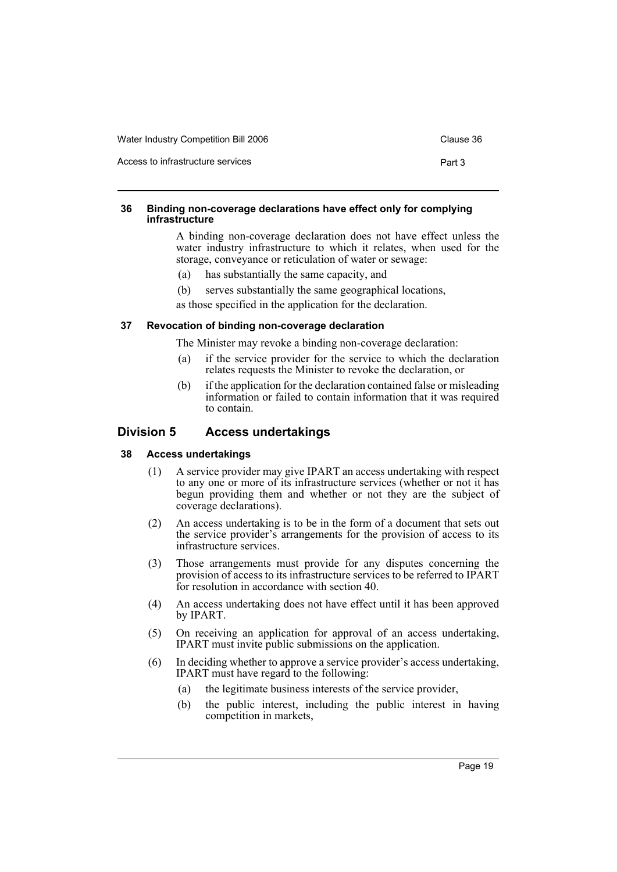| Water Industry Competition Bill 2006 | Clause 36 |
|--------------------------------------|-----------|
| Access to infrastructure services    | Part 3    |

#### <span id="page-23-0"></span>**36 Binding non-coverage declarations have effect only for complying infrastructure**

A binding non-coverage declaration does not have effect unless the water industry infrastructure to which it relates, when used for the storage, conveyance or reticulation of water or sewage:

- (a) has substantially the same capacity, and
- (b) serves substantially the same geographical locations,
- as those specified in the application for the declaration.

#### <span id="page-23-1"></span>**37 Revocation of binding non-coverage declaration**

The Minister may revoke a binding non-coverage declaration:

- (a) if the service provider for the service to which the declaration relates requests the Minister to revoke the declaration, or
- (b) if the application for the declaration contained false or misleading information or failed to contain information that it was required to contain.

# <span id="page-23-2"></span>**Division 5 Access undertakings**

## <span id="page-23-3"></span>**38 Access undertakings**

- (1) A service provider may give IPART an access undertaking with respect to any one or more of its infrastructure services (whether or not it has begun providing them and whether or not they are the subject of coverage declarations).
- (2) An access undertaking is to be in the form of a document that sets out the service provider's arrangements for the provision of access to its infrastructure services.
- (3) Those arrangements must provide for any disputes concerning the provision of access to its infrastructure services to be referred to IPART for resolution in accordance with section 40.
- (4) An access undertaking does not have effect until it has been approved by IPART.
- (5) On receiving an application for approval of an access undertaking, IPART must invite public submissions on the application.
- (6) In deciding whether to approve a service provider's access undertaking, IPART must have regard to the following:
	- (a) the legitimate business interests of the service provider,
	- (b) the public interest, including the public interest in having competition in markets,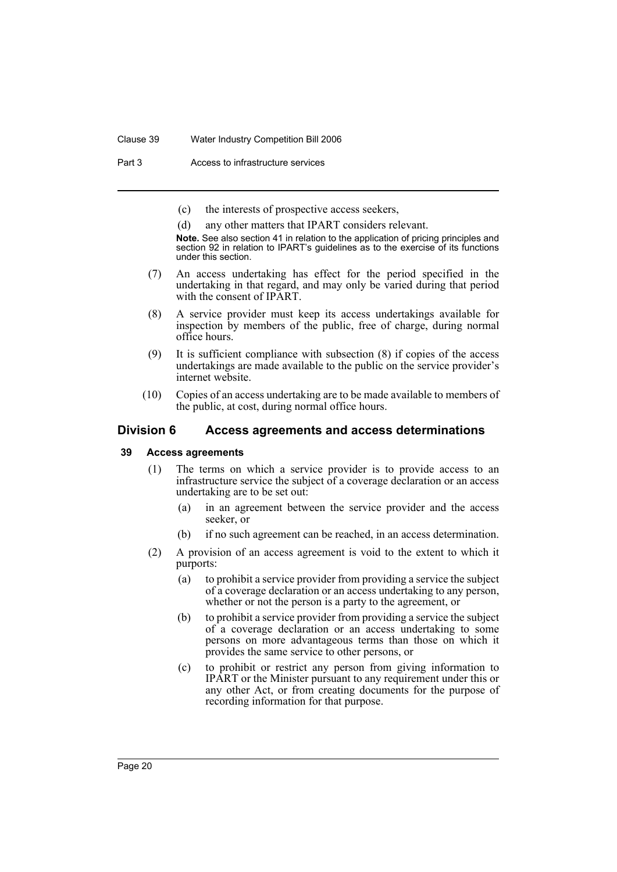#### Clause 39 Water Industry Competition Bill 2006

Part 3 **Access to infrastructure services** 

- (c) the interests of prospective access seekers,
- (d) any other matters that IPART considers relevant.

**Note.** See also section 41 in relation to the application of pricing principles and section 92 in relation to IPART's guidelines as to the exercise of its functions under this section.

- (7) An access undertaking has effect for the period specified in the undertaking in that regard, and may only be varied during that period with the consent of IPART.
- (8) A service provider must keep its access undertakings available for inspection by members of the public, free of charge, during normal office hours.
- (9) It is sufficient compliance with subsection (8) if copies of the access undertakings are made available to the public on the service provider's internet website.
- (10) Copies of an access undertaking are to be made available to members of the public, at cost, during normal office hours.

#### <span id="page-24-0"></span>**Division 6 Access agreements and access determinations**

#### <span id="page-24-1"></span>**39 Access agreements**

- (1) The terms on which a service provider is to provide access to an infrastructure service the subject of a coverage declaration or an access undertaking are to be set out:
	- (a) in an agreement between the service provider and the access seeker, or
	- (b) if no such agreement can be reached, in an access determination.
- (2) A provision of an access agreement is void to the extent to which it purports:
	- (a) to prohibit a service provider from providing a service the subject of a coverage declaration or an access undertaking to any person, whether or not the person is a party to the agreement, or
	- (b) to prohibit a service provider from providing a service the subject of a coverage declaration or an access undertaking to some persons on more advantageous terms than those on which it provides the same service to other persons, or
	- (c) to prohibit or restrict any person from giving information to IPART or the Minister pursuant to any requirement under this or any other Act, or from creating documents for the purpose of recording information for that purpose.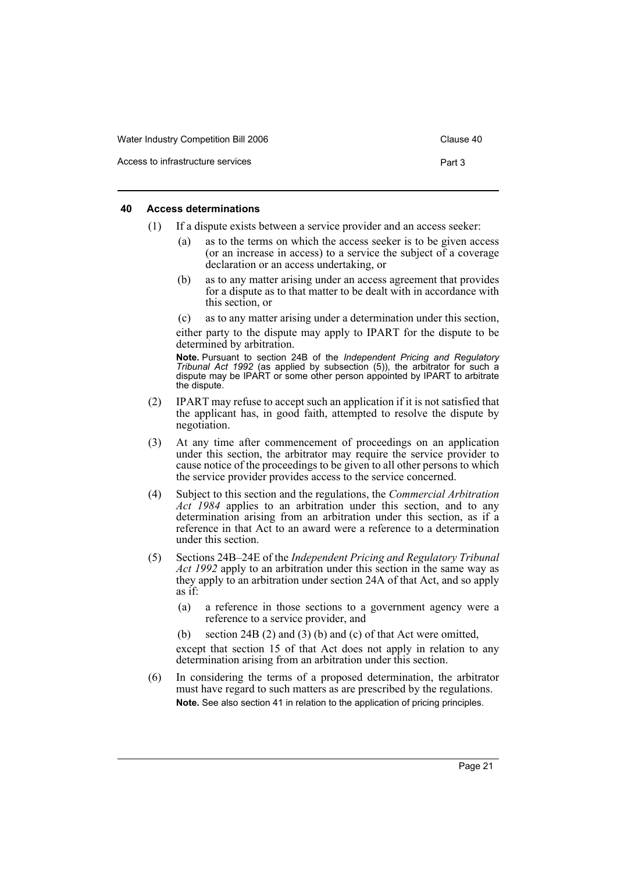| Water Industry Competition Bill 2006 | Clause 40 |
|--------------------------------------|-----------|
| Access to infrastructure services    | Part 3    |

#### <span id="page-25-0"></span>**40 Access determinations**

- (1) If a dispute exists between a service provider and an access seeker:
	- (a) as to the terms on which the access seeker is to be given access (or an increase in access) to a service the subject of a coverage declaration or an access undertaking, or
	- (b) as to any matter arising under an access agreement that provides for a dispute as to that matter to be dealt with in accordance with this section, or

(c) as to any matter arising under a determination under this section, either party to the dispute may apply to IPART for the dispute to be determined by arbitration.

**Note.** Pursuant to section 24B of the *Independent Pricing and Regulatory Tribunal Act 1992* (as applied by subsection (5)), the arbitrator for such a dispute may be IPART or some other person appointed by IPART to arbitrate the dispute.

- (2) IPART may refuse to accept such an application if it is not satisfied that the applicant has, in good faith, attempted to resolve the dispute by negotiation.
- (3) At any time after commencement of proceedings on an application under this section, the arbitrator may require the service provider to cause notice of the proceedings to be given to all other persons to which the service provider provides access to the service concerned.
- (4) Subject to this section and the regulations, the *Commercial Arbitration Act 1984* applies to an arbitration under this section, and to any determination arising from an arbitration under this section, as if a reference in that Act to an award were a reference to a determination under this section.
- (5) Sections 24B–24E of the *Independent Pricing and Regulatory Tribunal Act 1992* apply to an arbitration under this section in the same way as they apply to an arbitration under section 24A of that Act, and so apply as if:
	- (a) a reference in those sections to a government agency were a reference to a service provider, and
	- (b) section 24B (2) and (3) (b) and (c) of that Act were omitted,

except that section 15 of that Act does not apply in relation to any determination arising from an arbitration under this section.

(6) In considering the terms of a proposed determination, the arbitrator must have regard to such matters as are prescribed by the regulations. **Note.** See also section 41 in relation to the application of pricing principles.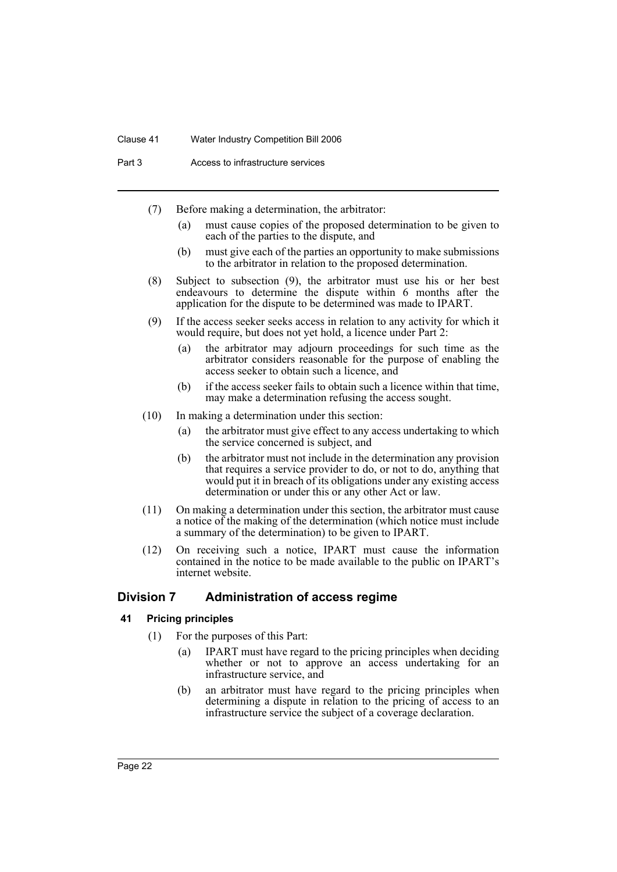#### Clause 41 Water Industry Competition Bill 2006

Part 3 **Access to infrastructure services** 

- (7) Before making a determination, the arbitrator:
	- (a) must cause copies of the proposed determination to be given to each of the parties to the dispute, and
	- (b) must give each of the parties an opportunity to make submissions to the arbitrator in relation to the proposed determination.
- (8) Subject to subsection (9), the arbitrator must use his or her best endeavours to determine the dispute within 6 months after the application for the dispute to be determined was made to IPART.
- (9) If the access seeker seeks access in relation to any activity for which it would require, but does not yet hold, a licence under Part 2:
	- (a) the arbitrator may adjourn proceedings for such time as the arbitrator considers reasonable for the purpose of enabling the access seeker to obtain such a licence, and
	- (b) if the access seeker fails to obtain such a licence within that time, may make a determination refusing the access sought.
- (10) In making a determination under this section:
	- (a) the arbitrator must give effect to any access undertaking to which the service concerned is subject, and
	- (b) the arbitrator must not include in the determination any provision that requires a service provider to do, or not to do, anything that would put it in breach of its obligations under any existing access determination or under this or any other Act or law.
- (11) On making a determination under this section, the arbitrator must cause a notice of the making of the determination (which notice must include a summary of the determination) to be given to IPART.
- (12) On receiving such a notice, IPART must cause the information contained in the notice to be made available to the public on IPART's internet website.

# <span id="page-26-0"></span>**Division 7 Administration of access regime**

## <span id="page-26-1"></span>**41 Pricing principles**

- (1) For the purposes of this Part:
	- (a) IPART must have regard to the pricing principles when deciding whether or not to approve an access undertaking for an infrastructure service, and
	- (b) an arbitrator must have regard to the pricing principles when determining a dispute in relation to the pricing of access to an infrastructure service the subject of a coverage declaration.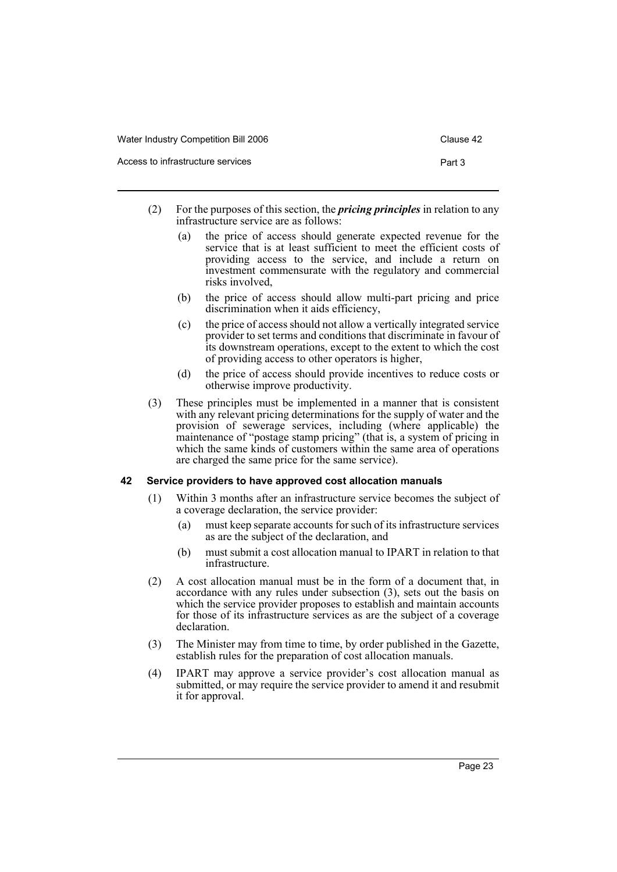| Water Industry Competition Bill 2006 | Clause 42 |
|--------------------------------------|-----------|
| Access to infrastructure services    | Part 3    |

- (2) For the purposes of this section, the *pricing principles* in relation to any infrastructure service are as follows:
	- (a) the price of access should generate expected revenue for the service that is at least sufficient to meet the efficient costs of providing access to the service, and include a return on investment commensurate with the regulatory and commercial risks involved,
	- (b) the price of access should allow multi-part pricing and price discrimination when it aids efficiency,
	- (c) the price of access should not allow a vertically integrated service provider to set terms and conditions that discriminate in favour of its downstream operations, except to the extent to which the cost of providing access to other operators is higher,
	- (d) the price of access should provide incentives to reduce costs or otherwise improve productivity.
- (3) These principles must be implemented in a manner that is consistent with any relevant pricing determinations for the supply of water and the provision of sewerage services, including (where applicable) the maintenance of "postage stamp pricing" (that is, a system of pricing in which the same kinds of customers within the same area of operations are charged the same price for the same service).

## <span id="page-27-0"></span>**42 Service providers to have approved cost allocation manuals**

- (1) Within 3 months after an infrastructure service becomes the subject of a coverage declaration, the service provider:
	- (a) must keep separate accounts for such of its infrastructure services as are the subject of the declaration, and
	- (b) must submit a cost allocation manual to IPART in relation to that infrastructure.
- (2) A cost allocation manual must be in the form of a document that, in accordance with any rules under subsection (3), sets out the basis on which the service provider proposes to establish and maintain accounts for those of its infrastructure services as are the subject of a coverage declaration.
- (3) The Minister may from time to time, by order published in the Gazette, establish rules for the preparation of cost allocation manuals.
- (4) IPART may approve a service provider's cost allocation manual as submitted, or may require the service provider to amend it and resubmit it for approval.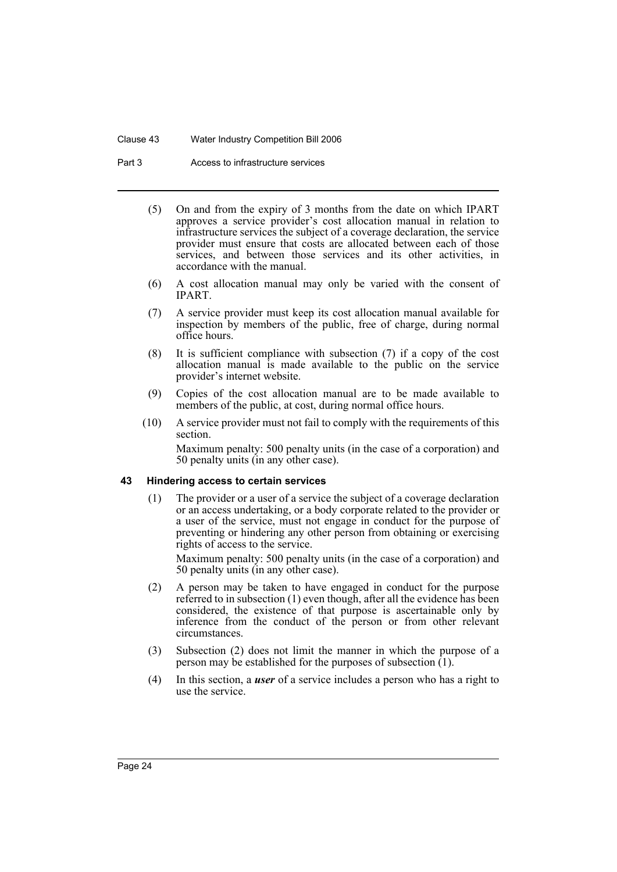#### Clause 43 Water Industry Competition Bill 2006

Part 3 **Access to infrastructure services** 

- (5) On and from the expiry of 3 months from the date on which IPART approves a service provider's cost allocation manual in relation to infrastructure services the subject of a coverage declaration, the service provider must ensure that costs are allocated between each of those services, and between those services and its other activities, in accordance with the manual.
- (6) A cost allocation manual may only be varied with the consent of IPART.
- (7) A service provider must keep its cost allocation manual available for inspection by members of the public, free of charge, during normal office hours.
- (8) It is sufficient compliance with subsection (7) if a copy of the cost allocation manual is made available to the public on the service provider's internet website.
- (9) Copies of the cost allocation manual are to be made available to members of the public, at cost, during normal office hours.
- (10) A service provider must not fail to comply with the requirements of this section.

Maximum penalty: 500 penalty units (in the case of a corporation) and 50 penalty units (in any other case).

## <span id="page-28-0"></span>**43 Hindering access to certain services**

(1) The provider or a user of a service the subject of a coverage declaration or an access undertaking, or a body corporate related to the provider or a user of the service, must not engage in conduct for the purpose of preventing or hindering any other person from obtaining or exercising rights of access to the service.

Maximum penalty: 500 penalty units (in the case of a corporation) and 50 penalty units (in any other case).

- (2) A person may be taken to have engaged in conduct for the purpose referred to in subsection (1) even though, after all the evidence has been considered, the existence of that purpose is ascertainable only by inference from the conduct of the person or from other relevant circumstances.
- (3) Subsection (2) does not limit the manner in which the purpose of a person may be established for the purposes of subsection (1).
- (4) In this section, a *user* of a service includes a person who has a right to use the service.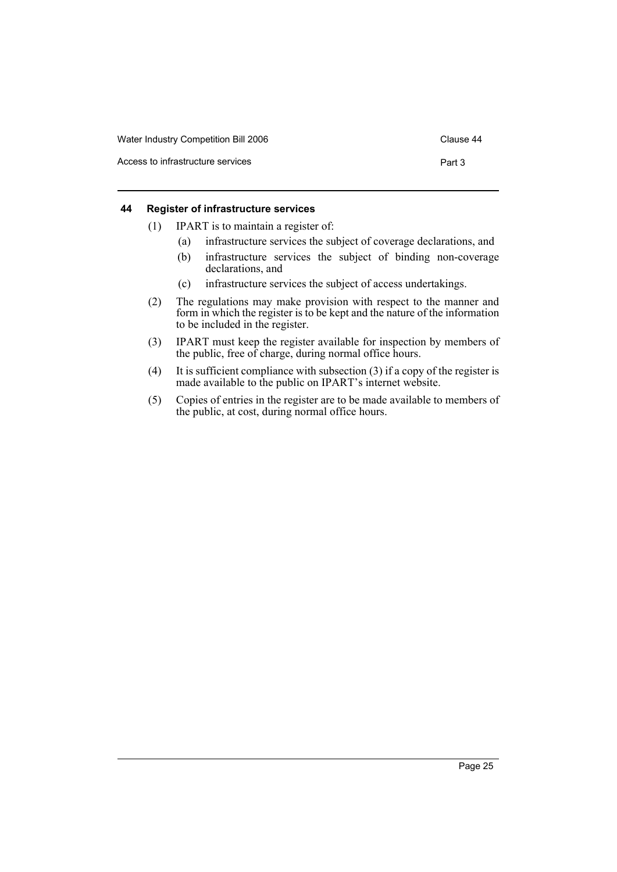| Water Industry Competition Bill 2006 | Clause 44 |
|--------------------------------------|-----------|
| Access to infrastructure services    | Part 3    |

## <span id="page-29-0"></span>**44 Register of infrastructure services**

- (1) IPART is to maintain a register of:
	- (a) infrastructure services the subject of coverage declarations, and
	- (b) infrastructure services the subject of binding non-coverage declarations, and
	- (c) infrastructure services the subject of access undertakings.
- (2) The regulations may make provision with respect to the manner and form in which the register is to be kept and the nature of the information to be included in the register.
- (3) IPART must keep the register available for inspection by members of the public, free of charge, during normal office hours.
- (4) It is sufficient compliance with subsection (3) if a copy of the register is made available to the public on IPART's internet website.
- (5) Copies of entries in the register are to be made available to members of the public, at cost, during normal office hours.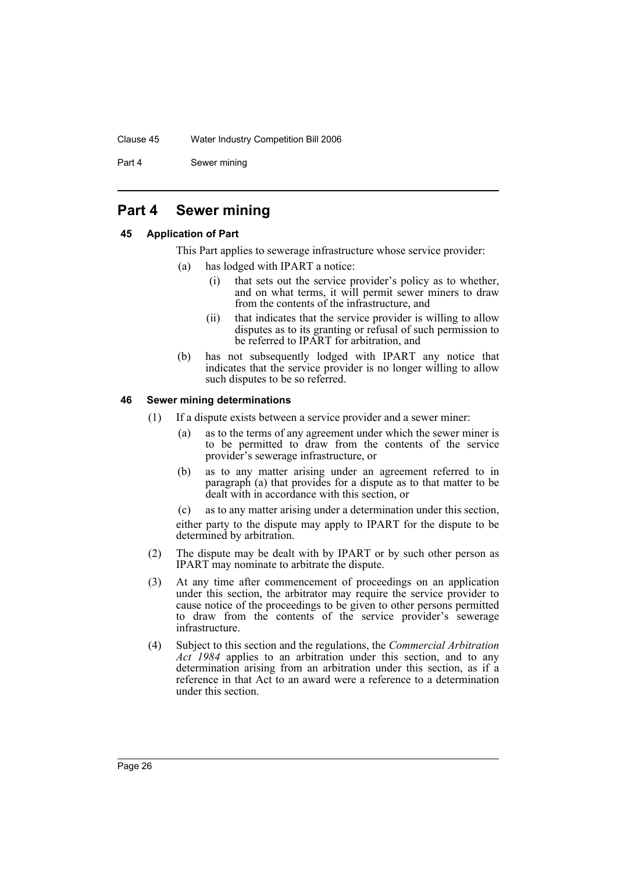#### Clause 45 Water Industry Competition Bill 2006

Part 4 Sewer mining

# <span id="page-30-0"></span>**Part 4 Sewer mining**

#### <span id="page-30-1"></span>**45 Application of Part**

- This Part applies to sewerage infrastructure whose service provider:
	- (a) has lodged with IPART a notice:
		- (i) that sets out the service provider's policy as to whether, and on what terms, it will permit sewer miners to draw from the contents of the infrastructure, and
		- (ii) that indicates that the service provider is willing to allow disputes as to its granting or refusal of such permission to be referred to IPART for arbitration, and
	- (b) has not subsequently lodged with IPART any notice that indicates that the service provider is no longer willing to allow such disputes to be so referred.

#### <span id="page-30-2"></span>**46 Sewer mining determinations**

- (1) If a dispute exists between a service provider and a sewer miner:
	- (a) as to the terms of any agreement under which the sewer miner is to be permitted to draw from the contents of the service provider's sewerage infrastructure, or
	- (b) as to any matter arising under an agreement referred to in paragraph (a) that provides for a dispute as to that matter to be dealt with in accordance with this section, or
	- (c) as to any matter arising under a determination under this section,

either party to the dispute may apply to IPART for the dispute to be determined by arbitration.

- (2) The dispute may be dealt with by IPART or by such other person as IPART may nominate to arbitrate the dispute.
- (3) At any time after commencement of proceedings on an application under this section, the arbitrator may require the service provider to cause notice of the proceedings to be given to other persons permitted to draw from the contents of the service provider's sewerage infrastructure.
- (4) Subject to this section and the regulations, the *Commercial Arbitration Act 1984* applies to an arbitration under this section, and to any determination arising from an arbitration under this section, as if a reference in that Act to an award were a reference to a determination under this section.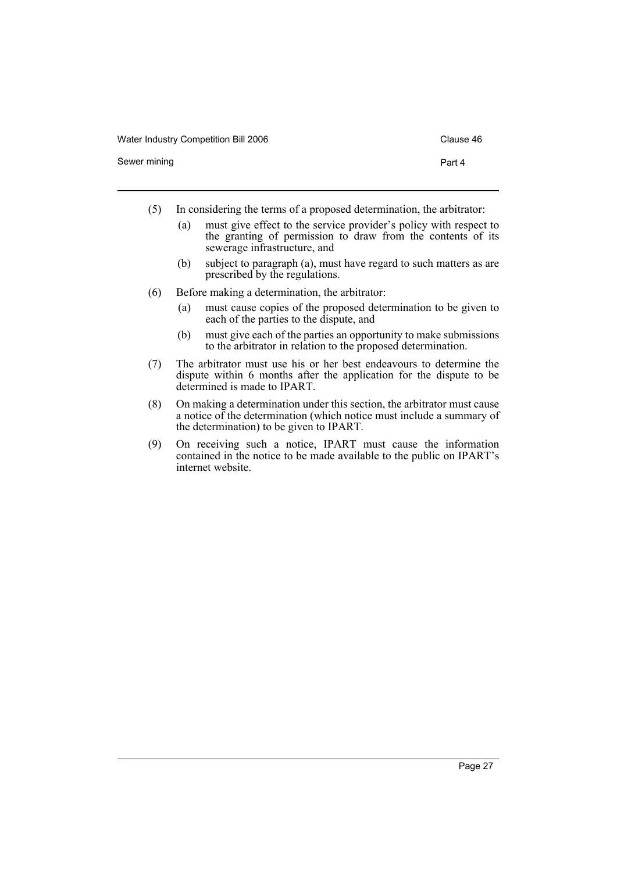| Water Industry Competition Bill 2006 | Clause 46 |
|--------------------------------------|-----------|
| Sewer mining                         | Part 4    |

- (5) In considering the terms of a proposed determination, the arbitrator:
	- (a) must give effect to the service provider's policy with respect to the granting of permission to draw from the contents of its sewerage infrastructure, and
	- (b) subject to paragraph (a), must have regard to such matters as are prescribed by the regulations.
- (6) Before making a determination, the arbitrator:
	- (a) must cause copies of the proposed determination to be given to each of the parties to the dispute, and
	- (b) must give each of the parties an opportunity to make submissions to the arbitrator in relation to the proposed determination.
- (7) The arbitrator must use his or her best endeavours to determine the dispute within 6 months after the application for the dispute to be determined is made to IPART.
- (8) On making a determination under this section, the arbitrator must cause a notice of the determination (which notice must include a summary of the determination) to be given to IPART.
- (9) On receiving such a notice, IPART must cause the information contained in the notice to be made available to the public on IPART's internet website.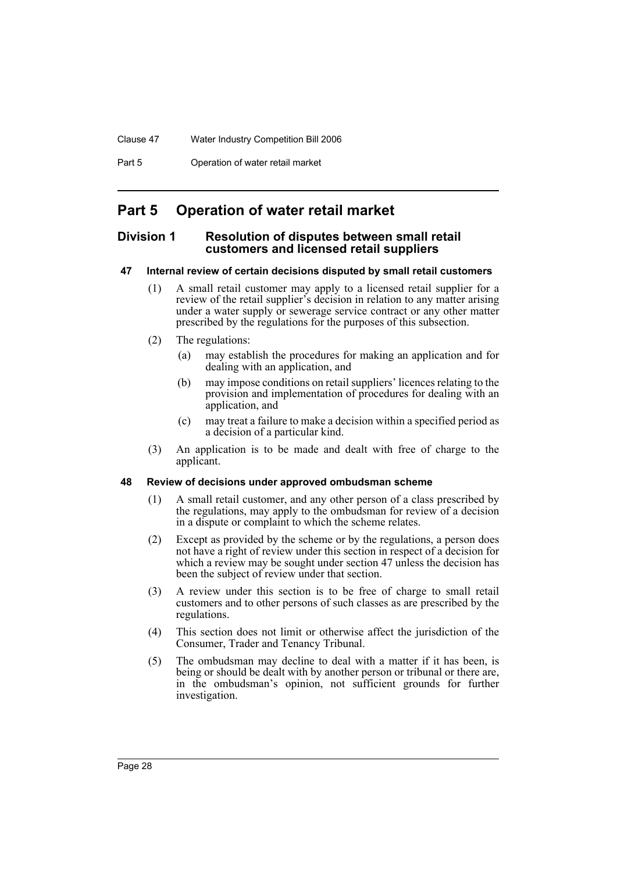#### Clause 47 Water Industry Competition Bill 2006

Part 5 Operation of water retail market

# <span id="page-32-0"></span>**Part 5 Operation of water retail market**

# <span id="page-32-1"></span>**Division 1 Resolution of disputes between small retail customers and licensed retail suppliers**

# <span id="page-32-2"></span>**47 Internal review of certain decisions disputed by small retail customers**

- (1) A small retail customer may apply to a licensed retail supplier for a review of the retail supplier's decision in relation to any matter arising under a water supply or sewerage service contract or any other matter prescribed by the regulations for the purposes of this subsection.
- (2) The regulations:
	- (a) may establish the procedures for making an application and for dealing with an application, and
	- (b) may impose conditions on retail suppliers' licences relating to the provision and implementation of procedures for dealing with an application, and
	- (c) may treat a failure to make a decision within a specified period as a decision of a particular kind.
- (3) An application is to be made and dealt with free of charge to the applicant.

## <span id="page-32-3"></span>**48 Review of decisions under approved ombudsman scheme**

- (1) A small retail customer, and any other person of a class prescribed by the regulations, may apply to the ombudsman for review of a decision in a dispute or complaint to which the scheme relates.
- (2) Except as provided by the scheme or by the regulations, a person does not have a right of review under this section in respect of a decision for which a review may be sought under section 47 unless the decision has been the subject of review under that section.
- (3) A review under this section is to be free of charge to small retail customers and to other persons of such classes as are prescribed by the regulations.
- (4) This section does not limit or otherwise affect the jurisdiction of the Consumer, Trader and Tenancy Tribunal.
- (5) The ombudsman may decline to deal with a matter if it has been, is being or should be dealt with by another person or tribunal or there are, in the ombudsman's opinion, not sufficient grounds for further investigation.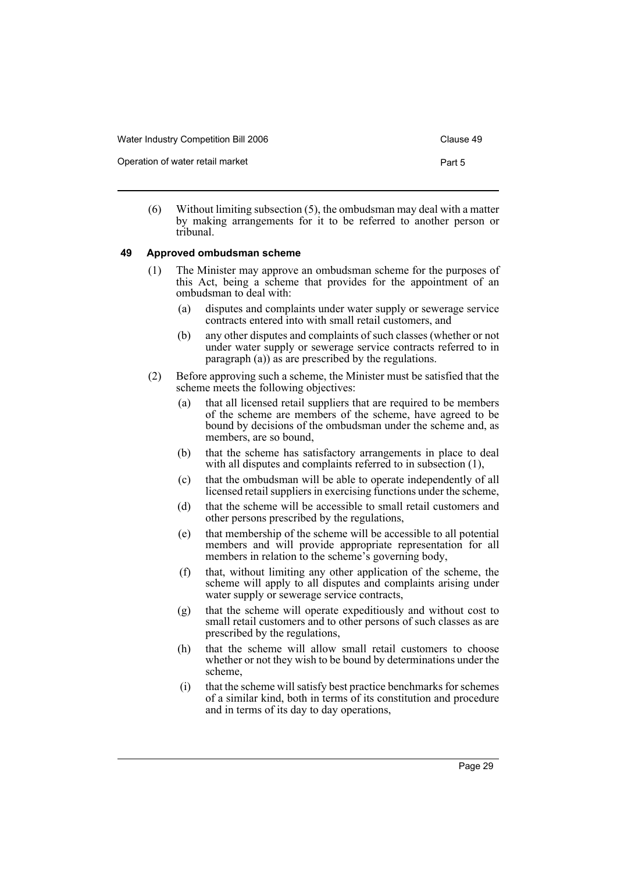| Water Industry Competition Bill 2006 | Clause 49 |
|--------------------------------------|-----------|
| Operation of water retail market     | Part 5    |

(6) Without limiting subsection (5), the ombudsman may deal with a matter by making arrangements for it to be referred to another person or tribunal.

## <span id="page-33-0"></span>**49 Approved ombudsman scheme**

- (1) The Minister may approve an ombudsman scheme for the purposes of this Act, being a scheme that provides for the appointment of an ombudsman to deal with:
	- (a) disputes and complaints under water supply or sewerage service contracts entered into with small retail customers, and
	- (b) any other disputes and complaints of such classes (whether or not under water supply or sewerage service contracts referred to in paragraph (a)) as are prescribed by the regulations.
- (2) Before approving such a scheme, the Minister must be satisfied that the scheme meets the following objectives:
	- (a) that all licensed retail suppliers that are required to be members of the scheme are members of the scheme, have agreed to be bound by decisions of the ombudsman under the scheme and, as members, are so bound,
	- (b) that the scheme has satisfactory arrangements in place to deal with all disputes and complaints referred to in subsection (1),
	- (c) that the ombudsman will be able to operate independently of all licensed retail suppliers in exercising functions under the scheme,
	- (d) that the scheme will be accessible to small retail customers and other persons prescribed by the regulations,
	- (e) that membership of the scheme will be accessible to all potential members and will provide appropriate representation for all members in relation to the scheme's governing body,
	- (f) that, without limiting any other application of the scheme, the scheme will apply to all disputes and complaints arising under water supply or sewerage service contracts,
	- (g) that the scheme will operate expeditiously and without cost to small retail customers and to other persons of such classes as are prescribed by the regulations,
	- (h) that the scheme will allow small retail customers to choose whether or not they wish to be bound by determinations under the scheme,
	- (i) that the scheme will satisfy best practice benchmarks for schemes of a similar kind, both in terms of its constitution and procedure and in terms of its day to day operations,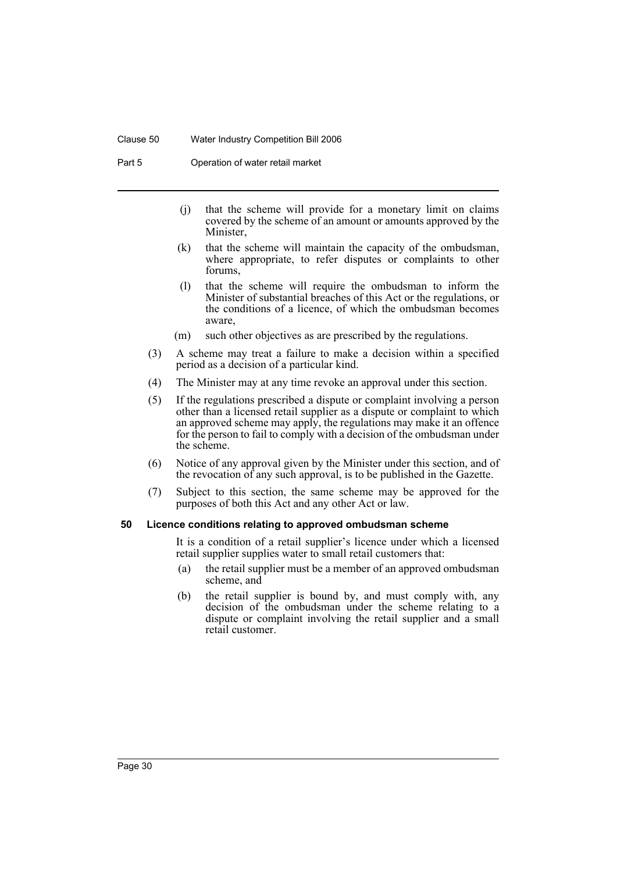#### Clause 50 Water Industry Competition Bill 2006

Part 5 Operation of water retail market

- (j) that the scheme will provide for a monetary limit on claims covered by the scheme of an amount or amounts approved by the Minister,
- (k) that the scheme will maintain the capacity of the ombudsman, where appropriate, to refer disputes or complaints to other forums,
- (l) that the scheme will require the ombudsman to inform the Minister of substantial breaches of this Act or the regulations, or the conditions of a licence, of which the ombudsman becomes aware,
- (m) such other objectives as are prescribed by the regulations.
- (3) A scheme may treat a failure to make a decision within a specified period as a decision of a particular kind.
- (4) The Minister may at any time revoke an approval under this section.
- (5) If the regulations prescribed a dispute or complaint involving a person other than a licensed retail supplier as a dispute or complaint to which an approved scheme may apply, the regulations may make it an offence for the person to fail to comply with a decision of the ombudsman under the scheme.
- (6) Notice of any approval given by the Minister under this section, and of the revocation of any such approval, is to be published in the Gazette.
- (7) Subject to this section, the same scheme may be approved for the purposes of both this Act and any other Act or law.

#### <span id="page-34-0"></span>**50 Licence conditions relating to approved ombudsman scheme**

It is a condition of a retail supplier's licence under which a licensed retail supplier supplies water to small retail customers that:

- (a) the retail supplier must be a member of an approved ombudsman scheme, and
- (b) the retail supplier is bound by, and must comply with, any decision of the ombudsman under the scheme relating to a dispute or complaint involving the retail supplier and a small retail customer.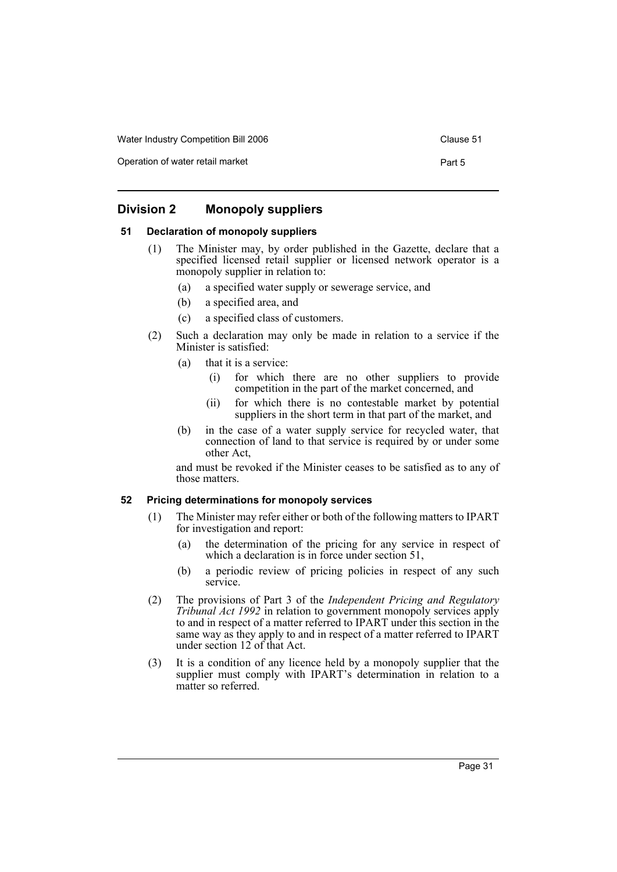| Water Industry Competition Bill 2006 | Clause 51 |
|--------------------------------------|-----------|
| Operation of water retail market     | Part 5    |

# <span id="page-35-0"></span>**Division 2 Monopoly suppliers**

#### <span id="page-35-1"></span>**51 Declaration of monopoly suppliers**

- (1) The Minister may, by order published in the Gazette, declare that a specified licensed retail supplier or licensed network operator is a monopoly supplier in relation to:
	- (a) a specified water supply or sewerage service, and
	- (b) a specified area, and
	- (c) a specified class of customers.
- (2) Such a declaration may only be made in relation to a service if the Minister is satisfied:
	- (a) that it is a service:
		- (i) for which there are no other suppliers to provide competition in the part of the market concerned, and
		- (ii) for which there is no contestable market by potential suppliers in the short term in that part of the market, and
	- (b) in the case of a water supply service for recycled water, that connection of land to that service is required by or under some other Act,

and must be revoked if the Minister ceases to be satisfied as to any of those matters.

#### <span id="page-35-2"></span>**52 Pricing determinations for monopoly services**

- (1) The Minister may refer either or both of the following matters to IPART for investigation and report:
	- (a) the determination of the pricing for any service in respect of which a declaration is in force under section 51,
	- (b) a periodic review of pricing policies in respect of any such service.
- (2) The provisions of Part 3 of the *Independent Pricing and Regulatory Tribunal Act 1992* in relation to government monopoly services apply to and in respect of a matter referred to IPART under this section in the same way as they apply to and in respect of a matter referred to IPART under section 12 of that Act.
- (3) It is a condition of any licence held by a monopoly supplier that the supplier must comply with IPART's determination in relation to a matter so referred.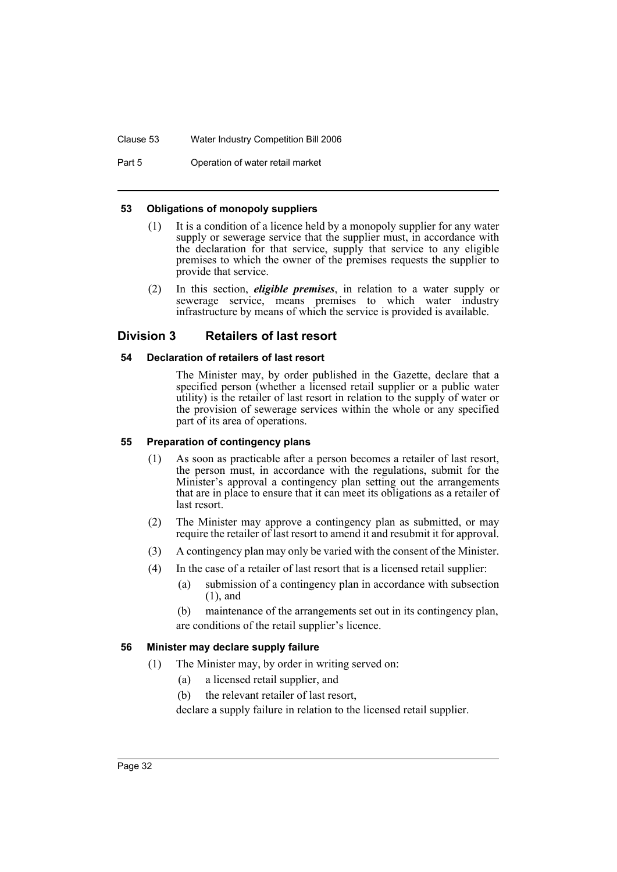Clause 53 Water Industry Competition Bill 2006

Part 5 Operation of water retail market

#### **53 Obligations of monopoly suppliers**

- (1) It is a condition of a licence held by a monopoly supplier for any water supply or sewerage service that the supplier must, in accordance with the declaration for that service, supply that service to any eligible premises to which the owner of the premises requests the supplier to provide that service.
- (2) In this section, *eligible premises*, in relation to a water supply or sewerage service, means premises to which water industry infrastructure by means of which the service is provided is available.

# **Division 3 Retailers of last resort**

# **54 Declaration of retailers of last resort**

The Minister may, by order published in the Gazette, declare that a specified person (whether a licensed retail supplier or a public water utility) is the retailer of last resort in relation to the supply of water or the provision of sewerage services within the whole or any specified part of its area of operations.

# **55 Preparation of contingency plans**

- (1) As soon as practicable after a person becomes a retailer of last resort, the person must, in accordance with the regulations, submit for the Minister's approval a contingency plan setting out the arrangements that are in place to ensure that it can meet its obligations as a retailer of last resort.
- (2) The Minister may approve a contingency plan as submitted, or may require the retailer of last resort to amend it and resubmit it for approval.
- (3) A contingency plan may only be varied with the consent of the Minister.
- (4) In the case of a retailer of last resort that is a licensed retail supplier:
	- (a) submission of a contingency plan in accordance with subsection (1), and
	- (b) maintenance of the arrangements set out in its contingency plan, are conditions of the retail supplier's licence.

# **56 Minister may declare supply failure**

- (1) The Minister may, by order in writing served on:
	- (a) a licensed retail supplier, and
	- (b) the relevant retailer of last resort,

declare a supply failure in relation to the licensed retail supplier.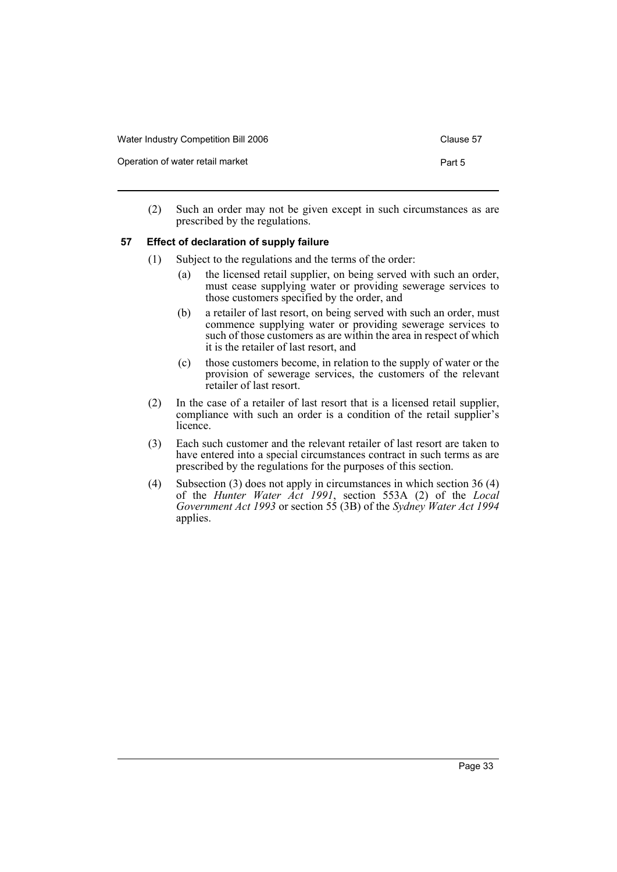| Water Industry Competition Bill 2006 | Clause 57 |
|--------------------------------------|-----------|
| Operation of water retail market     | Part 5    |

(2) Such an order may not be given except in such circumstances as are prescribed by the regulations.

# **57 Effect of declaration of supply failure**

- (1) Subject to the regulations and the terms of the order:
	- (a) the licensed retail supplier, on being served with such an order, must cease supplying water or providing sewerage services to those customers specified by the order, and
	- (b) a retailer of last resort, on being served with such an order, must commence supplying water or providing sewerage services to such of those customers as are within the area in respect of which it is the retailer of last resort, and
	- (c) those customers become, in relation to the supply of water or the provision of sewerage services, the customers of the relevant retailer of last resort.
- (2) In the case of a retailer of last resort that is a licensed retail supplier, compliance with such an order is a condition of the retail supplier's licence.
- (3) Each such customer and the relevant retailer of last resort are taken to have entered into a special circumstances contract in such terms as are prescribed by the regulations for the purposes of this section.
- (4) Subsection (3) does not apply in circumstances in which section 36 (4) of the *Hunter Water Act 1991*, section 553A (2) of the *Local Government Act 1993* or section 55 (3B) of the *Sydney Water Act 1994* applies.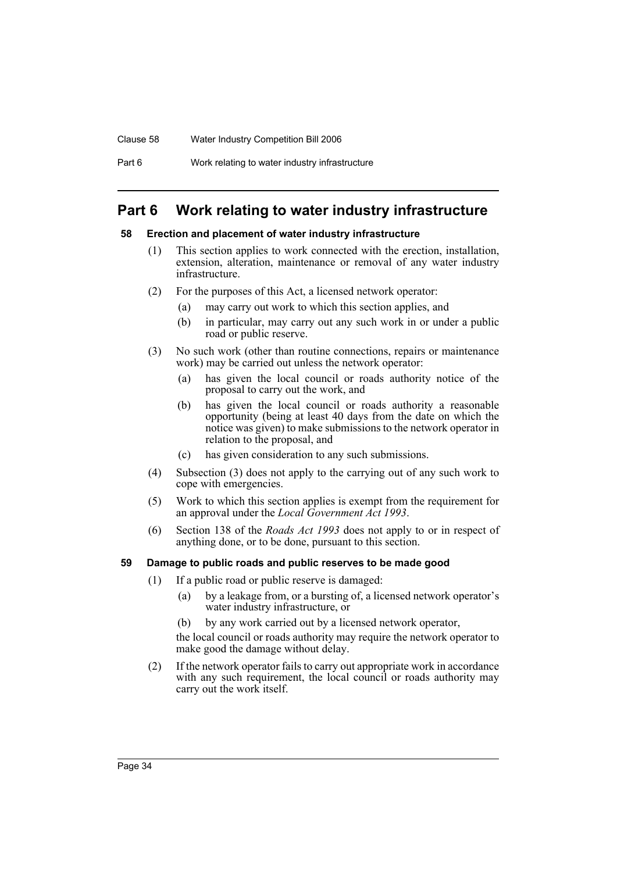# Clause 58 Water Industry Competition Bill 2006

# **Part 6 Work relating to water industry infrastructure**

# **58 Erection and placement of water industry infrastructure**

- (1) This section applies to work connected with the erection, installation, extension, alteration, maintenance or removal of any water industry infrastructure.
- (2) For the purposes of this Act, a licensed network operator:
	- (a) may carry out work to which this section applies, and
	- (b) in particular, may carry out any such work in or under a public road or public reserve.
- (3) No such work (other than routine connections, repairs or maintenance work) may be carried out unless the network operator:
	- (a) has given the local council or roads authority notice of the proposal to carry out the work, and
	- (b) has given the local council or roads authority a reasonable opportunity (being at least 40 days from the date on which the notice was given) to make submissions to the network operator in relation to the proposal, and
	- (c) has given consideration to any such submissions.
- (4) Subsection (3) does not apply to the carrying out of any such work to cope with emergencies.
- (5) Work to which this section applies is exempt from the requirement for an approval under the *Local Government Act 1993*.
- (6) Section 138 of the *Roads Act 1993* does not apply to or in respect of anything done, or to be done, pursuant to this section.

#### **59 Damage to public roads and public reserves to be made good**

- (1) If a public road or public reserve is damaged:
	- (a) by a leakage from, or a bursting of, a licensed network operator's water industry infrastructure, or
	- (b) by any work carried out by a licensed network operator,

the local council or roads authority may require the network operator to make good the damage without delay.

(2) If the network operator fails to carry out appropriate work in accordance with any such requirement, the local council or roads authority may carry out the work itself.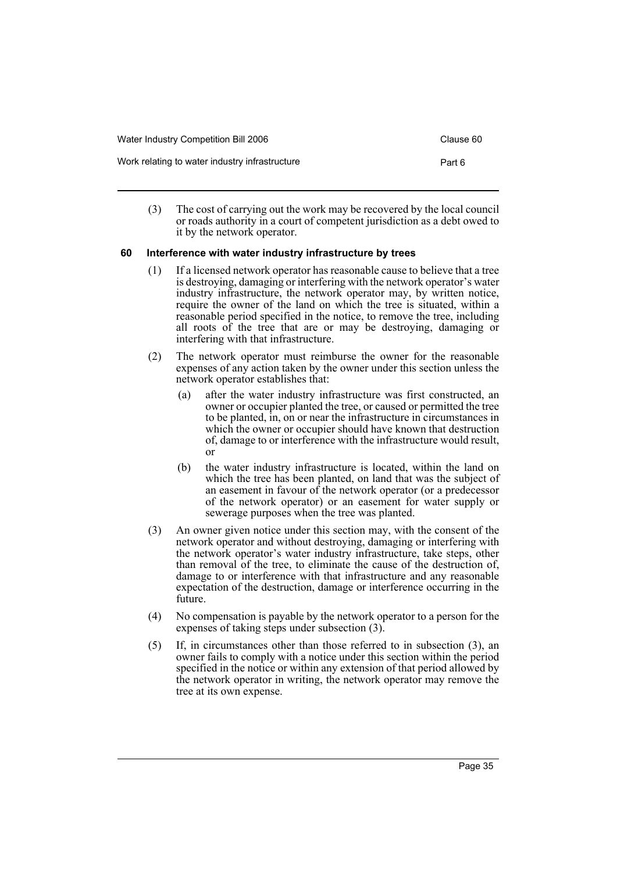| Water Industry Competition Bill 2006           | Clause 60 |
|------------------------------------------------|-----------|
| Work relating to water industry infrastructure | Part 6    |

(3) The cost of carrying out the work may be recovered by the local council or roads authority in a court of competent jurisdiction as a debt owed to it by the network operator.

# **60 Interference with water industry infrastructure by trees**

- (1) If a licensed network operator has reasonable cause to believe that a tree is destroying, damaging or interfering with the network operator's water industry infrastructure, the network operator may, by written notice, require the owner of the land on which the tree is situated, within a reasonable period specified in the notice, to remove the tree, including all roots of the tree that are or may be destroying, damaging or interfering with that infrastructure.
- (2) The network operator must reimburse the owner for the reasonable expenses of any action taken by the owner under this section unless the network operator establishes that:
	- (a) after the water industry infrastructure was first constructed, an owner or occupier planted the tree, or caused or permitted the tree to be planted, in, on or near the infrastructure in circumstances in which the owner or occupier should have known that destruction of, damage to or interference with the infrastructure would result, or
	- (b) the water industry infrastructure is located, within the land on which the tree has been planted, on land that was the subject of an easement in favour of the network operator (or a predecessor of the network operator) or an easement for water supply or sewerage purposes when the tree was planted.
- (3) An owner given notice under this section may, with the consent of the network operator and without destroying, damaging or interfering with the network operator's water industry infrastructure, take steps, other than removal of the tree, to eliminate the cause of the destruction of, damage to or interference with that infrastructure and any reasonable expectation of the destruction, damage or interference occurring in the future.
- (4) No compensation is payable by the network operator to a person for the expenses of taking steps under subsection (3).
- (5) If, in circumstances other than those referred to in subsection (3), an owner fails to comply with a notice under this section within the period specified in the notice or within any extension of that period allowed by the network operator in writing, the network operator may remove the tree at its own expense.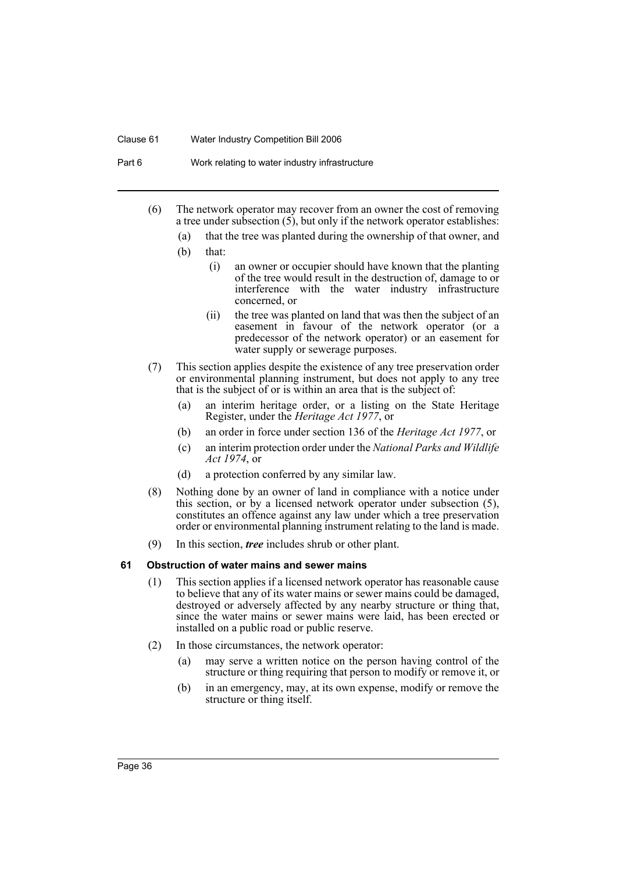#### Clause 61 Water Industry Competition Bill 2006

Part 6 Work relating to water industry infrastructure

- (6) The network operator may recover from an owner the cost of removing a tree under subsection  $(5)$ , but only if the network operator establishes:
	- (a) that the tree was planted during the ownership of that owner, and
	- (b) that:
		- (i) an owner or occupier should have known that the planting of the tree would result in the destruction of, damage to or interference with the water industry infrastructure concerned, or
		- (ii) the tree was planted on land that was then the subject of an easement in favour of the network operator (or a predecessor of the network operator) or an easement for water supply or sewerage purposes.
- (7) This section applies despite the existence of any tree preservation order or environmental planning instrument, but does not apply to any tree that is the subject of or is within an area that is the subject of:
	- (a) an interim heritage order, or a listing on the State Heritage Register, under the *Heritage Act 1977*, or
	- (b) an order in force under section 136 of the *Heritage Act 1977*, or
	- (c) an interim protection order under the *National Parks and Wildlife Act 1974*, or
	- (d) a protection conferred by any similar law.
- (8) Nothing done by an owner of land in compliance with a notice under this section, or by a licensed network operator under subsection (5), constitutes an offence against any law under which a tree preservation order or environmental planning instrument relating to the land is made.
- (9) In this section, *tree* includes shrub or other plant.

#### **61 Obstruction of water mains and sewer mains**

- (1) This section applies if a licensed network operator has reasonable cause to believe that any of its water mains or sewer mains could be damaged, destroyed or adversely affected by any nearby structure or thing that, since the water mains or sewer mains were laid, has been erected or installed on a public road or public reserve.
- (2) In those circumstances, the network operator:
	- (a) may serve a written notice on the person having control of the structure or thing requiring that person to modify or remove it, or
	- (b) in an emergency, may, at its own expense, modify or remove the structure or thing itself.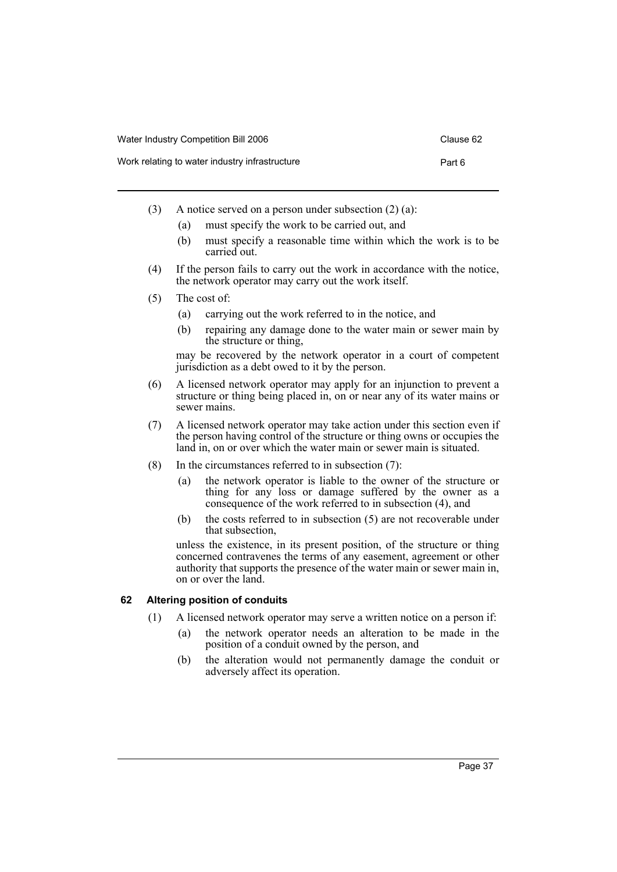| Water Industry Competition Bill 2006           | Clause 62 |
|------------------------------------------------|-----------|
| Work relating to water industry infrastructure | Part 6    |

- (3) A notice served on a person under subsection (2) (a):
	- (a) must specify the work to be carried out, and
	- (b) must specify a reasonable time within which the work is to be carried out.
- (4) If the person fails to carry out the work in accordance with the notice, the network operator may carry out the work itself.
- (5) The cost of:
	- (a) carrying out the work referred to in the notice, and
	- (b) repairing any damage done to the water main or sewer main by the structure or thing,

may be recovered by the network operator in a court of competent jurisdiction as a debt owed to it by the person.

- (6) A licensed network operator may apply for an injunction to prevent a structure or thing being placed in, on or near any of its water mains or sewer mains.
- (7) A licensed network operator may take action under this section even if the person having control of the structure or thing owns or occupies the land in, on or over which the water main or sewer main is situated.
- (8) In the circumstances referred to in subsection (7):
	- (a) the network operator is liable to the owner of the structure or thing for any loss or damage suffered by the owner as a consequence of the work referred to in subsection (4), and
	- (b) the costs referred to in subsection (5) are not recoverable under that subsection,

unless the existence, in its present position, of the structure or thing concerned contravenes the terms of any easement, agreement or other authority that supports the presence of the water main or sewer main in, on or over the land.

# **62 Altering position of conduits**

- (1) A licensed network operator may serve a written notice on a person if:
	- (a) the network operator needs an alteration to be made in the position of a conduit owned by the person, and
	- (b) the alteration would not permanently damage the conduit or adversely affect its operation.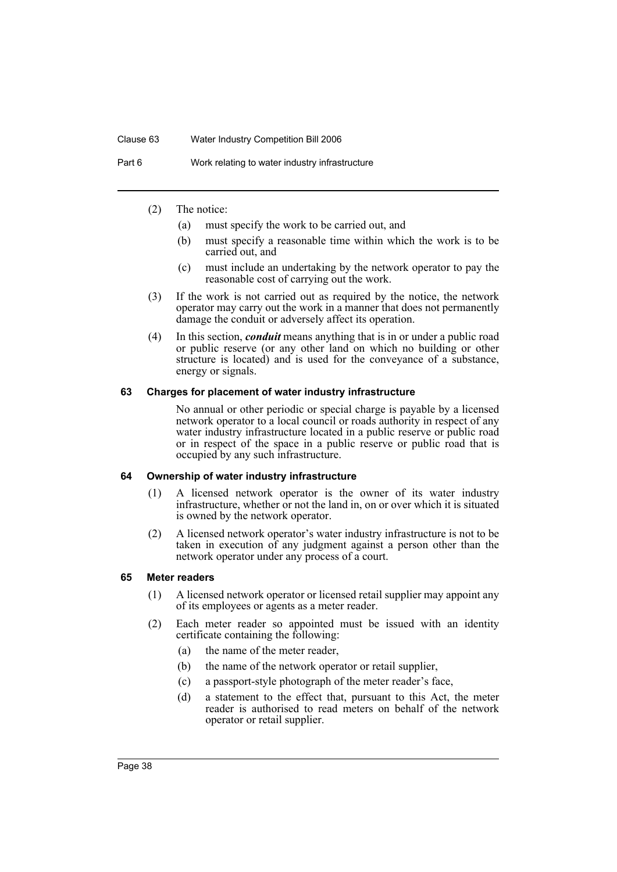#### Clause 63 Water Industry Competition Bill 2006

Part 6 Work relating to water industry infrastructure

#### (2) The notice:

- (a) must specify the work to be carried out, and
- (b) must specify a reasonable time within which the work is to be carried out, and
- (c) must include an undertaking by the network operator to pay the reasonable cost of carrying out the work.
- (3) If the work is not carried out as required by the notice, the network operator may carry out the work in a manner that does not permanently damage the conduit or adversely affect its operation.
- (4) In this section, *conduit* means anything that is in or under a public road or public reserve (or any other land on which no building or other structure is located) and is used for the conveyance of a substance, energy or signals.

#### **63 Charges for placement of water industry infrastructure**

No annual or other periodic or special charge is payable by a licensed network operator to a local council or roads authority in respect of any water industry infrastructure located in a public reserve or public road or in respect of the space in a public reserve or public road that is occupied by any such infrastructure.

#### **64 Ownership of water industry infrastructure**

- (1) A licensed network operator is the owner of its water industry infrastructure, whether or not the land in, on or over which it is situated is owned by the network operator.
- (2) A licensed network operator's water industry infrastructure is not to be taken in execution of any judgment against a person other than the network operator under any process of a court.

# **65 Meter readers**

- (1) A licensed network operator or licensed retail supplier may appoint any of its employees or agents as a meter reader.
- (2) Each meter reader so appointed must be issued with an identity certificate containing the following:
	- (a) the name of the meter reader,
	- (b) the name of the network operator or retail supplier,
	- (c) a passport-style photograph of the meter reader's face,
	- (d) a statement to the effect that, pursuant to this Act, the meter reader is authorised to read meters on behalf of the network operator or retail supplier.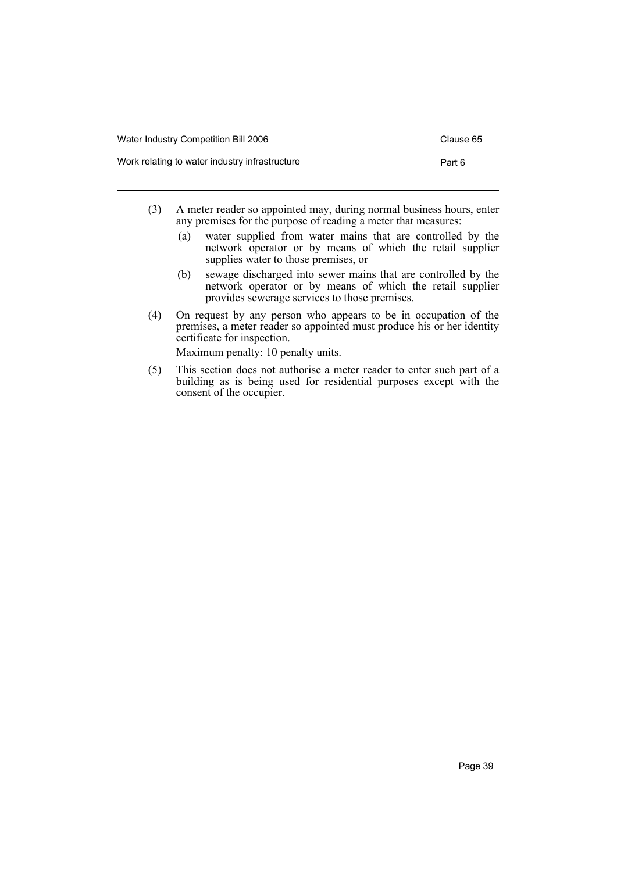| Water Industry Competition Bill 2006           | Clause 65 |
|------------------------------------------------|-----------|
| Work relating to water industry infrastructure | Part 6    |

- (3) A meter reader so appointed may, during normal business hours, enter any premises for the purpose of reading a meter that measures:
	- (a) water supplied from water mains that are controlled by the network operator or by means of which the retail supplier supplies water to those premises, or
	- (b) sewage discharged into sewer mains that are controlled by the network operator or by means of which the retail supplier provides sewerage services to those premises.
- (4) On request by any person who appears to be in occupation of the premises, a meter reader so appointed must produce his or her identity certificate for inspection.

Maximum penalty: 10 penalty units.

(5) This section does not authorise a meter reader to enter such part of a building as is being used for residential purposes except with the consent of the occupier.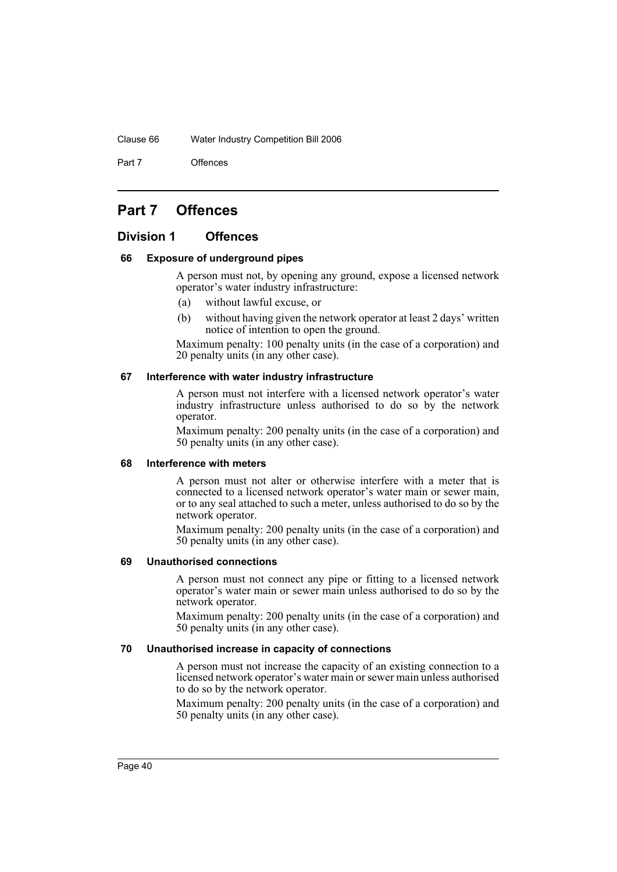#### Clause 66 Water Industry Competition Bill 2006

Part 7 **Offences** 

# **Part 7 Offences**

# **Division 1 Offences**

# **66 Exposure of underground pipes**

A person must not, by opening any ground, expose a licensed network operator's water industry infrastructure:

- (a) without lawful excuse, or
- (b) without having given the network operator at least 2 days' written notice of intention to open the ground.

Maximum penalty: 100 penalty units (in the case of a corporation) and 20 penalty units (in any other case).

#### **67 Interference with water industry infrastructure**

A person must not interfere with a licensed network operator's water industry infrastructure unless authorised to do so by the network operator.

Maximum penalty: 200 penalty units (in the case of a corporation) and 50 penalty units (in any other case).

#### **68 Interference with meters**

A person must not alter or otherwise interfere with a meter that is connected to a licensed network operator's water main or sewer main, or to any seal attached to such a meter, unless authorised to do so by the network operator.

Maximum penalty: 200 penalty units (in the case of a corporation) and 50 penalty units (in any other case).

#### **69 Unauthorised connections**

A person must not connect any pipe or fitting to a licensed network operator's water main or sewer main unless authorised to do so by the network operator.

Maximum penalty: 200 penalty units (in the case of a corporation) and 50 penalty units (in any other case).

#### **70 Unauthorised increase in capacity of connections**

A person must not increase the capacity of an existing connection to a licensed network operator's water main or sewer main unless authorised to do so by the network operator.

Maximum penalty: 200 penalty units (in the case of a corporation) and 50 penalty units (in any other case).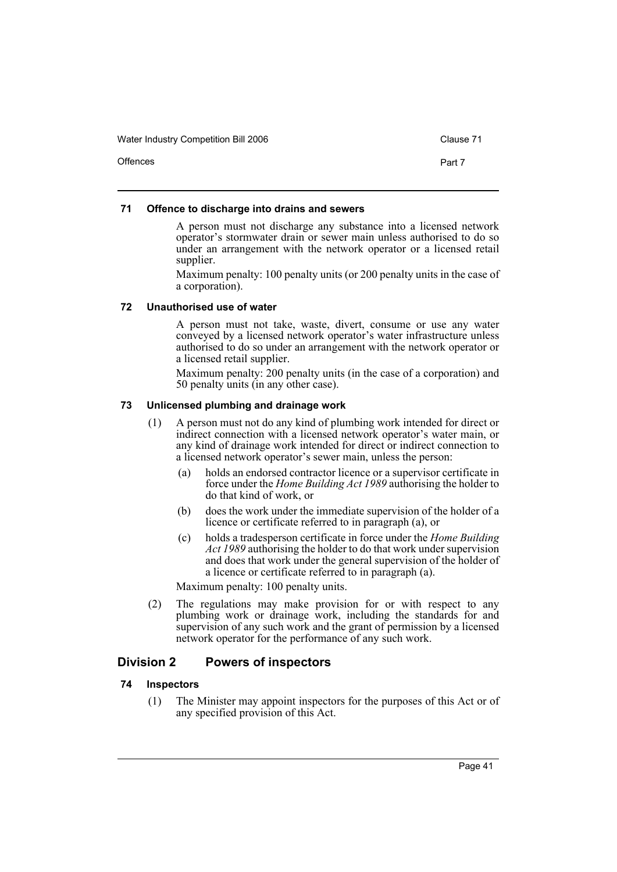Water Industry Competition Bill 2006 Clause 71

Offences **Part 7** 

#### **71 Offence to discharge into drains and sewers**

A person must not discharge any substance into a licensed network operator's stormwater drain or sewer main unless authorised to do so under an arrangement with the network operator or a licensed retail supplier.

Maximum penalty: 100 penalty units (or 200 penalty units in the case of a corporation).

#### **72 Unauthorised use of water**

A person must not take, waste, divert, consume or use any water conveyed by a licensed network operator's water infrastructure unless authorised to do so under an arrangement with the network operator or a licensed retail supplier.

Maximum penalty: 200 penalty units (in the case of a corporation) and 50 penalty units (in any other case).

# **73 Unlicensed plumbing and drainage work**

- (1) A person must not do any kind of plumbing work intended for direct or indirect connection with a licensed network operator's water main, or any kind of drainage work intended for direct or indirect connection to a licensed network operator's sewer main, unless the person:
	- (a) holds an endorsed contractor licence or a supervisor certificate in force under the *Home Building Act 1989* authorising the holder to do that kind of work, or
	- (b) does the work under the immediate supervision of the holder of a licence or certificate referred to in paragraph (a), or
	- (c) holds a tradesperson certificate in force under the *Home Building Act 1989* authorising the holder to do that work under supervision and does that work under the general supervision of the holder of a licence or certificate referred to in paragraph (a).

Maximum penalty: 100 penalty units.

(2) The regulations may make provision for or with respect to any plumbing work or drainage work, including the standards for and supervision of any such work and the grant of permission by a licensed network operator for the performance of any such work.

# **Division 2 Powers of inspectors**

#### **74 Inspectors**

(1) The Minister may appoint inspectors for the purposes of this Act or of any specified provision of this Act.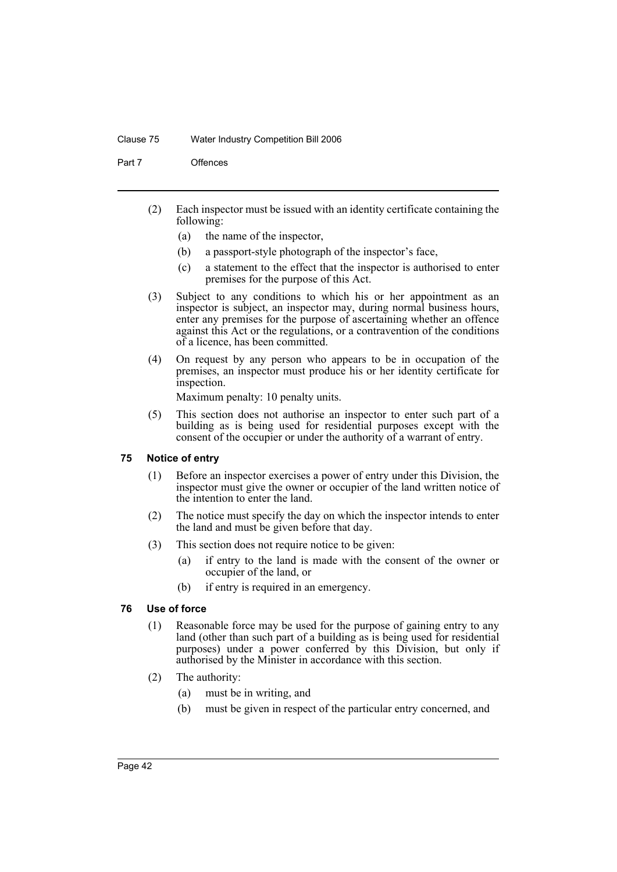#### Clause 75 Water Industry Competition Bill 2006

Part 7 **Offences** 

- (2) Each inspector must be issued with an identity certificate containing the following:
	- (a) the name of the inspector,
	- (b) a passport-style photograph of the inspector's face,
	- (c) a statement to the effect that the inspector is authorised to enter premises for the purpose of this Act.
- (3) Subject to any conditions to which his or her appointment as an inspector is subject, an inspector may, during normal business hours, enter any premises for the purpose of ascertaining whether an offence against this Act or the regulations, or a contravention of the conditions of a licence, has been committed.
- (4) On request by any person who appears to be in occupation of the premises, an inspector must produce his or her identity certificate for inspection.

Maximum penalty: 10 penalty units.

(5) This section does not authorise an inspector to enter such part of a building as is being used for residential purposes except with the consent of the occupier or under the authority of a warrant of entry.

# **75 Notice of entry**

- (1) Before an inspector exercises a power of entry under this Division, the inspector must give the owner or occupier of the land written notice of the intention to enter the land.
- (2) The notice must specify the day on which the inspector intends to enter the land and must be given before that day.
- (3) This section does not require notice to be given:
	- (a) if entry to the land is made with the consent of the owner or occupier of the land, or
	- (b) if entry is required in an emergency.

### **76 Use of force**

- (1) Reasonable force may be used for the purpose of gaining entry to any land (other than such part of a building as is being used for residential purposes) under a power conferred by this Division, but only if authorised by the Minister in accordance with this section.
- (2) The authority:
	- (a) must be in writing, and
	- (b) must be given in respect of the particular entry concerned, and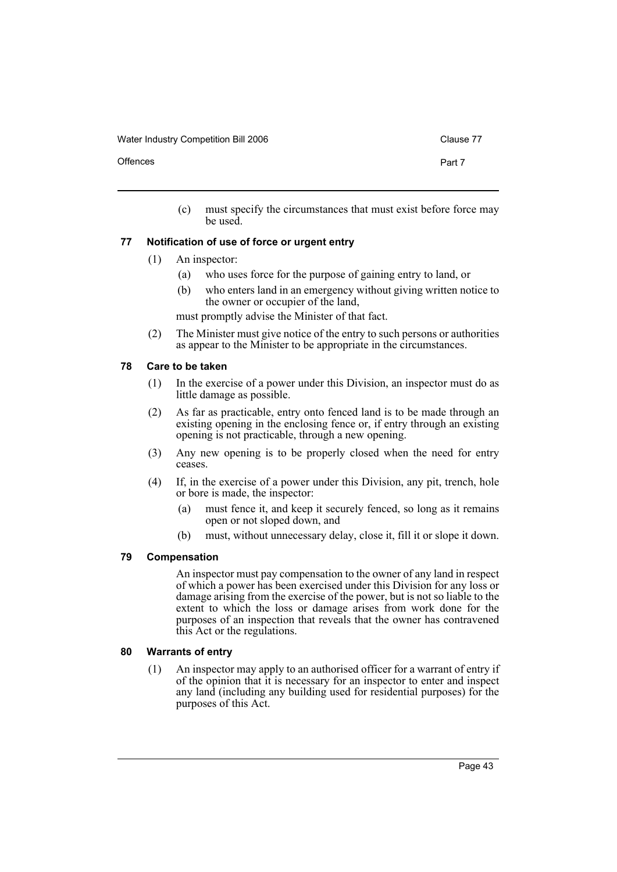Water Industry Competition Bill 2006 Clause 77

Offences **Part 7** 

(c) must specify the circumstances that must exist before force may be used.

# **77 Notification of use of force or urgent entry**

- (1) An inspector:
	- (a) who uses force for the purpose of gaining entry to land, or
	- (b) who enters land in an emergency without giving written notice to the owner or occupier of the land,

must promptly advise the Minister of that fact.

(2) The Minister must give notice of the entry to such persons or authorities as appear to the Minister to be appropriate in the circumstances.

# **78 Care to be taken**

- (1) In the exercise of a power under this Division, an inspector must do as little damage as possible.
- (2) As far as practicable, entry onto fenced land is to be made through an existing opening in the enclosing fence or, if entry through an existing opening is not practicable, through a new opening.
- (3) Any new opening is to be properly closed when the need for entry ceases.
- (4) If, in the exercise of a power under this Division, any pit, trench, hole or bore is made, the inspector:
	- (a) must fence it, and keep it securely fenced, so long as it remains open or not sloped down, and
	- (b) must, without unnecessary delay, close it, fill it or slope it down.

# **79 Compensation**

An inspector must pay compensation to the owner of any land in respect of which a power has been exercised under this Division for any loss or damage arising from the exercise of the power, but is not so liable to the extent to which the loss or damage arises from work done for the purposes of an inspection that reveals that the owner has contravened this Act or the regulations.

# **80 Warrants of entry**

(1) An inspector may apply to an authorised officer for a warrant of entry if of the opinion that it is necessary for an inspector to enter and inspect any land (including any building used for residential purposes) for the purposes of this Act.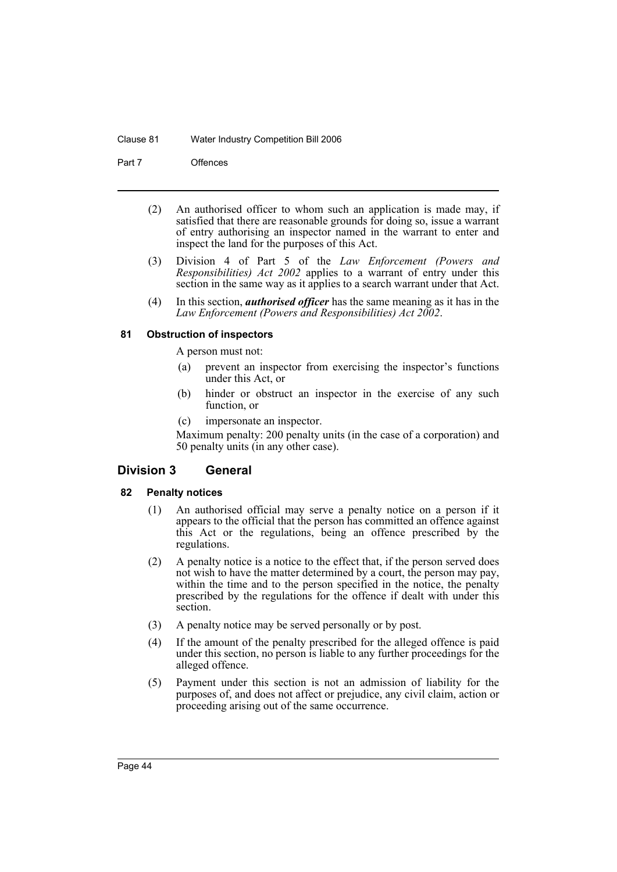#### Clause 81 Water Industry Competition Bill 2006

Part 7 **Offences** 

- (2) An authorised officer to whom such an application is made may, if satisfied that there are reasonable grounds for doing so, issue a warrant of entry authorising an inspector named in the warrant to enter and inspect the land for the purposes of this Act.
- (3) Division 4 of Part 5 of the *Law Enforcement (Powers and Responsibilities) Act 2002* applies to a warrant of entry under this section in the same way as it applies to a search warrant under that Act.
- (4) In this section, *authorised officer* has the same meaning as it has in the *Law Enforcement (Powers and Responsibilities) Act 2002*.

# **81 Obstruction of inspectors**

A person must not:

- (a) prevent an inspector from exercising the inspector's functions under this Act, or
- (b) hinder or obstruct an inspector in the exercise of any such function, or
- (c) impersonate an inspector.

Maximum penalty: 200 penalty units (in the case of a corporation) and 50 penalty units (in any other case).

# **Division 3 General**

# **82 Penalty notices**

- (1) An authorised official may serve a penalty notice on a person if it appears to the official that the person has committed an offence against this Act or the regulations, being an offence prescribed by the regulations.
- (2) A penalty notice is a notice to the effect that, if the person served does not wish to have the matter determined by a court, the person may pay, within the time and to the person specified in the notice, the penalty prescribed by the regulations for the offence if dealt with under this section.
- (3) A penalty notice may be served personally or by post.
- (4) If the amount of the penalty prescribed for the alleged offence is paid under this section, no person is liable to any further proceedings for the alleged offence.
- (5) Payment under this section is not an admission of liability for the purposes of, and does not affect or prejudice, any civil claim, action or proceeding arising out of the same occurrence.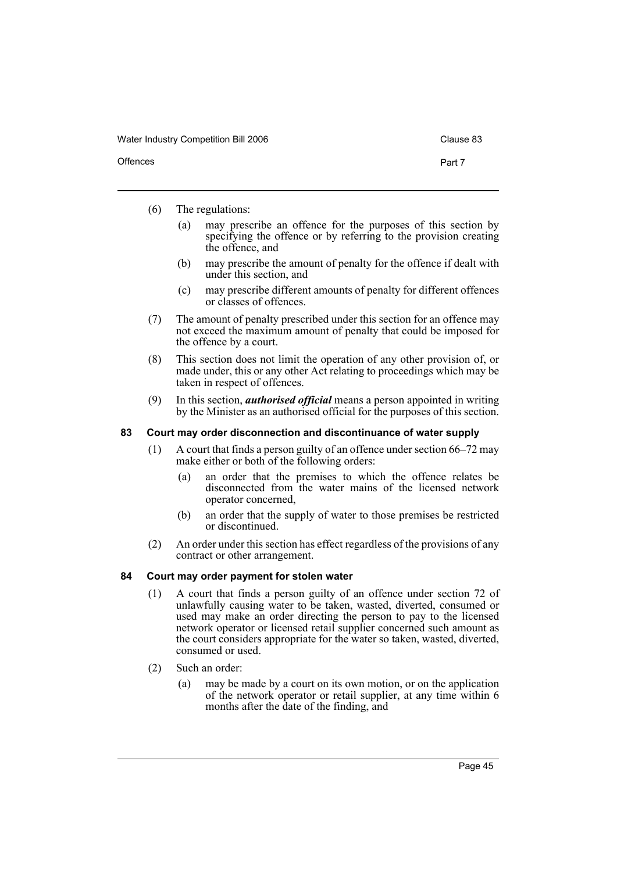| Water Industry Competition Bill 2006 | Clause 83 |
|--------------------------------------|-----------|
|--------------------------------------|-----------|

| <b>Offences</b> | Part 7 |
|-----------------|--------|
|-----------------|--------|

- (6) The regulations:
	- (a) may prescribe an offence for the purposes of this section by specifying the offence or by referring to the provision creating the offence, and
	- (b) may prescribe the amount of penalty for the offence if dealt with under this section, and
	- (c) may prescribe different amounts of penalty for different offences or classes of offences.
- (7) The amount of penalty prescribed under this section for an offence may not exceed the maximum amount of penalty that could be imposed for the offence by a court.
- (8) This section does not limit the operation of any other provision of, or made under, this or any other Act relating to proceedings which may be taken in respect of offences.
- (9) In this section, *authorised official* means a person appointed in writing by the Minister as an authorised official for the purposes of this section.

#### **83 Court may order disconnection and discontinuance of water supply**

- (1) A court that finds a person guilty of an offence under section 66–72 may make either or both of the following orders:
	- (a) an order that the premises to which the offence relates be disconnected from the water mains of the licensed network operator concerned,
	- (b) an order that the supply of water to those premises be restricted or discontinued.
- (2) An order under this section has effect regardless of the provisions of any contract or other arrangement.

### **84 Court may order payment for stolen water**

- (1) A court that finds a person guilty of an offence under section 72 of unlawfully causing water to be taken, wasted, diverted, consumed or used may make an order directing the person to pay to the licensed network operator or licensed retail supplier concerned such amount as the court considers appropriate for the water so taken, wasted, diverted, consumed or used.
- (2) Such an order:
	- (a) may be made by a court on its own motion, or on the application of the network operator or retail supplier, at any time within 6 months after the date of the finding, and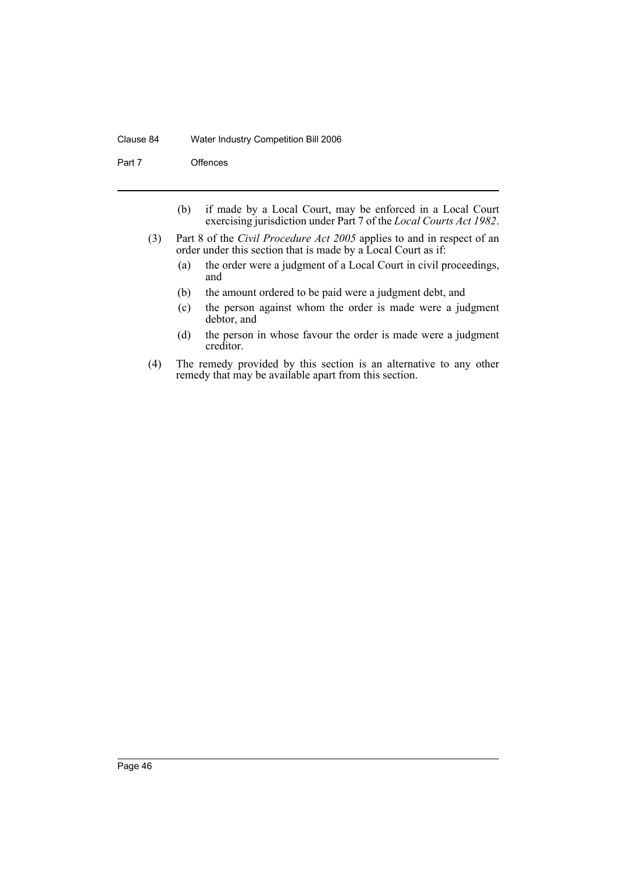#### Clause 84 Water Industry Competition Bill 2006

Part 7 Offences

- (b) if made by a Local Court, may be enforced in a Local Court exercising jurisdiction under Part 7 of the *Local Courts Act 1982*.
- (3) Part 8 of the *Civil Procedure Act 2005* applies to and in respect of an order under this section that is made by a Local Court as if:
	- (a) the order were a judgment of a Local Court in civil proceedings, and
	- (b) the amount ordered to be paid were a judgment debt, and
	- (c) the person against whom the order is made were a judgment debtor, and
	- (d) the person in whose favour the order is made were a judgment creditor.
- (4) The remedy provided by this section is an alternative to any other remedy that may be available apart from this section.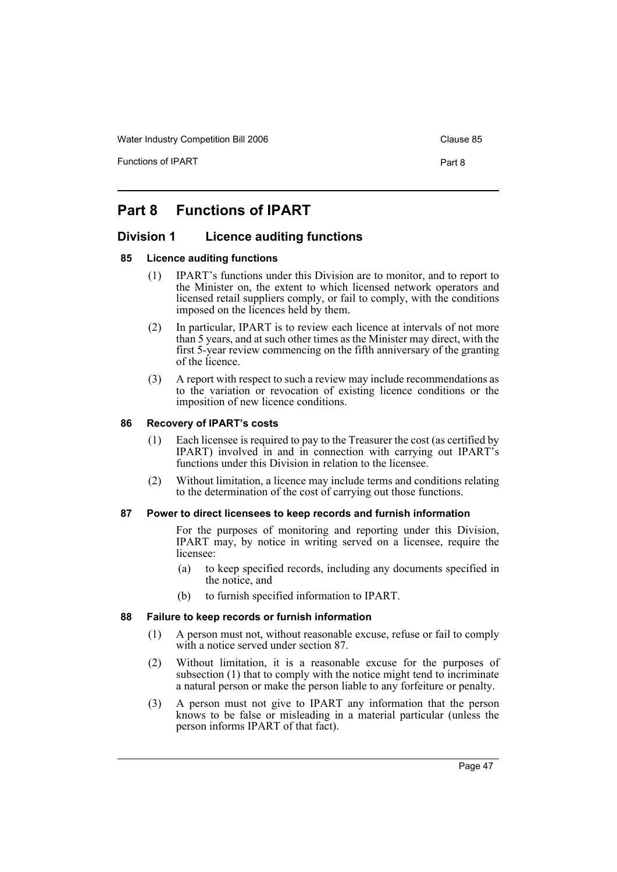Water Industry Competition Bill 2006 Clause 85

Functions of IPART Part 8

# **Part 8 Functions of IPART**

# **Division 1 Licence auditing functions**

# **85 Licence auditing functions**

- (1) IPART's functions under this Division are to monitor, and to report to the Minister on, the extent to which licensed network operators and licensed retail suppliers comply, or fail to comply, with the conditions imposed on the licences held by them.
- (2) In particular, IPART is to review each licence at intervals of not more than 5 years, and at such other times as the Minister may direct, with the first 5-year review commencing on the fifth anniversary of the granting of the licence.
- (3) A report with respect to such a review may include recommendations as to the variation or revocation of existing licence conditions or the imposition of new licence conditions.

# **86 Recovery of IPART's costs**

- (1) Each licensee is required to pay to the Treasurer the cost (as certified by IPART) involved in and in connection with carrying out IPART's functions under this Division in relation to the licensee.
- (2) Without limitation, a licence may include terms and conditions relating to the determination of the cost of carrying out those functions.

#### **87 Power to direct licensees to keep records and furnish information**

For the purposes of monitoring and reporting under this Division, IPART may, by notice in writing served on a licensee, require the licensee:

- (a) to keep specified records, including any documents specified in the notice, and
- (b) to furnish specified information to IPART.

# **88 Failure to keep records or furnish information**

- (1) A person must not, without reasonable excuse, refuse or fail to comply with a notice served under section 87.
- (2) Without limitation, it is a reasonable excuse for the purposes of subsection (1) that to comply with the notice might tend to incriminate a natural person or make the person liable to any forfeiture or penalty.
- (3) A person must not give to IPART any information that the person knows to be false or misleading in a material particular (unless the person informs IPART of that fact).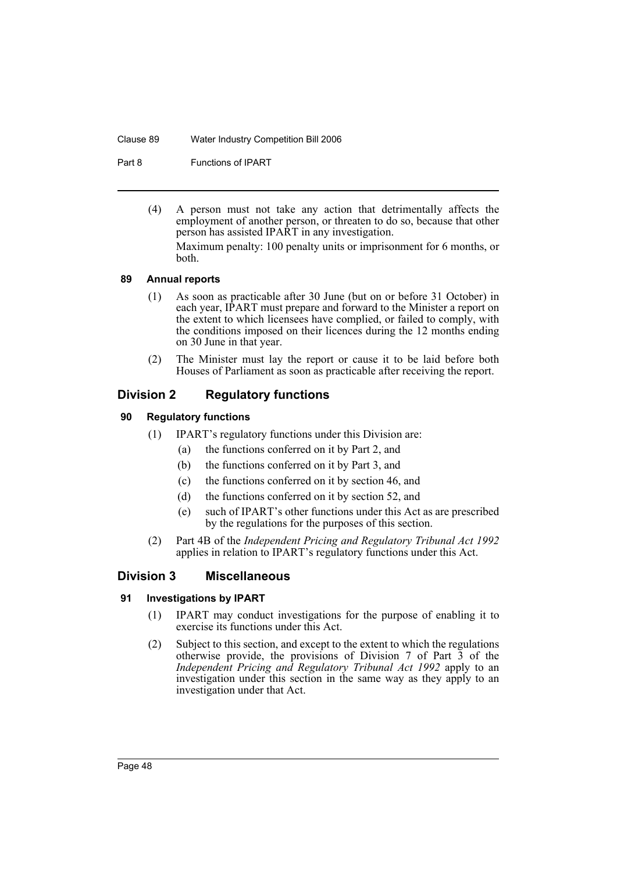#### Clause 89 Water Industry Competition Bill 2006

Part 8 **Functions of IPART** 

(4) A person must not take any action that detrimentally affects the employment of another person, or threaten to do so, because that other person has assisted IPART in any investigation. Maximum penalty: 100 penalty units or imprisonment for 6 months, or both.

# **89 Annual reports**

- (1) As soon as practicable after 30 June (but on or before 31 October) in each year, IPART must prepare and forward to the Minister a report on the extent to which licensees have complied, or failed to comply, with the conditions imposed on their licences during the 12 months ending on 30 June in that year.
- (2) The Minister must lay the report or cause it to be laid before both Houses of Parliament as soon as practicable after receiving the report.

# **Division 2 Regulatory functions**

# **90 Regulatory functions**

- (1) IPART's regulatory functions under this Division are:
	- (a) the functions conferred on it by Part 2, and
	- (b) the functions conferred on it by Part 3, and
	- (c) the functions conferred on it by section 46, and
	- (d) the functions conferred on it by section 52, and
	- (e) such of IPART's other functions under this Act as are prescribed by the regulations for the purposes of this section.
- (2) Part 4B of the *Independent Pricing and Regulatory Tribunal Act 1992* applies in relation to IPART's regulatory functions under this Act.

# **Division 3 Miscellaneous**

# **91 Investigations by IPART**

- (1) IPART may conduct investigations for the purpose of enabling it to exercise its functions under this Act.
- (2) Subject to this section, and except to the extent to which the regulations otherwise provide, the provisions of Division 7 of Part 3 of the *Independent Pricing and Regulatory Tribunal Act 1992* apply to an investigation under this section in the same way as they apply to an investigation under that Act.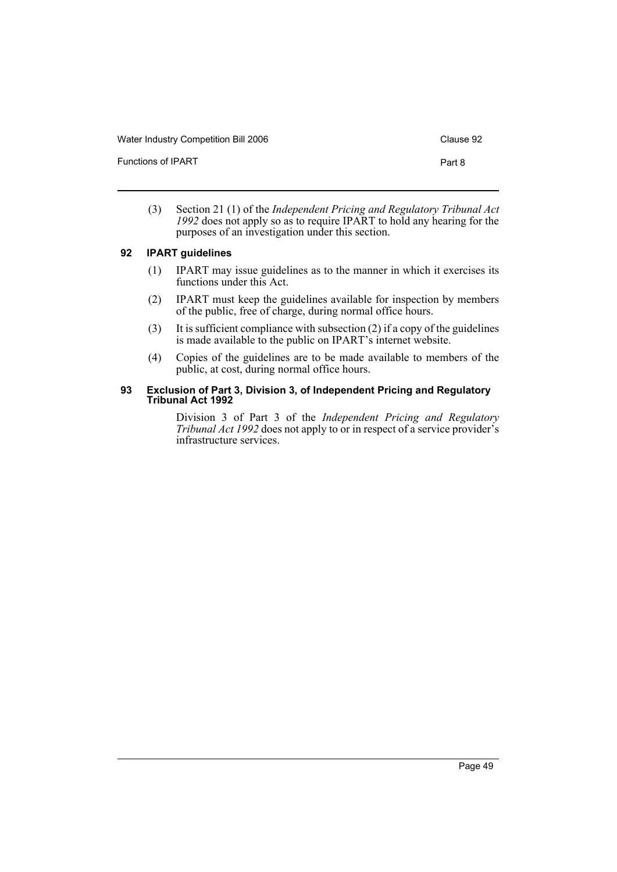Water Industry Competition Bill 2006 Clause 92

Functions of IPART Part 8

(3) Section 21 (1) of the *Independent Pricing and Regulatory Tribunal Act 1992* does not apply so as to require IPART to hold any hearing for the purposes of an investigation under this section.

# **92 IPART guidelines**

- (1) IPART may issue guidelines as to the manner in which it exercises its functions under this Act.
- (2) IPART must keep the guidelines available for inspection by members of the public, free of charge, during normal office hours.
- (3) It is sufficient compliance with subsection  $(2)$  if a copy of the guidelines is made available to the public on IPART's internet website.
- (4) Copies of the guidelines are to be made available to members of the public, at cost, during normal office hours.

#### **93 Exclusion of Part 3, Division 3, of Independent Pricing and Regulatory Tribunal Act 1992**

Division 3 of Part 3 of the *Independent Pricing and Regulatory Tribunal Act 1992* does not apply to or in respect of a service provider's infrastructure services.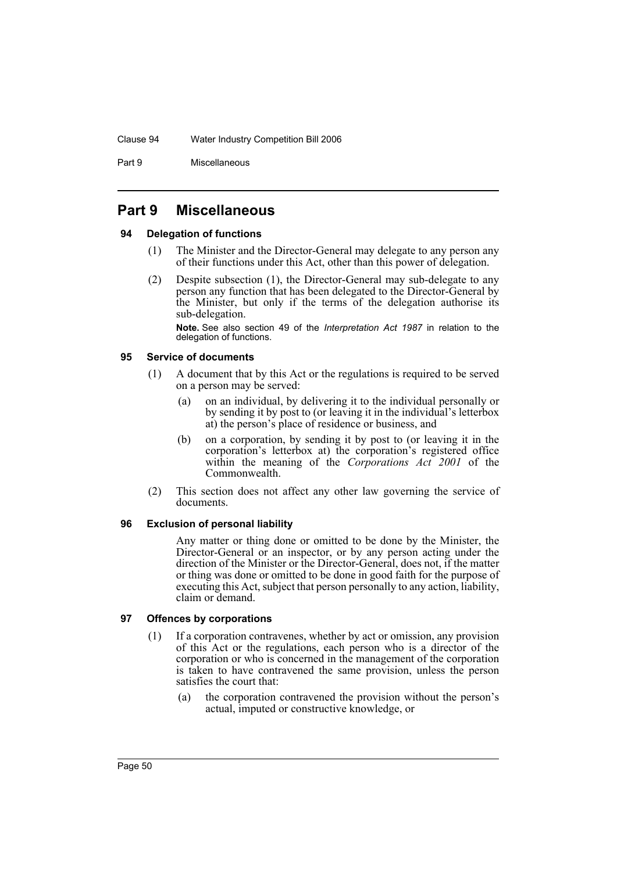#### Clause 94 Water Industry Competition Bill 2006

Part 9 Miscellaneous

# **Part 9 Miscellaneous**

# **94 Delegation of functions**

- (1) The Minister and the Director-General may delegate to any person any of their functions under this Act, other than this power of delegation.
- (2) Despite subsection (1), the Director-General may sub-delegate to any person any function that has been delegated to the Director-General by the Minister, but only if the terms of the delegation authorise its sub-delegation.

**Note.** See also section 49 of the *Interpretation Act 1987* in relation to the delegation of functions.

#### **95 Service of documents**

- (1) A document that by this Act or the regulations is required to be served on a person may be served:
	- (a) on an individual, by delivering it to the individual personally or by sending it by post to (or leaving it in the individual's letterbox at) the person's place of residence or business, and
	- (b) on a corporation, by sending it by post to (or leaving it in the corporation's letterbox at) the corporation's registered office within the meaning of the *Corporations Act 2001* of the Commonwealth.
- (2) This section does not affect any other law governing the service of documents.

# **96 Exclusion of personal liability**

Any matter or thing done or omitted to be done by the Minister, the Director-General or an inspector, or by any person acting under the direction of the Minister or the Director-General, does not, if the matter or thing was done or omitted to be done in good faith for the purpose of executing this Act, subject that person personally to any action, liability, claim or demand.

#### **97 Offences by corporations**

- (1) If a corporation contravenes, whether by act or omission, any provision of this Act or the regulations, each person who is a director of the corporation or who is concerned in the management of the corporation is taken to have contravened the same provision, unless the person satisfies the court that:
	- (a) the corporation contravened the provision without the person's actual, imputed or constructive knowledge, or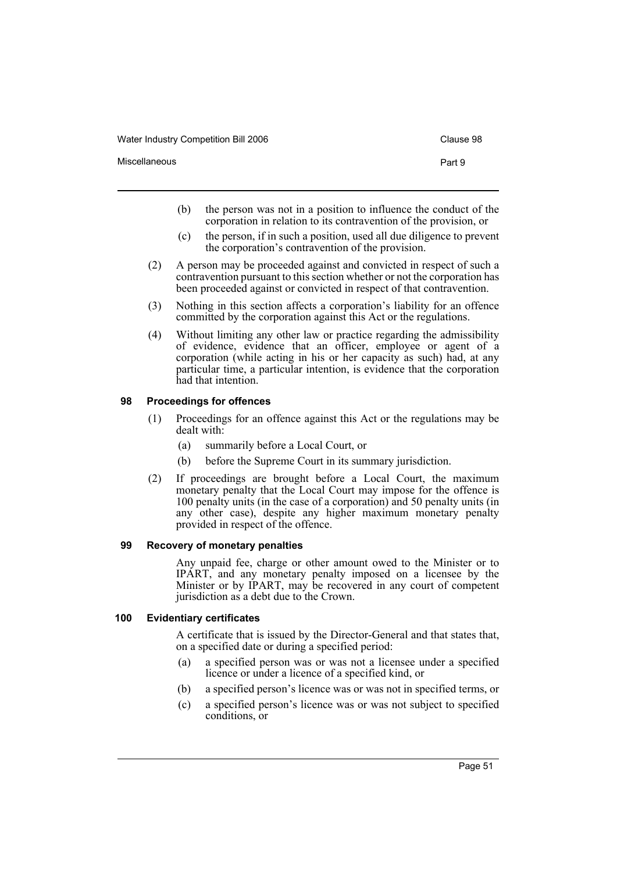- (b) the person was not in a position to influence the conduct of the corporation in relation to its contravention of the provision, or
- (c) the person, if in such a position, used all due diligence to prevent the corporation's contravention of the provision.
- (2) A person may be proceeded against and convicted in respect of such a contravention pursuant to this section whether or not the corporation has been proceeded against or convicted in respect of that contravention.
- (3) Nothing in this section affects a corporation's liability for an offence committed by the corporation against this Act or the regulations.
- (4) Without limiting any other law or practice regarding the admissibility of evidence, evidence that an officer, employee or agent of a corporation (while acting in his or her capacity as such) had, at any particular time, a particular intention, is evidence that the corporation had that intention.

#### **98 Proceedings for offences**

- (1) Proceedings for an offence against this Act or the regulations may be dealt with:
	- (a) summarily before a Local Court, or
	- (b) before the Supreme Court in its summary jurisdiction.
- (2) If proceedings are brought before a Local Court, the maximum monetary penalty that the Local Court may impose for the offence is 100 penalty units (in the case of a corporation) and 50 penalty units (in any other case), despite any higher maximum monetary penalty provided in respect of the offence.

#### **99 Recovery of monetary penalties**

Any unpaid fee, charge or other amount owed to the Minister or to IPART, and any monetary penalty imposed on a licensee by the Minister or by IPART, may be recovered in any court of competent jurisdiction as a debt due to the Crown.

# **100 Evidentiary certificates**

A certificate that is issued by the Director-General and that states that, on a specified date or during a specified period:

- (a) a specified person was or was not a licensee under a specified licence or under a licence of a specified kind, or
- (b) a specified person's licence was or was not in specified terms, or
- (c) a specified person's licence was or was not subject to specified conditions, or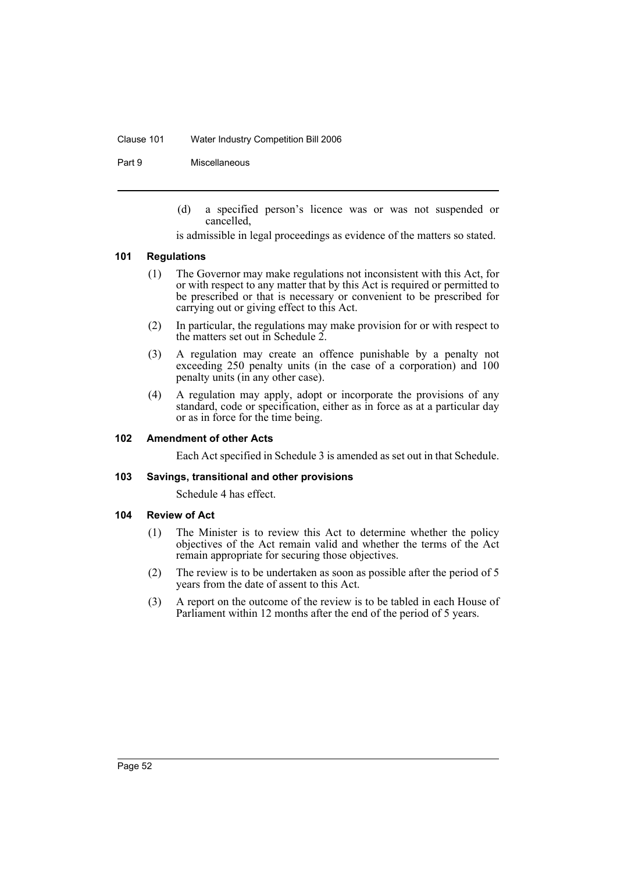#### Clause 101 Water Industry Competition Bill 2006

Part 9 Miscellaneous

(d) a specified person's licence was or was not suspended or cancelled,

is admissible in legal proceedings as evidence of the matters so stated.

# **101 Regulations**

- (1) The Governor may make regulations not inconsistent with this Act, for or with respect to any matter that by this Act is required or permitted to be prescribed or that is necessary or convenient to be prescribed for carrying out or giving effect to this Act.
- (2) In particular, the regulations may make provision for or with respect to the matters set out in Schedule 2.
- (3) A regulation may create an offence punishable by a penalty not exceeding 250 penalty units (in the case of a corporation) and 100 penalty units (in any other case).
- (4) A regulation may apply, adopt or incorporate the provisions of any standard, code or specification, either as in force as at a particular day or as in force for the time being.

#### **102 Amendment of other Acts**

Each Act specified in Schedule 3 is amended as set out in that Schedule.

#### **103 Savings, transitional and other provisions**

Schedule 4 has effect.

# **104 Review of Act**

- (1) The Minister is to review this Act to determine whether the policy objectives of the Act remain valid and whether the terms of the Act remain appropriate for securing those objectives.
- (2) The review is to be undertaken as soon as possible after the period of 5 years from the date of assent to this Act.
- (3) A report on the outcome of the review is to be tabled in each House of Parliament within 12 months after the end of the period of 5 years.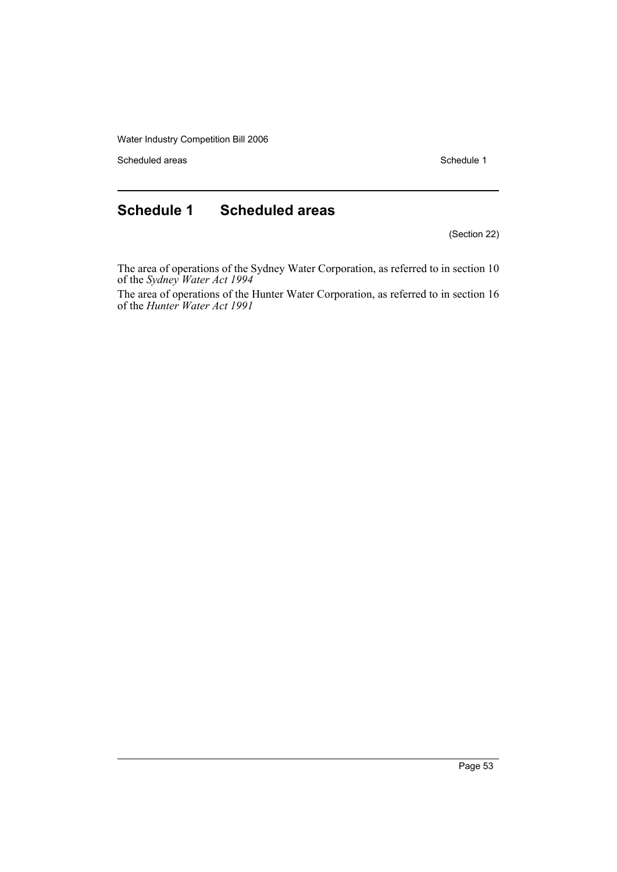Scheduled areas Schedule 1

# **Schedule 1 Scheduled areas**

(Section 22)

The area of operations of the Sydney Water Corporation, as referred to in section 10 of the *Sydney Water Act 1994*

The area of operations of the Hunter Water Corporation, as referred to in section 16 of the *Hunter Water Act 1991*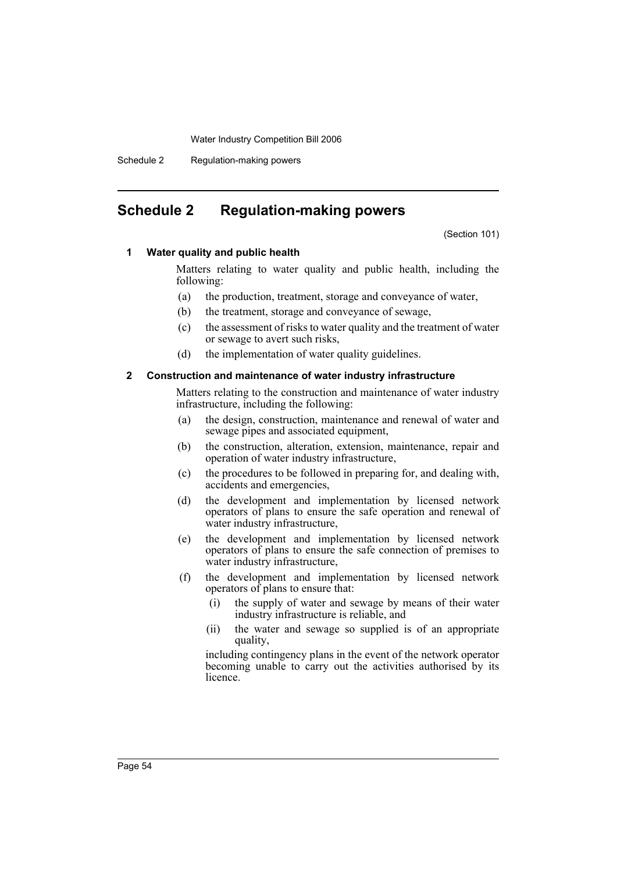Schedule 2 Regulation-making powers

# **Schedule 2 Regulation-making powers**

(Section 101)

# **1 Water quality and public health**

Matters relating to water quality and public health, including the following:

- (a) the production, treatment, storage and conveyance of water,
- (b) the treatment, storage and conveyance of sewage,
- (c) the assessment of risks to water quality and the treatment of water or sewage to avert such risks,
- (d) the implementation of water quality guidelines.

#### **2 Construction and maintenance of water industry infrastructure**

Matters relating to the construction and maintenance of water industry infrastructure, including the following:

- (a) the design, construction, maintenance and renewal of water and sewage pipes and associated equipment,
- (b) the construction, alteration, extension, maintenance, repair and operation of water industry infrastructure,
- (c) the procedures to be followed in preparing for, and dealing with, accidents and emergencies,
- (d) the development and implementation by licensed network operators of plans to ensure the safe operation and renewal of water industry infrastructure,
- (e) the development and implementation by licensed network operators of plans to ensure the safe connection of premises to water industry infrastructure,
- (f) the development and implementation by licensed network operators of plans to ensure that:
	- (i) the supply of water and sewage by means of their water industry infrastructure is reliable, and
	- (ii) the water and sewage so supplied is of an appropriate quality,

including contingency plans in the event of the network operator becoming unable to carry out the activities authorised by its licence.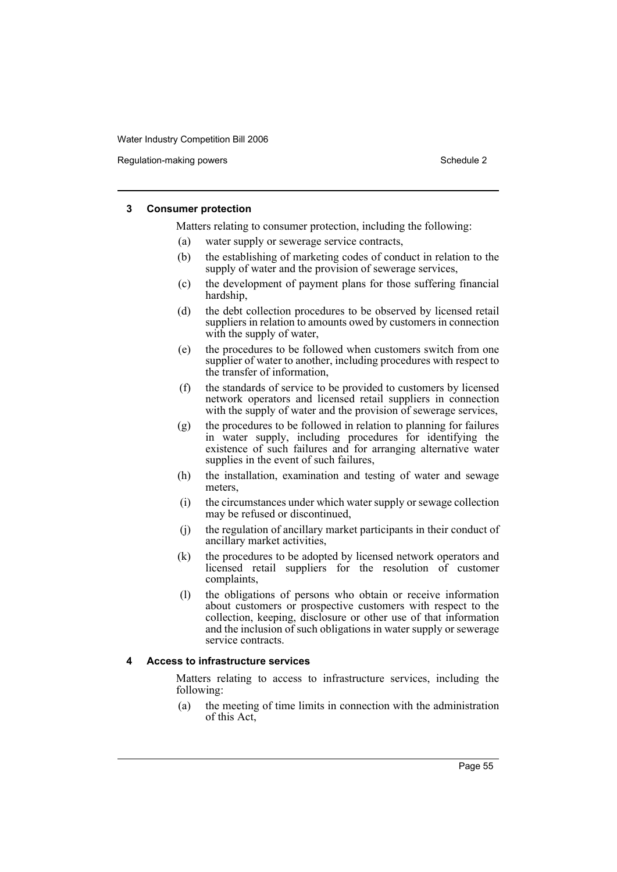Regulation-making powers **Schedule 2** and the set of the set of the set of the set of the set of the set of the set of the set of the set of the set of the set of the set of the set of the set of the set of the set of the

#### **3 Consumer protection**

Matters relating to consumer protection, including the following:

- (a) water supply or sewerage service contracts,
- (b) the establishing of marketing codes of conduct in relation to the supply of water and the provision of sewerage services,
- (c) the development of payment plans for those suffering financial hardship,
- (d) the debt collection procedures to be observed by licensed retail suppliers in relation to amounts owed by customers in connection with the supply of water,
- (e) the procedures to be followed when customers switch from one supplier of water to another, including procedures with respect to the transfer of information,
- (f) the standards of service to be provided to customers by licensed network operators and licensed retail suppliers in connection with the supply of water and the provision of sewerage services,
- (g) the procedures to be followed in relation to planning for failures in water supply, including procedures for identifying the existence of such failures and for arranging alternative water supplies in the event of such failures,
- (h) the installation, examination and testing of water and sewage meters,
- (i) the circumstances under which water supply or sewage collection may be refused or discontinued,
- (j) the regulation of ancillary market participants in their conduct of ancillary market activities,
- (k) the procedures to be adopted by licensed network operators and licensed retail suppliers for the resolution of customer complaints,
- (l) the obligations of persons who obtain or receive information about customers or prospective customers with respect to the collection, keeping, disclosure or other use of that information and the inclusion of such obligations in water supply or sewerage service contracts.

#### **4 Access to infrastructure services**

Matters relating to access to infrastructure services, including the following:

(a) the meeting of time limits in connection with the administration of this Act,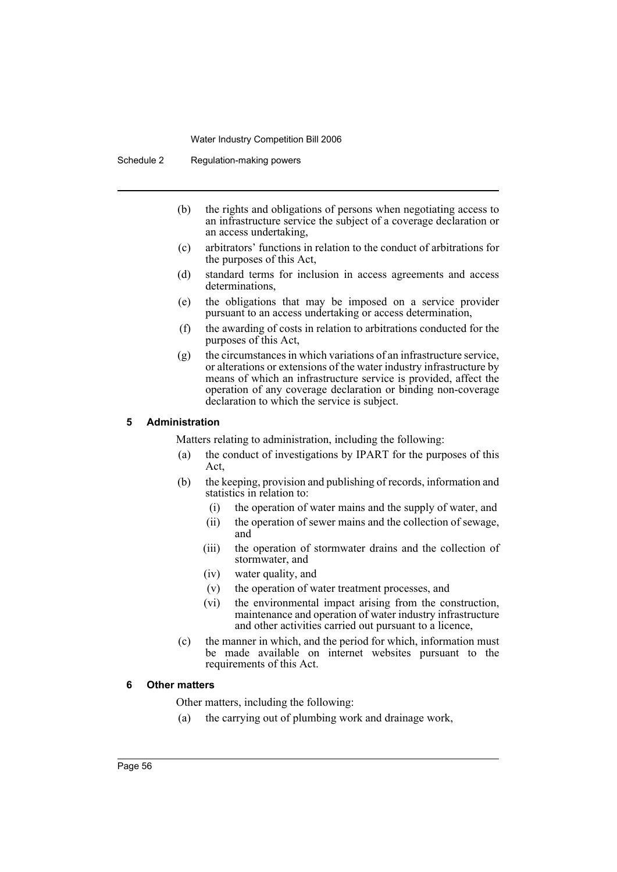Schedule 2 Regulation-making powers

- (b) the rights and obligations of persons when negotiating access to an infrastructure service the subject of a coverage declaration or an access undertaking,
- (c) arbitrators' functions in relation to the conduct of arbitrations for the purposes of this Act,
- (d) standard terms for inclusion in access agreements and access determinations,
- (e) the obligations that may be imposed on a service provider pursuant to an access undertaking or access determination,
- (f) the awarding of costs in relation to arbitrations conducted for the purposes of this Act,
- (g) the circumstances in which variations of an infrastructure service, or alterations or extensions of the water industry infrastructure by means of which an infrastructure service is provided, affect the operation of any coverage declaration or binding non-coverage declaration to which the service is subject.

# **5 Administration**

Matters relating to administration, including the following:

- (a) the conduct of investigations by IPART for the purposes of this Act,
- (b) the keeping, provision and publishing of records, information and statistics in relation to:
	- (i) the operation of water mains and the supply of water, and
	- (ii) the operation of sewer mains and the collection of sewage, and
	- (iii) the operation of stormwater drains and the collection of stormwater, and
	- (iv) water quality, and
	- (v) the operation of water treatment processes, and
	- (vi) the environmental impact arising from the construction, maintenance and operation of water industry infrastructure and other activities carried out pursuant to a licence,
- (c) the manner in which, and the period for which, information must be made available on internet websites pursuant to the requirements of this Act.

# **6 Other matters**

Other matters, including the following:

(a) the carrying out of plumbing work and drainage work,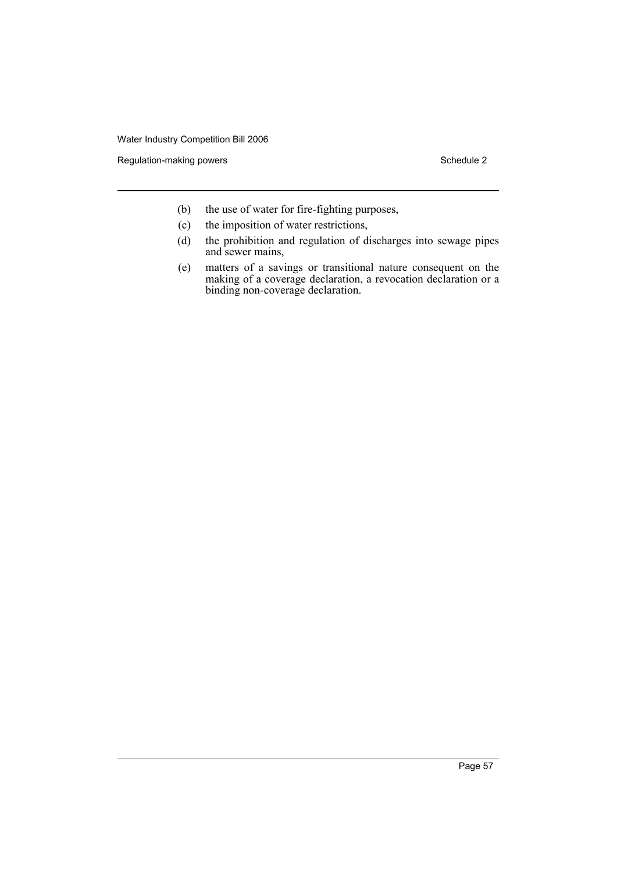Regulation-making powers **Schedule 2** and the set of the Schedule 2

- (b) the use of water for fire-fighting purposes,
- (c) the imposition of water restrictions,
- (d) the prohibition and regulation of discharges into sewage pipes and sewer mains,
- (e) matters of a savings or transitional nature consequent on the making of a coverage declaration, a revocation declaration or a binding non-coverage declaration.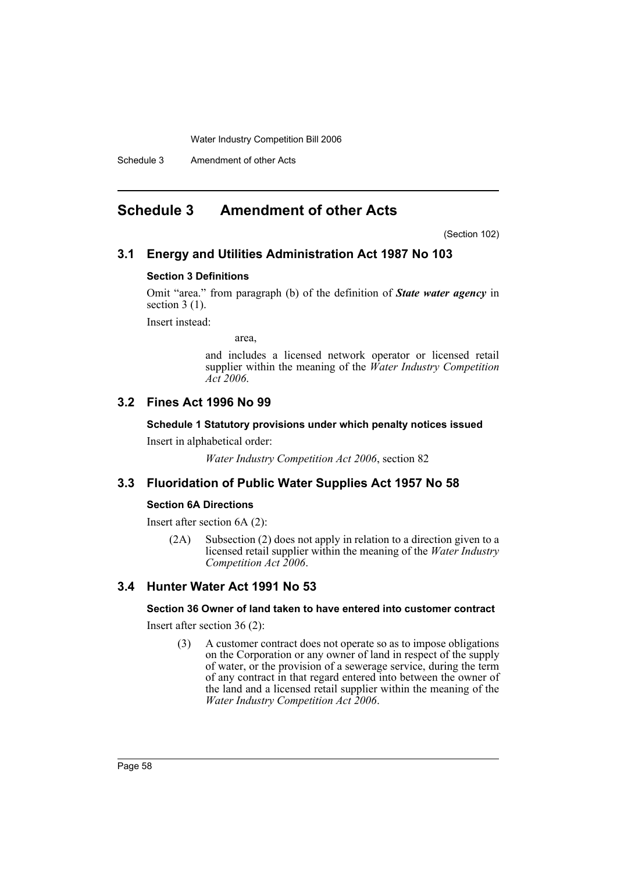Schedule 3 Amendment of other Acts

# **Schedule 3 Amendment of other Acts**

(Section 102)

# **3.1 Energy and Utilities Administration Act 1987 No 103**

#### **Section 3 Definitions**

Omit "area." from paragraph (b) of the definition of *State water agency* in section  $3(1)$ .

Insert instead:

area,

and includes a licensed network operator or licensed retail supplier within the meaning of the *Water Industry Competition Act 2006*.

# **3.2 Fines Act 1996 No 99**

#### **Schedule 1 Statutory provisions under which penalty notices issued**

Insert in alphabetical order:

*Water Industry Competition Act 2006*, section 82

# **3.3 Fluoridation of Public Water Supplies Act 1957 No 58**

#### **Section 6A Directions**

Insert after section 6A (2):

(2A) Subsection (2) does not apply in relation to a direction given to a licensed retail supplier within the meaning of the *Water Industry Competition Act 2006*.

# **3.4 Hunter Water Act 1991 No 53**

# **Section 36 Owner of land taken to have entered into customer contract**

Insert after section 36 (2):

(3) A customer contract does not operate so as to impose obligations on the Corporation or any owner of land in respect of the supply of water, or the provision of a sewerage service, during the term of any contract in that regard entered into between the owner of the land and a licensed retail supplier within the meaning of the *Water Industry Competition Act 2006*.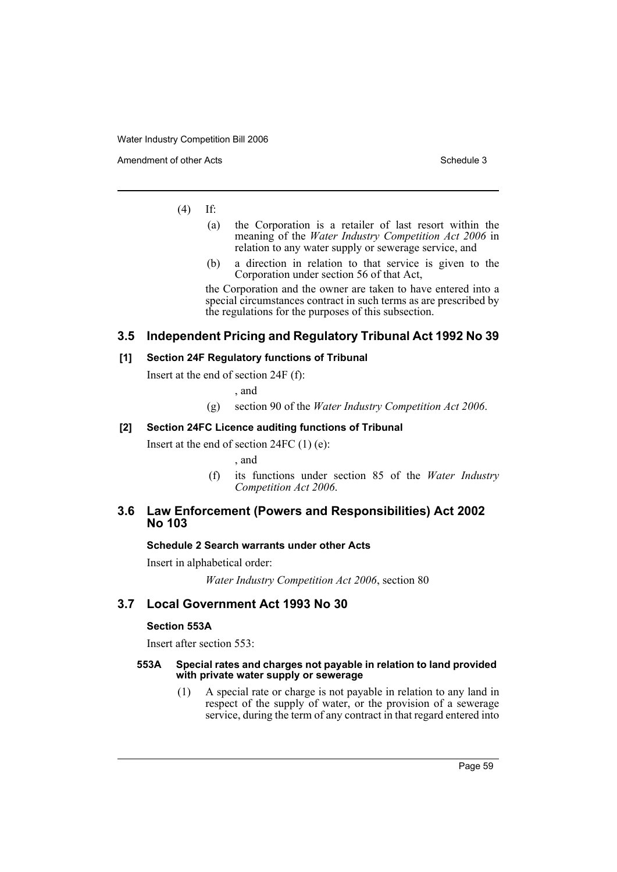Amendment of other Acts **Schedule 3** and the 3 sense of the 3 sense of the 3 sense of the 3 sense of the 3 sense of the 3 sense of the 3 sense of the 3 sense of the 3 sense of the 3 sense of the 3 sense of the 3 sense of t

# (4) If:

- (a) the Corporation is a retailer of last resort within the meaning of the *Water Industry Competition Act 2006* in relation to any water supply or sewerage service, and
- (b) a direction in relation to that service is given to the Corporation under section 56 of that Act,

the Corporation and the owner are taken to have entered into a special circumstances contract in such terms as are prescribed by the regulations for the purposes of this subsection.

# **3.5 Independent Pricing and Regulatory Tribunal Act 1992 No 39**

# **[1] Section 24F Regulatory functions of Tribunal**

Insert at the end of section 24F (f):

, and

(g) section 90 of the *Water Industry Competition Act 2006*.

# **[2] Section 24FC Licence auditing functions of Tribunal**

Insert at the end of section  $24FC(1)(e)$ :

, and

(f) its functions under section 85 of the *Water Industry Competition Act 2006*.

# **3.6 Law Enforcement (Powers and Responsibilities) Act 2002 No 103**

# **Schedule 2 Search warrants under other Acts**

Insert in alphabetical order:

*Water Industry Competition Act 2006*, section 80

# **3.7 Local Government Act 1993 No 30**

# **Section 553A**

Insert after section 553:

#### **553A Special rates and charges not payable in relation to land provided with private water supply or sewerage**

(1) A special rate or charge is not payable in relation to any land in respect of the supply of water, or the provision of a sewerage service, during the term of any contract in that regard entered into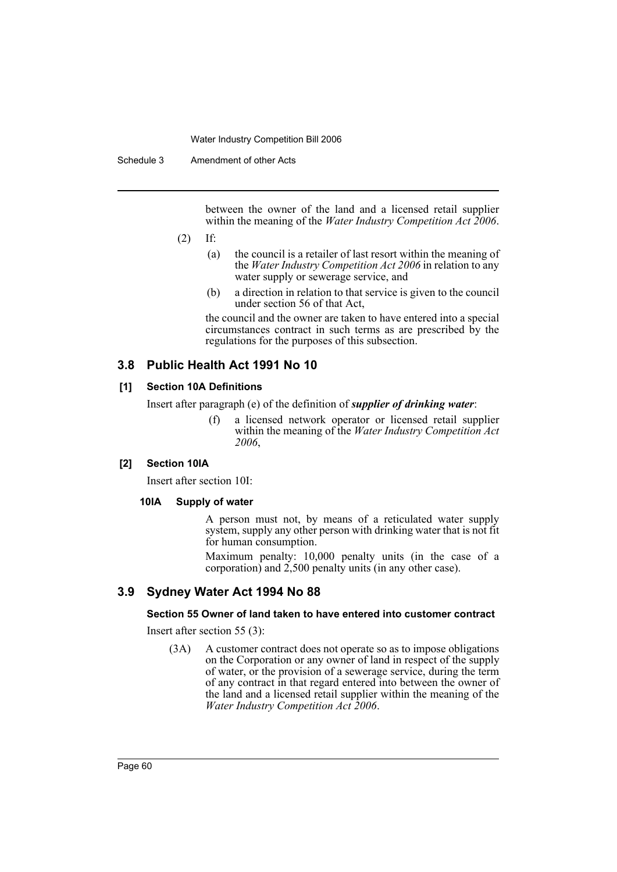between the owner of the land and a licensed retail supplier within the meaning of the *Water Industry Competition Act 2006*.

- (2) If:
	- (a) the council is a retailer of last resort within the meaning of the *Water Industry Competition Act 2006* in relation to any water supply or sewerage service, and
	- (b) a direction in relation to that service is given to the council under section 56 of that Act,

the council and the owner are taken to have entered into a special circumstances contract in such terms as are prescribed by the regulations for the purposes of this subsection.

# **3.8 Public Health Act 1991 No 10**

#### **[1] Section 10A Definitions**

Insert after paragraph (e) of the definition of *supplier of drinking water*:

(f) a licensed network operator or licensed retail supplier within the meaning of the *Water Industry Competition Act 2006*,

# **[2] Section 10IA**

Insert after section 10I:

#### **10IA Supply of water**

A person must not, by means of a reticulated water supply system, supply any other person with drinking water that is not fit for human consumption.

Maximum penalty: 10,000 penalty units (in the case of a corporation) and  $2,500$  penalty units (in any other case).

# **3.9 Sydney Water Act 1994 No 88**

#### **Section 55 Owner of land taken to have entered into customer contract**

Insert after section 55 (3):

(3A) A customer contract does not operate so as to impose obligations on the Corporation or any owner of land in respect of the supply of water, or the provision of a sewerage service, during the term of any contract in that regard entered into between the owner of the land and a licensed retail supplier within the meaning of the *Water Industry Competition Act 2006*.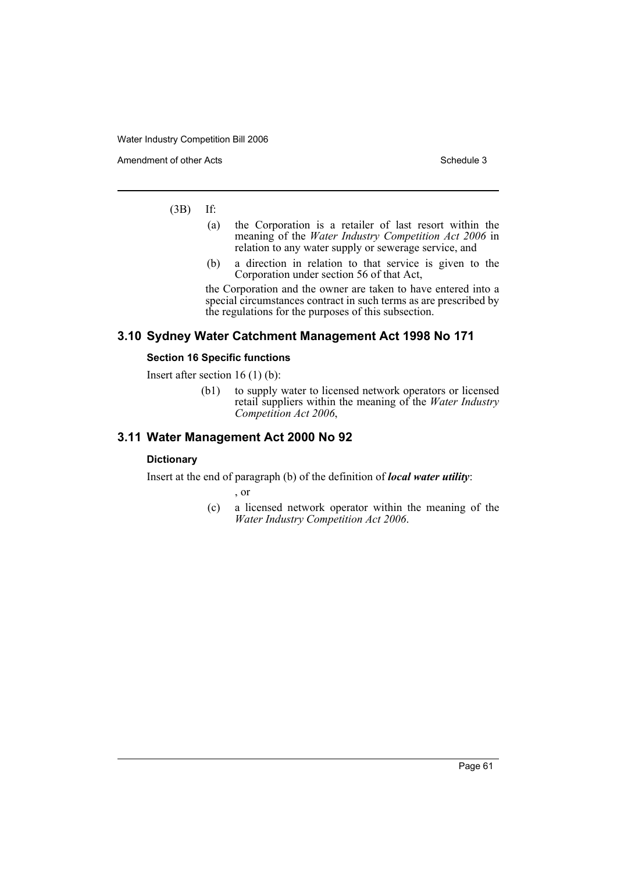Amendment of other Acts **Schedule 3** and the 3 set of the 3 set of the 3 set of the 3 set of the 3 set of the 3 set of the 3 set of the 3 set of the 3 set of the 3 set of the 3 set of the 3 set of the 3 set of the 3 set of

(3B) If:

- (a) the Corporation is a retailer of last resort within the meaning of the *Water Industry Competition Act 2006* in relation to any water supply or sewerage service, and
- (b) a direction in relation to that service is given to the Corporation under section 56 of that Act,

the Corporation and the owner are taken to have entered into a special circumstances contract in such terms as are prescribed by the regulations for the purposes of this subsection.

# **3.10 Sydney Water Catchment Management Act 1998 No 171**

# **Section 16 Specific functions**

Insert after section 16 (1) (b):

(b1) to supply water to licensed network operators or licensed retail suppliers within the meaning of the *Water Industry Competition Act 2006*,

# **3.11 Water Management Act 2000 No 92**

#### **Dictionary**

Insert at the end of paragraph (b) of the definition of *local water utility*:

, or

(c) a licensed network operator within the meaning of the *Water Industry Competition Act 2006*.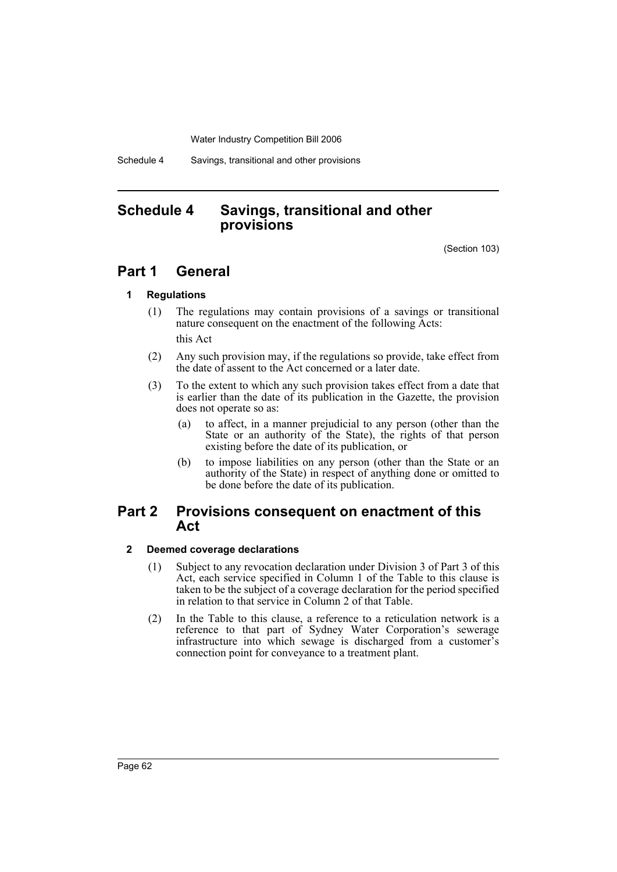Schedule 4 Savings, transitional and other provisions

# **Schedule 4 Savings, transitional and other provisions**

(Section 103)

# **Part 1 General**

# **1 Regulations**

(1) The regulations may contain provisions of a savings or transitional nature consequent on the enactment of the following Acts:

this Act

- (2) Any such provision may, if the regulations so provide, take effect from the date of assent to the Act concerned or a later date.
- (3) To the extent to which any such provision takes effect from a date that is earlier than the date of its publication in the Gazette, the provision does not operate so as:
	- (a) to affect, in a manner prejudicial to any person (other than the State or an authority of the State), the rights of that person existing before the date of its publication, or
	- (b) to impose liabilities on any person (other than the State or an authority of the State) in respect of anything done or omitted to be done before the date of its publication.

# **Part 2 Provisions consequent on enactment of this Act**

# **2 Deemed coverage declarations**

- (1) Subject to any revocation declaration under Division 3 of Part 3 of this Act, each service specified in Column 1 of the Table to this clause is taken to be the subject of a coverage declaration for the period specified in relation to that service in Column 2 of that Table.
- (2) In the Table to this clause, a reference to a reticulation network is a reference to that part of Sydney Water Corporation's sewerage infrastructure into which sewage is discharged from a customer's connection point for conveyance to a treatment plant.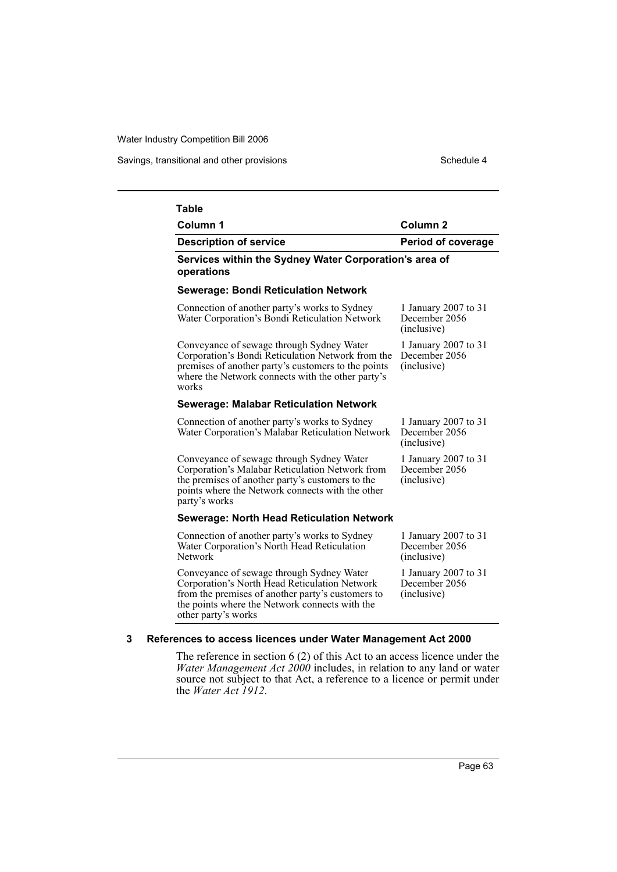Savings, transitional and other provisions Schedule 4

# **Table**

| Column 1                      | Column 2           |
|-------------------------------|--------------------|
| <b>Description of service</b> | Period of coverage |

#### **Services within the Sydney Water Corporation's area of operations**

#### **Sewerage: Bondi Reticulation Network**

| Connection of another party's works to Sydney<br>Water Corporation's Bondi Reticulation Network                                                                                                                          | 1 January 2007 to 31<br>December 2056<br>(inclusive) |
|--------------------------------------------------------------------------------------------------------------------------------------------------------------------------------------------------------------------------|------------------------------------------------------|
| Conveyance of sewage through Sydney Water<br>Corporation's Bondi Reticulation Network from the<br>premises of another party's customers to the points<br>where the Network connects with the other party's<br>works      | 1 January 2007 to 31<br>December 2056<br>(inclusive) |
| Sewerage: Malabar Reticulation Network                                                                                                                                                                                   |                                                      |
| Connection of another party's works to Sydney<br>Water Corporation's Malabar Reticulation Network                                                                                                                        | 1 January 2007 to 31<br>December 2056<br>(inclusive) |
| Conveyance of sewage through Sydney Water<br>Corporation's Malabar Reticulation Network from<br>the premises of another party's customers to the<br>points where the Network connects with the other<br>party's works    | 1 January 2007 to 31<br>December 2056<br>(inclusive) |
| Sewerage: North Head Reticulation Network                                                                                                                                                                                |                                                      |
| Connection of another party's works to Sydney<br>Water Corporation's North Head Reticulation<br><b>Network</b>                                                                                                           | 1 January 2007 to 31<br>December 2056<br>(inclusive) |
| Conveyance of sewage through Sydney Water<br>Corporation's North Head Reticulation Network<br>from the premises of another party's customers to<br>the points where the Network connects with the<br>other party's works | 1 January 2007 to 31<br>December 2056<br>(inclusive) |

# **3 References to access licences under Water Management Act 2000**

The reference in section 6 (2) of this Act to an access licence under the *Water Management Act 2000* includes, in relation to any land or water source not subject to that Act, a reference to a licence or permit under the *Water Act 1912*.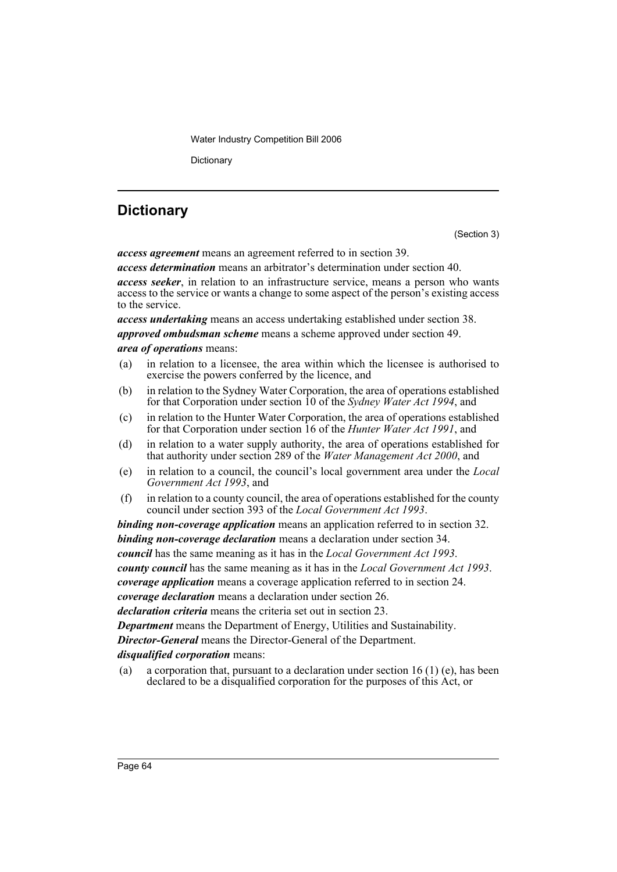**Dictionary** 

# **Dictionary**

(Section 3)

*access agreement* means an agreement referred to in section 39.

*access determination* means an arbitrator's determination under section 40.

*access seeker*, in relation to an infrastructure service, means a person who wants access to the service or wants a change to some aspect of the person's existing access to the service.

*access undertaking* means an access undertaking established under section 38. *approved ombudsman scheme* means a scheme approved under section 49. *area of operations* means:

- (a) in relation to a licensee, the area within which the licensee is authorised to exercise the powers conferred by the licence, and
- (b) in relation to the Sydney Water Corporation, the area of operations established for that Corporation under section 10 of the *Sydney Water Act 1994*, and
- (c) in relation to the Hunter Water Corporation, the area of operations established for that Corporation under section 16 of the *Hunter Water Act 1991*, and
- (d) in relation to a water supply authority, the area of operations established for that authority under section 289 of the *Water Management Act 2000*, and
- (e) in relation to a council, the council's local government area under the *Local Government Act 1993*, and
- (f) in relation to a county council, the area of operations established for the county council under section 393 of the *Local Government Act 1993*.

*binding non-coverage application* means an application referred to in section 32. *binding non-coverage declaration* means a declaration under section 34. *council* has the same meaning as it has in the *Local Government Act 1993*. *county council* has the same meaning as it has in the *Local Government Act 1993*. *coverage application* means a coverage application referred to in section 24. *coverage declaration* means a declaration under section 26. *declaration criteria* means the criteria set out in section 23. *Department* means the Department of Energy, Utilities and Sustainability. *Director-General* means the Director-General of the Department. *disqualified corporation* means:

(a) a corporation that, pursuant to a declaration under section 16 (1) (e), has been declared to be a disqualified corporation for the purposes of this Act, or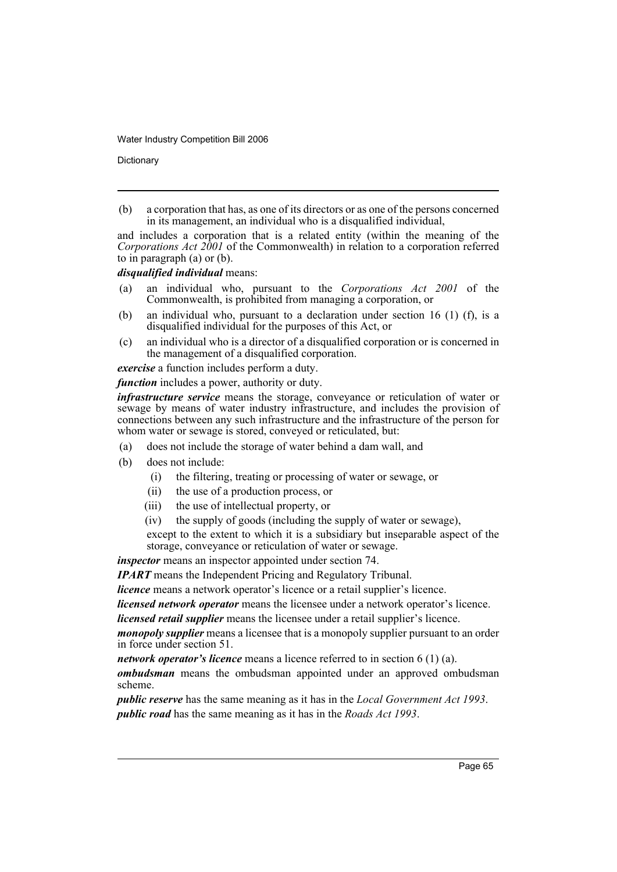**Dictionary** 

(b) a corporation that has, as one of its directors or as one of the persons concerned in its management, an individual who is a disqualified individual,

and includes a corporation that is a related entity (within the meaning of the *Corporations Act 2001* of the Commonwealth) in relation to a corporation referred to in paragraph (a) or (b).

*disqualified individual* means:

- (a) an individual who, pursuant to the *Corporations Act 2001* of the Commonwealth, is prohibited from managing a corporation, or
- (b) an individual who, pursuant to a declaration under section 16 (1) (f), is a disqualified individual for the purposes of this Act, or
- (c) an individual who is a director of a disqualified corporation or is concerned in the management of a disqualified corporation.

*exercise* a function includes perform a duty.

*function* includes a power, authority or duty.

*infrastructure service* means the storage, conveyance or reticulation of water or sewage by means of water industry infrastructure, and includes the provision of connections between any such infrastructure and the infrastructure of the person for whom water or sewage is stored, conveyed or reticulated, but:

- (a) does not include the storage of water behind a dam wall, and
- (b) does not include:
	- (i) the filtering, treating or processing of water or sewage, or
	- (ii) the use of a production process, or
	- (iii) the use of intellectual property, or
	- (iv) the supply of goods (including the supply of water or sewage),

except to the extent to which it is a subsidiary but inseparable aspect of the storage, conveyance or reticulation of water or sewage.

*inspector* means an inspector appointed under section 74.

*IPART* means the Independent Pricing and Regulatory Tribunal.

*licence* means a network operator's licence or a retail supplier's licence.

*licensed network operator* means the licensee under a network operator's licence. *licensed retail supplier* means the licensee under a retail supplier's licence.

*monopoly supplier* means a licensee that is a monopoly supplier pursuant to an order in force under section 51.

*network operator's licence* means a licence referred to in section 6 (1) (a).

*ombudsman* means the ombudsman appointed under an approved ombudsman scheme.

*public reserve* has the same meaning as it has in the *Local Government Act 1993*. *public road* has the same meaning as it has in the *Roads Act 1993*.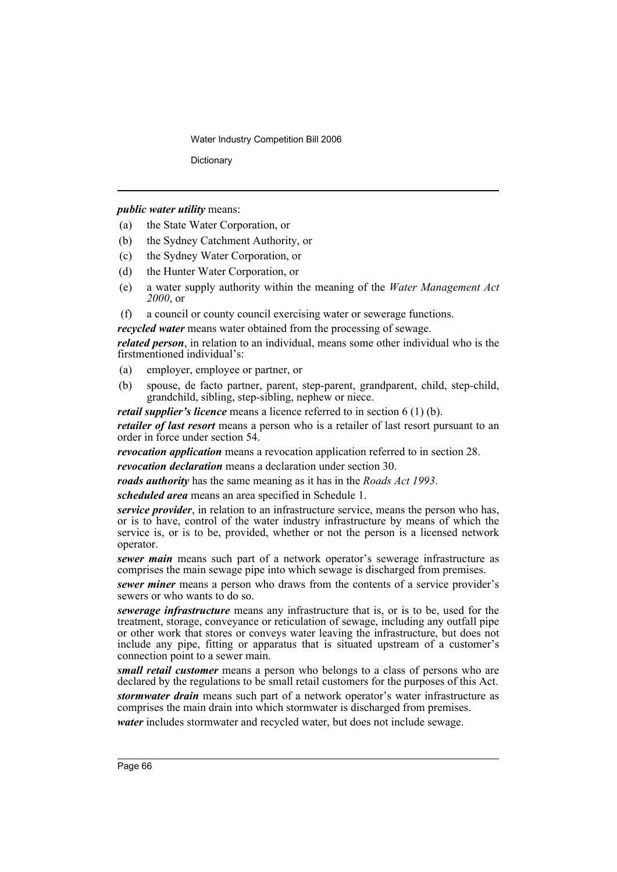**Dictionary** 

#### *public water utility* means:

- (a) the State Water Corporation, or
- (b) the Sydney Catchment Authority, or
- (c) the Sydney Water Corporation, or
- (d) the Hunter Water Corporation, or
- (e) a water supply authority within the meaning of the *Water Management Act 2000*, or
- (f) a council or county council exercising water or sewerage functions.

*recycled water* means water obtained from the processing of sewage.

*related person*, in relation to an individual, means some other individual who is the firstmentioned individual's:

- (a) employer, employee or partner, or
- (b) spouse, de facto partner, parent, step-parent, grandparent, child, step-child, grandchild, sibling, step-sibling, nephew or niece.

*retail supplier's licence* means a licence referred to in section 6 (1) (b).

*retailer of last resort* means a person who is a retailer of last resort pursuant to an order in force under section 54.

*revocation application* means a revocation application referred to in section 28. *revocation declaration* means a declaration under section 30.

*roads authority* has the same meaning as it has in the *Roads Act 1993*.

*scheduled area* means an area specified in Schedule 1.

*service provider*, in relation to an infrastructure service, means the person who has, or is to have, control of the water industry infrastructure by means of which the service is, or is to be, provided, whether or not the person is a licensed network operator.

*sewer main* means such part of a network operator's sewerage infrastructure as comprises the main sewage pipe into which sewage is discharged from premises.

*sewer miner* means a person who draws from the contents of a service provider's sewers or who wants to do so.

*sewerage infrastructure* means any infrastructure that is, or is to be, used for the treatment, storage, conveyance or reticulation of sewage, including any outfall pipe or other work that stores or conveys water leaving the infrastructure, but does not include any pipe, fitting or apparatus that is situated upstream of a customer's connection point to a sewer main.

*small retail customer* means a person who belongs to a class of persons who are declared by the regulations to be small retail customers for the purposes of this Act. *stormwater drain* means such part of a network operator's water infrastructure as comprises the main drain into which stormwater is discharged from premises.

*water* includes stormwater and recycled water, but does not include sewage.